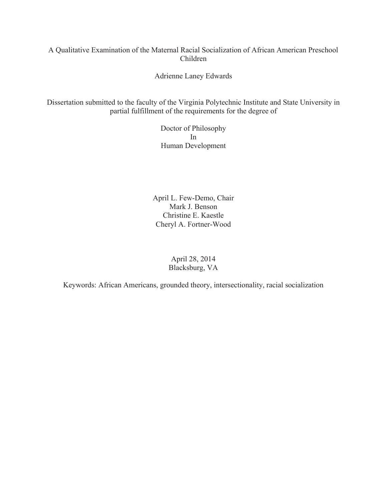# A Qualitative Examination of the Maternal Racial Socialization of African American Preschool Children

Adrienne Laney Edwards

Dissertation submitted to the faculty of the Virginia Polytechnic Institute and State University in partial fulfillment of the requirements for the degree of

> Doctor of Philosophy In Human Development

April L. Few-Demo, Chair Mark J. Benson Christine E. Kaestle Cheryl A. Fortner-Wood

> April 28, 2014 Blacksburg, VA

Keywords: African Americans, grounded theory, intersectionality, racial socialization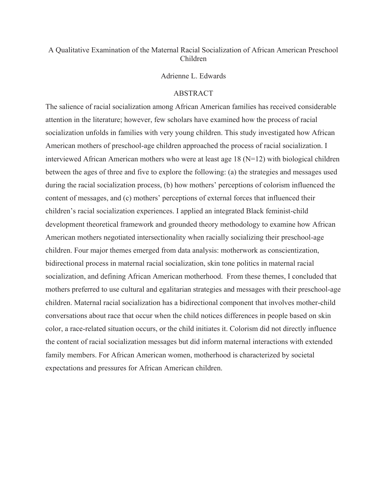# A Qualitative Examination of the Maternal Racial Socialization of African American Preschool Children

## Adrienne L. Edwards

# ABSTRACT

The salience of racial socialization among African American families has received considerable attention in the literature; however, few scholars have examined how the process of racial socialization unfolds in families with very young children. This study investigated how African American mothers of preschool-age children approached the process of racial socialization. I interviewed African American mothers who were at least age 18 (N=12) with biological children between the ages of three and five to explore the following: (a) the strategies and messages used during the racial socialization process, (b) how mothers' perceptions of colorism influenced the content of messages, and (c) mothers' perceptions of external forces that influenced their children's racial socialization experiences. I applied an integrated Black feminist-child development theoretical framework and grounded theory methodology to examine how African American mothers negotiated intersectionality when racially socializing their preschool-age children. Four major themes emerged from data analysis: motherwork as conscientization, bidirectional process in maternal racial socialization, skin tone politics in maternal racial socialization, and defining African American motherhood. From these themes, I concluded that mothers preferred to use cultural and egalitarian strategies and messages with their preschool-age children. Maternal racial socialization has a bidirectional component that involves mother-child conversations about race that occur when the child notices differences in people based on skin color, a race-related situation occurs, or the child initiates it. Colorism did not directly influence the content of racial socialization messages but did inform maternal interactions with extended family members. For African American women, motherhood is characterized by societal expectations and pressures for African American children.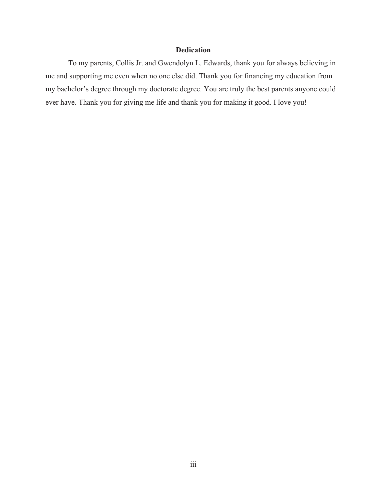# **Dedication**

 To my parents, Collis Jr. and Gwendolyn L. Edwards, thank you for always believing in me and supporting me even when no one else did. Thank you for financing my education from my bachelor's degree through my doctorate degree. You are truly the best parents anyone could ever have. Thank you for giving me life and thank you for making it good. I love you!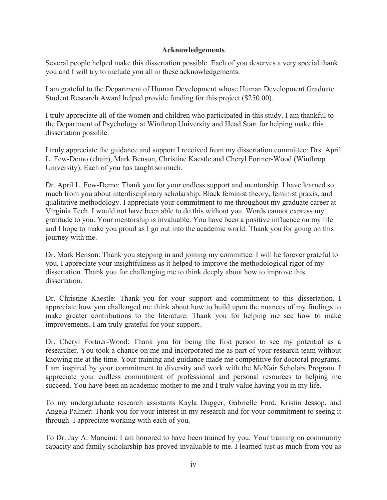# **Acknowledgements**

Several people helped make this dissertation possible. Each of you deserves a very special thank you and I will try to include you all in these acknowledgements.

I am grateful to the Department of Human Development whose Human Development Graduate Student Research Award helped provide funding for this project (\$250.00).

I truly appreciate all of the women and children who participated in this study. I am thankful to the Department of Psychology at Winthrop University and Head Start for helping make this dissertation possible.

I truly appreciate the guidance and support I received from my dissertation committee: Drs. April L. Few-Demo (chair), Mark Benson, Christine Kaestle and Cheryl Fortner-Wood (Winthrop University). Each of you has taught so much.

Dr. April L. Few-Demo: Thank you for your endless support and mentorship. I have learned so much from you about interdisciplinary scholarship, Black feminist theory, feminist praxis, and qualitative methodology. I appreciate your commitment to me throughout my graduate career at Virginia Tech. I would not have been able to do this without you. Words cannot express my gratitude to you. Your mentorship is invaluable. You have been a positive influence on my life and I hope to make you proud as I go out into the academic world. Thank you for going on this journey with me.

Dr. Mark Benson: Thank you stepping in and joining my committee. I will be forever grateful to you. I appreciate your insightfulness as it helped to improve the methodological rigor of my dissertation. Thank you for challenging me to think deeply about how to improve this dissertation.

Dr. Christine Kaestle: Thank you for your support and commitment to this dissertation. I appreciate how you challenged me think about how to build upon the nuances of my findings to make greater contributions to the literature. Thank you for helping me see how to make improvements. I am truly grateful for your support.

Dr. Cheryl Fortner-Wood: Thank you for being the first person to see my potential as a researcher. You took a chance on me and incorporated me as part of your research team without knowing me at the time. Your training and guidance made me competitive for doctoral programs. I am inspired by your commitment to diversity and work with the McNair Scholars Program. I appreciate your endless commitment of professional and personal resources to helping me succeed. You have been an academic mother to me and I truly value having you in my life.

To my undergraduate research assistants Kayla Dugger, Gabrielle Ford, Kristin Jessop, and Angela Palmer: Thank you for your interest in my research and for your commitment to seeing it through. I appreciate working with each of you.

To Dr. Jay A. Mancini: I am honored to have been trained by you. Your training on community capacity and family scholarship has proved invaluable to me. I learned just as much from you as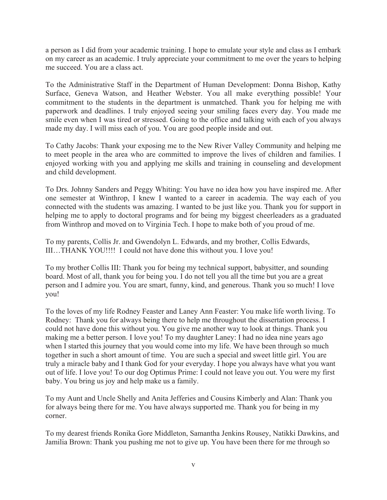a person as I did from your academic training. I hope to emulate your style and class as I embark on my career as an academic. I truly appreciate your commitment to me over the years to helping me succeed. You are a class act.

To the Administrative Staff in the Department of Human Development: Donna Bishop, Kathy Surface, Geneva Watson, and Heather Webster. You all make everything possible! Your commitment to the students in the department is unmatched. Thank you for helping me with paperwork and deadlines. I truly enjoyed seeing your smiling faces every day. You made me smile even when I was tired or stressed. Going to the office and talking with each of you always made my day. I will miss each of you. You are good people inside and out.

To Cathy Jacobs: Thank your exposing me to the New River Valley Community and helping me to meet people in the area who are committed to improve the lives of children and families. I enjoyed working with you and applying me skills and training in counseling and development and child development.

To Drs. Johnny Sanders and Peggy Whiting: You have no idea how you have inspired me. After one semester at Winthrop, I knew I wanted to a career in academia. The way each of you connected with the students was amazing. I wanted to be just like you. Thank you for support in helping me to apply to doctoral programs and for being my biggest cheerleaders as a graduated from Winthrop and moved on to Virginia Tech. I hope to make both of you proud of me.

To my parents, Collis Jr. and Gwendolyn L. Edwards, and my brother, Collis Edwards, III…THANK YOU!!!! I could not have done this without you. I love you!

To my brother Collis III: Thank you for being my technical support, babysitter, and sounding board. Most of all, thank you for being you. I do not tell you all the time but you are a great person and I admire you. You are smart, funny, kind, and generous. Thank you so much! I love you!

To the loves of my life Rodney Feaster and Laney Ann Feaster: You make life worth living. To Rodney: Thank you for always being there to help me throughout the dissertation process. I could not have done this without you. You give me another way to look at things. Thank you making me a better person. I love you! To my daughter Laney: I had no idea nine years ago when I started this journey that you would come into my life. We have been through so much together in such a short amount of time. You are such a special and sweet little girl. You are truly a miracle baby and I thank God for your everyday. I hope you always have what you want out of life. I love you! To our dog Optimus Prime: I could not leave you out. You were my first baby. You bring us joy and help make us a family.

To my Aunt and Uncle Shelly and Anita Jefferies and Cousins Kimberly and Alan: Thank you for always being there for me. You have always supported me. Thank you for being in my corner.

To my dearest friends Ronika Gore Middleton, Samantha Jenkins Rousey, Natikki Dawkins, and Jamilia Brown: Thank you pushing me not to give up. You have been there for me through so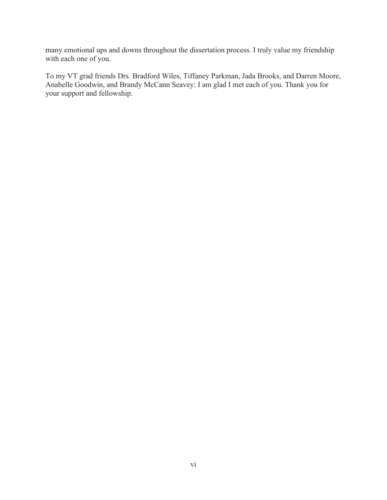many emotional ups and downs throughout the dissertation process. I truly value my friendship with each one of you.

To my VT grad friends Drs. Bradford Wiles, Tiffaney Parkman, Jada Brooks, and Darren Moore, Anabelle Goodwin, and Brandy McCann Seavey: I am glad I met each of you. Thank you for your support and fellowship.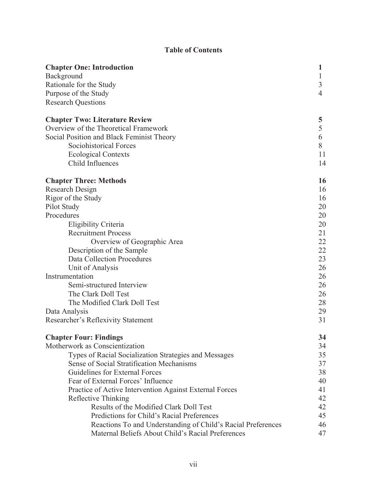# **Table of Contents**

| <b>Chapter One: Introduction</b>                             | 1              |
|--------------------------------------------------------------|----------------|
| Background                                                   | 1              |
| Rationale for the Study                                      | 3              |
| Purpose of the Study                                         | $\overline{4}$ |
| <b>Research Questions</b>                                    |                |
| <b>Chapter Two: Literature Review</b>                        | 5              |
| Overview of the Theoretical Framework                        | 5              |
| Social Position and Black Feminist Theory                    | 6              |
| Sociohistorical Forces                                       | 8              |
| <b>Ecological Contexts</b>                                   | 11             |
| Child Influences                                             | 14             |
| <b>Chapter Three: Methods</b>                                | 16             |
| Research Design                                              | 16             |
| Rigor of the Study                                           | 16             |
| Pilot Study                                                  | 20             |
| Procedures                                                   | 20             |
| Eligibility Criteria                                         | 20             |
| <b>Recruitment Process</b>                                   | 21             |
| Overview of Geographic Area                                  | 22             |
| Description of the Sample                                    | 22             |
| <b>Data Collection Procedures</b>                            | 23             |
| Unit of Analysis                                             | 26             |
| Instrumentation                                              | 26             |
| Semi-structured Interview                                    | 26             |
| The Clark Doll Test                                          | 26             |
| The Modified Clark Doll Test                                 | 28             |
| Data Analysis                                                | 29             |
| Researcher's Reflexivity Statement                           | 31             |
| <b>Chapter Four: Findings</b>                                | 34             |
| Motherwork as Conscientization                               | 34             |
| Types of Racial Socialization Strategies and Messages        | 35             |
| Sense of Social Stratification Mechanisms                    | 37             |
| Guidelines for External Forces                               | 38             |
| Fear of External Forces' Influence                           | 40             |
| Practice of Active Intervention Against External Forces      | 41             |
| Reflective Thinking                                          | 42             |
| Results of the Modified Clark Doll Test                      | 42             |
| Predictions for Child's Racial Preferences                   | 45             |
| Reactions To and Understanding of Child's Racial Preferences | 46             |
| Maternal Beliefs About Child's Racial Preferences            | 47             |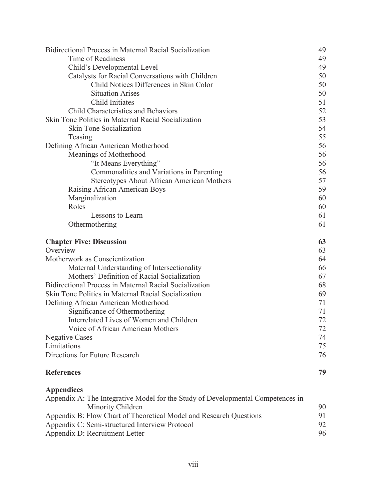| Bidirectional Process in Maternal Racial Socialization                          | 49 |
|---------------------------------------------------------------------------------|----|
| Time of Readiness                                                               | 49 |
| Child's Developmental Level                                                     | 49 |
| Catalysts for Racial Conversations with Children                                | 50 |
| Child Notices Differences in Skin Color                                         | 50 |
| <b>Situation Arises</b>                                                         | 50 |
| Child Initiates                                                                 | 51 |
| Child Characteristics and Behaviors                                             | 52 |
| Skin Tone Politics in Maternal Racial Socialization                             | 53 |
| Skin Tone Socialization                                                         | 54 |
| Teasing                                                                         | 55 |
| Defining African American Motherhood                                            | 56 |
| Meanings of Motherhood                                                          | 56 |
| "It Means Everything"                                                           | 56 |
| Commonalities and Variations in Parenting                                       | 56 |
| Stereotypes About African American Mothers                                      | 57 |
| Raising African American Boys                                                   | 59 |
| Marginalization                                                                 | 60 |
| Roles                                                                           | 60 |
| Lessons to Learn                                                                | 61 |
| Othermothering                                                                  | 61 |
|                                                                                 |    |
| <b>Chapter Five: Discussion</b>                                                 | 63 |
| Overview                                                                        | 63 |
| Motherwork as Conscientization                                                  | 64 |
| Maternal Understanding of Intersectionality                                     | 66 |
| Mothers' Definition of Racial Socialization                                     | 67 |
| Bidirectional Process in Maternal Racial Socialization                          | 68 |
| Skin Tone Politics in Maternal Racial Socialization                             | 69 |
| Defining African American Motherhood                                            | 71 |
| Significance of Othermothering                                                  | 71 |
| Interrelated Lives of Women and Children                                        | 72 |
| Voice of African American Mothers                                               | 72 |
| <b>Negative Cases</b>                                                           | 74 |
| Limitations                                                                     | 75 |
| Directions for Future Research                                                  | 76 |
| <b>References</b>                                                               | 79 |
| <b>Appendices</b>                                                               |    |
| Appendix A: The Integrative Model for the Study of Developmental Competences in |    |
| Minority Children                                                               | 90 |
| Appendix B: Flow Chart of Theoretical Model and Research Questions              | 91 |
| Appendix C: Semi-structured Interview Protocol                                  | 92 |
| Appendix D: Recruitment Letter                                                  | 96 |
|                                                                                 |    |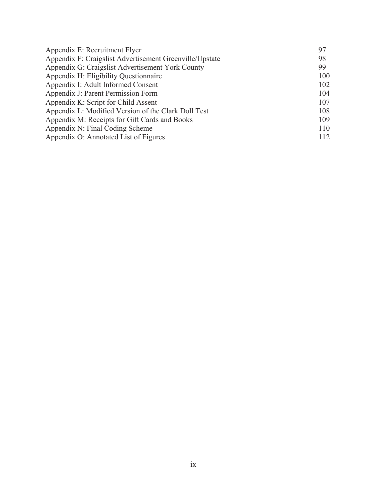| Appendix E: Recruitment Flyer                           | 97  |
|---------------------------------------------------------|-----|
| Appendix F: Craigslist Advertisement Greenville/Upstate | 98  |
| Appendix G: Craigslist Advertisement York County        | 99  |
| Appendix H: Eligibility Questionnaire                   | 100 |
| Appendix I: Adult Informed Consent                      | 102 |
| Appendix J: Parent Permission Form                      | 104 |
| Appendix K: Script for Child Assent                     | 107 |
| Appendix L: Modified Version of the Clark Doll Test     | 108 |
| Appendix M: Receipts for Gift Cards and Books           | 109 |
| Appendix N: Final Coding Scheme                         | 110 |
| Appendix O: Annotated List of Figures                   | 112 |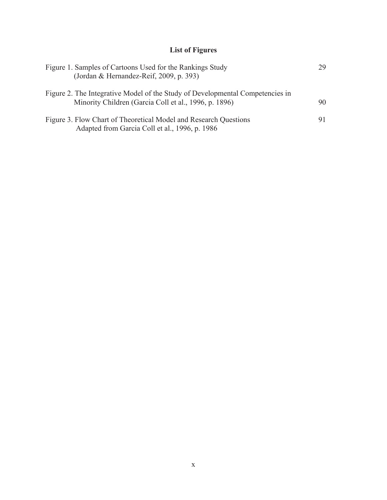# **List of Figures**

| Figure 1. Samples of Cartoons Used for the Rankings Study<br>(Jordan & Hernandez-Reif, 2009, p. 393)                                   | 29 |
|----------------------------------------------------------------------------------------------------------------------------------------|----|
| Figure 2. The Integrative Model of the Study of Developmental Competencies in<br>Minority Children (Garcia Coll et al., 1996, p. 1896) | 90 |
| Figure 3. Flow Chart of Theoretical Model and Research Questions<br>Adapted from Garcia Coll et al., 1996, p. 1986                     | 91 |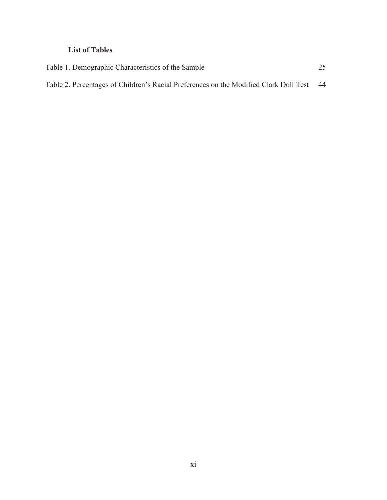# **List of Tables**

| Table 1. Demographic Characteristics of the Sample                                    |    |  |  |  |
|---------------------------------------------------------------------------------------|----|--|--|--|
| Table 2. Percentages of Children's Racial Preferences on the Modified Clark Doll Test | 44 |  |  |  |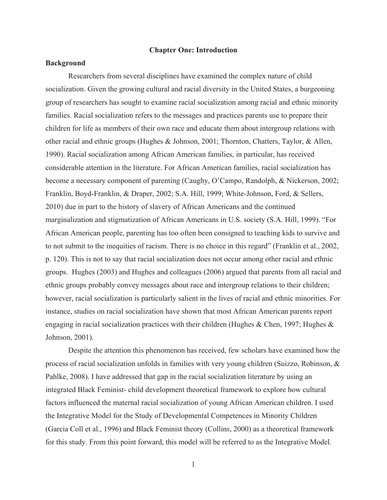#### **Chapter One: Introduction**

#### **Background**

Researchers from several disciplines have examined the complex nature of child socialization. Given the growing cultural and racial diversity in the United States, a burgeoning group of researchers has sought to examine racial socialization among racial and ethnic minority families. Racial socialization refers to the messages and practices parents use to prepare their children for life as members of their own race and educate them about intergroup relations with other racial and ethnic groups (Hughes & Johnson, 2001; Thornton, Chatters, Taylor, & Allen, 1990). Racial socialization among African American families, in particular, has received considerable attention in the literature. For African American families, racial socialization has become a necessary component of parenting (Caughy, O'Campo, Randolph, & Nickerson, 2002; Franklin, Boyd-Franklin, & Draper, 2002; S.A. Hill, 1999; White-Johnson, Ford, & Sellers, 2010) due in part to the history of slavery of African Americans and the continued marginalization and stigmatization of African Americans in U.S. society (S.A. Hill, 1999). "For African American people, parenting has too often been consigned to teaching kids to survive and to not submit to the inequities of racism. There is no choice in this regard" (Franklin et al., 2002, p. 120). This is not to say that racial socialization does not occur among other racial and ethnic groups. Hughes (2003) and Hughes and colleagues (2006) argued that parents from all racial and ethnic groups probably convey messages about race and intergroup relations to their children; however, racial socialization is particularly salient in the lives of racial and ethnic minorities. For instance, studies on racial socialization have shown that most African American parents report engaging in racial socialization practices with their children (Hughes & Chen, 1997; Hughes & Johnson, 2001).

Despite the attention this phenomenon has received, few scholars have examined how the process of racial socialization unfolds in families with very young children (Suizzo, Robinson, & Pahlke, 2008). I have addressed that gap in the racial socialization literature by using an integrated Black Feminist- child development theoretical framework to explore how cultural factors influenced the maternal racial socialization of young African American children. I used the Integrative Model for the Study of Developmental Competences in Minority Children (Garcia Coll et al., 1996) and Black Feminist theory (Collins, 2000) as a theoretical framework for this study. From this point forward, this model will be referred to as the Integrative Model.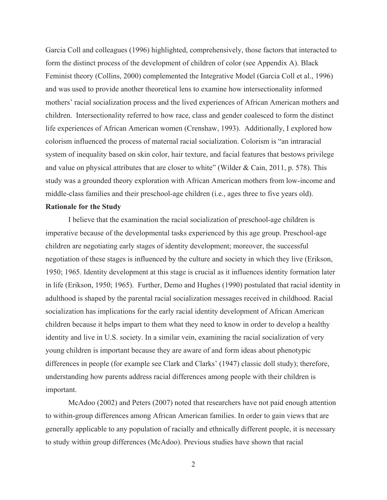Garcia Coll and colleagues (1996) highlighted, comprehensively, those factors that interacted to form the distinct process of the development of children of color (see Appendix A). Black Feminist theory (Collins, 2000) complemented the Integrative Model (Garcia Coll et al., 1996) and was used to provide another theoretical lens to examine how intersectionality informed mothers' racial socialization process and the lived experiences of African American mothers and children. Intersectionality referred to how race, class and gender coalesced to form the distinct life experiences of African American women (Crenshaw, 1993). Additionally, I explored how colorism influenced the process of maternal racial socialization. Colorism is "an intraracial system of inequality based on skin color, hair texture, and facial features that bestows privilege and value on physical attributes that are closer to white" (Wilder  $& Cain, 2011, p. 578$ ). This study was a grounded theory exploration with African American mothers from low-income and middle-class families and their preschool-age children (i.e., ages three to five years old).

## **Rationale for the Study**

I believe that the examination the racial socialization of preschool-age children is imperative because of the developmental tasks experienced by this age group. Preschool-age children are negotiating early stages of identity development; moreover, the successful negotiation of these stages is influenced by the culture and society in which they live (Erikson, 1950; 1965. Identity development at this stage is crucial as it influences identity formation later in life (Erikson, 1950; 1965). Further, Demo and Hughes (1990) postulated that racial identity in adulthood is shaped by the parental racial socialization messages received in childhood. Racial socialization has implications for the early racial identity development of African American children because it helps impart to them what they need to know in order to develop a healthy identity and live in U.S. society. In a similar vein, examining the racial socialization of very young children is important because they are aware of and form ideas about phenotypic differences in people (for example see Clark and Clarks' (1947) classic doll study); therefore, understanding how parents address racial differences among people with their children is important.

McAdoo (2002) and Peters (2007) noted that researchers have not paid enough attention to within-group differences among African American families. In order to gain views that are generally applicable to any population of racially and ethnically different people, it is necessary to study within group differences (McAdoo). Previous studies have shown that racial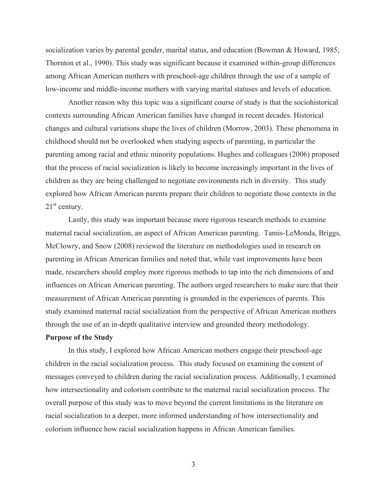socialization varies by parental gender, marital status, and education (Bowman & Howard, 1985; Thornton et al., 1990). This study was significant because it examined within-group differences among African American mothers with preschool-age children through the use of a sample of low-income and middle-income mothers with varying marital statuses and levels of education.

Another reason why this topic was a significant course of study is that the sociohistorical contexts surrounding African American families have changed in recent decades. Historical changes and cultural variations shape the lives of children (Morrow, 2003). These phenomena in childhood should not be overlooked when studying aspects of parenting, in particular the parenting among racial and ethnic minority populations. Hughes and colleagues (2006) proposed that the process of racial socialization is likely to become increasingly important in the lives of children as they are being challenged to negotiate environments rich in diversity. This study explored how African American parents prepare their children to negotiate those contexts in the  $21<sup>st</sup>$  century.

Lastly, this study was important because more rigorous research methods to examine maternal racial socialization, an aspect of African American parenting. Tamis-LeMonda, Briggs, McClowry, and Snow (2008) reviewed the literature on methodologies used in research on parenting in African American families and noted that, while vast improvements have been made, researchers should employ more rigorous methods to tap into the rich dimensions of and influences on African American parenting. The authors urged researchers to make sure that their measurement of African American parenting is grounded in the experiences of parents. This study examined maternal racial socialization from the perspective of African American mothers through the use of an in-depth qualitative interview and grounded theory methodology.

# **Purpose of the Study**

In this study, I explored how African American mothers engage their preschool-age children in the racial socialization process. This study focused on examining the content of messages conveyed to children during the racial socialization process. Additionally, I examined how intersectionality and colorism contribute to the maternal racial socialization process. The overall purpose of this study was to move beyond the current limitations in the literature on racial socialization to a deeper, more informed understanding of how intersectionality and colorism influence how racial socialization happens in African American families.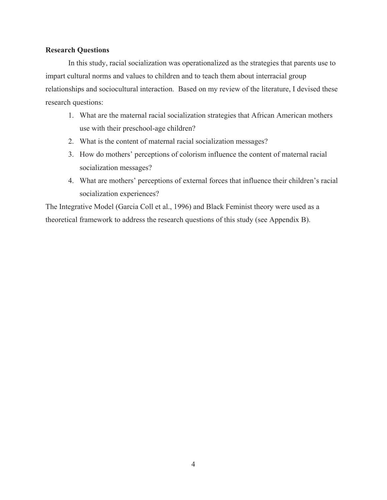## **Research Questions**

In this study, racial socialization was operationalized as the strategies that parents use to impart cultural norms and values to children and to teach them about interracial group relationships and sociocultural interaction. Based on my review of the literature, I devised these research questions:

- 1. What are the maternal racial socialization strategies that African American mothers use with their preschool-age children?
- 2. What is the content of maternal racial socialization messages?
- 3. How do mothers' perceptions of colorism influence the content of maternal racial socialization messages?
- 4. What are mothers' perceptions of external forces that influence their children's racial socialization experiences?

The Integrative Model (Garcia Coll et al., 1996) and Black Feminist theory were used as a theoretical framework to address the research questions of this study (see Appendix B).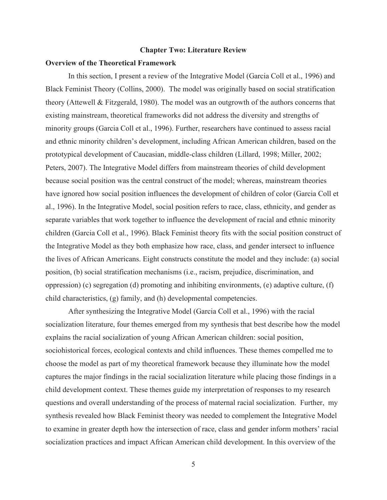#### **Chapter Two: Literature Review**

#### **Overview of the Theoretical Framework**

In this section, I present a review of the Integrative Model (Garcia Coll et al., 1996) and Black Feminist Theory (Collins, 2000). The model was originally based on social stratification theory (Attewell & Fitzgerald, 1980). The model was an outgrowth of the authors concerns that existing mainstream, theoretical frameworks did not address the diversity and strengths of minority groups (Garcia Coll et al., 1996). Further, researchers have continued to assess racial and ethnic minority children's development, including African American children, based on the prototypical development of Caucasian, middle-class children (Lillard, 1998; Miller, 2002; Peters, 2007). The Integrative Model differs from mainstream theories of child development because social position was the central construct of the model; whereas, mainstream theories have ignored how social position influences the development of children of color (Garcia Coll et al., 1996). In the Integrative Model, social position refers to race, class, ethnicity, and gender as separate variables that work together to influence the development of racial and ethnic minority children (Garcia Coll et al., 1996). Black Feminist theory fits with the social position construct of the Integrative Model as they both emphasize how race, class, and gender intersect to influence the lives of African Americans. Eight constructs constitute the model and they include: (a) social position, (b) social stratification mechanisms (i.e., racism, prejudice, discrimination, and oppression) (c) segregation (d) promoting and inhibiting environments, (e) adaptive culture, (f) child characteristics, (g) family, and (h) developmental competencies.

After synthesizing the Integrative Model (Garcia Coll et al., 1996) with the racial socialization literature, four themes emerged from my synthesis that best describe how the model explains the racial socialization of young African American children: social position, sociohistorical forces, ecological contexts and child influences. These themes compelled me to choose the model as part of my theoretical framework because they illuminate how the model captures the major findings in the racial socialization literature while placing those findings in a child development context. These themes guide my interpretation of responses to my research questions and overall understanding of the process of maternal racial socialization. Further, my synthesis revealed how Black Feminist theory was needed to complement the Integrative Model to examine in greater depth how the intersection of race, class and gender inform mothers' racial socialization practices and impact African American child development. In this overview of the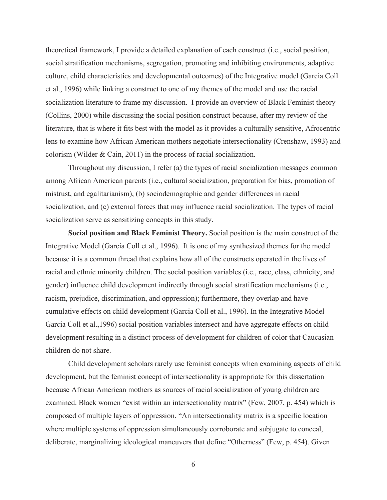theoretical framework, I provide a detailed explanation of each construct (i.e., social position, social stratification mechanisms, segregation, promoting and inhibiting environments, adaptive culture, child characteristics and developmental outcomes) of the Integrative model (Garcia Coll et al., 1996) while linking a construct to one of my themes of the model and use the racial socialization literature to frame my discussion. I provide an overview of Black Feminist theory (Collins, 2000) while discussing the social position construct because, after my review of the literature, that is where it fits best with the model as it provides a culturally sensitive, Afrocentric lens to examine how African American mothers negotiate intersectionality (Crenshaw, 1993) and colorism (Wilder & Cain, 2011) in the process of racial socialization.

Throughout my discussion, I refer (a) the types of racial socialization messages common among African American parents (i.e., cultural socialization, preparation for bias, promotion of mistrust, and egalitarianism), (b) sociodemographic and gender differences in racial socialization, and (c) external forces that may influence racial socialization. The types of racial socialization serve as sensitizing concepts in this study.

**Social position and Black Feminist Theory.** Social position is the main construct of the Integrative Model (Garcia Coll et al., 1996). It is one of my synthesized themes for the model because it is a common thread that explains how all of the constructs operated in the lives of racial and ethnic minority children. The social position variables (i.e., race, class, ethnicity, and gender) influence child development indirectly through social stratification mechanisms (i.e., racism, prejudice, discrimination, and oppression); furthermore, they overlap and have cumulative effects on child development (Garcia Coll et al., 1996). In the Integrative Model Garcia Coll et al.,1996) social position variables intersect and have aggregate effects on child development resulting in a distinct process of development for children of color that Caucasian children do not share.

Child development scholars rarely use feminist concepts when examining aspects of child development, but the feminist concept of intersectionality is appropriate for this dissertation because African American mothers as sources of racial socialization of young children are examined. Black women "exist within an intersectionality matrix" (Few, 2007, p. 454) which is composed of multiple layers of oppression. "An intersectionality matrix is a specific location where multiple systems of oppression simultaneously corroborate and subjugate to conceal, deliberate, marginalizing ideological maneuvers that define "Otherness" (Few, p. 454). Given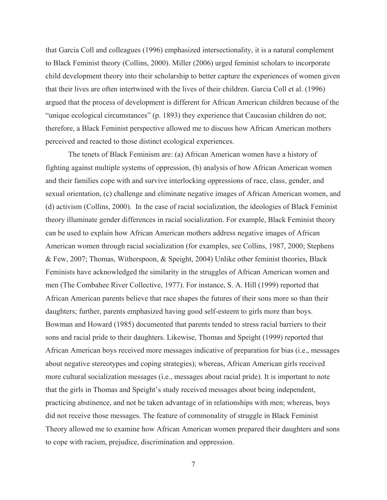that Garcia Coll and colleagues (1996) emphasized intersectionality, it is a natural complement to Black Feminist theory (Collins, 2000). Miller (2006) urged feminist scholars to incorporate child development theory into their scholarship to better capture the experiences of women given that their lives are often intertwined with the lives of their children. Garcia Coll et al. (1996) argued that the process of development is different for African American children because of the "unique ecological circumstances" (p. 1893) they experience that Caucasian children do not; therefore, a Black Feminist perspective allowed me to discuss how African American mothers perceived and reacted to those distinct ecological experiences.

The tenets of Black Feminism are: (a) African American women have a history of fighting against multiple systems of oppression, (b) analysis of how African American women and their families cope with and survive interlocking oppressions of race, class, gender, and sexual orientation, (c) challenge and eliminate negative images of African American women, and (d) activism (Collins, 2000). In the case of racial socialization, the ideologies of Black Feminist theory illuminate gender differences in racial socialization. For example, Black Feminist theory can be used to explain how African American mothers address negative images of African American women through racial socialization (for examples, see Collins, 1987, 2000; Stephens & Few, 2007; Thomas, Witherspoon, & Speight, 2004) Unlike other feminist theories, Black Feminists have acknowledged the similarity in the struggles of African American women and men (The Combahee River Collective, 1977). For instance, S. A. Hill (1999) reported that African American parents believe that race shapes the futures of their sons more so than their daughters; further, parents emphasized having good self-esteem to girls more than boys. Bowman and Howard (1985) documented that parents tended to stress racial barriers to their sons and racial pride to their daughters. Likewise, Thomas and Speight (1999) reported that African American boys received more messages indicative of preparation for bias (i.e., messages about negative stereotypes and coping strategies); whereas, African American girls received more cultural socialization messages (i.e., messages about racial pride). It is important to note that the girls in Thomas and Speight's study received messages about being independent, practicing abstinence, and not be taken advantage of in relationships with men; whereas, boys did not receive those messages. The feature of commonality of struggle in Black Feminist Theory allowed me to examine how African American women prepared their daughters and sons to cope with racism, prejudice, discrimination and oppression.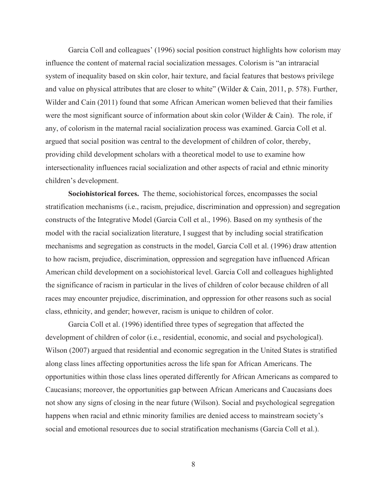Garcia Coll and colleagues' (1996) social position construct highlights how colorism may influence the content of maternal racial socialization messages. Colorism is "an intraracial system of inequality based on skin color, hair texture, and facial features that bestows privilege and value on physical attributes that are closer to white" (Wilder & Cain, 2011, p. 578). Further, Wilder and Cain (2011) found that some African American women believed that their families were the most significant source of information about skin color (Wilder  $& Can$ ). The role, if any, of colorism in the maternal racial socialization process was examined. Garcia Coll et al. argued that social position was central to the development of children of color, thereby, providing child development scholars with a theoretical model to use to examine how intersectionality influences racial socialization and other aspects of racial and ethnic minority children's development.

**Sociohistorical forces.** The theme, sociohistorical forces, encompasses the social stratification mechanisms (i.e., racism, prejudice, discrimination and oppression) and segregation constructs of the Integrative Model (Garcia Coll et al., 1996). Based on my synthesis of the model with the racial socialization literature, I suggest that by including social stratification mechanisms and segregation as constructs in the model, Garcia Coll et al. (1996) draw attention to how racism, prejudice, discrimination, oppression and segregation have influenced African American child development on a sociohistorical level. Garcia Coll and colleagues highlighted the significance of racism in particular in the lives of children of color because children of all races may encounter prejudice, discrimination, and oppression for other reasons such as social class, ethnicity, and gender; however, racism is unique to children of color.

 Garcia Coll et al. (1996) identified three types of segregation that affected the development of children of color (i.e., residential, economic, and social and psychological). Wilson (2007) argued that residential and economic segregation in the United States is stratified along class lines affecting opportunities across the life span for African Americans. The opportunities within those class lines operated differently for African Americans as compared to Caucasians; moreover, the opportunities gap between African Americans and Caucasians does not show any signs of closing in the near future (Wilson). Social and psychological segregation happens when racial and ethnic minority families are denied access to mainstream society's social and emotional resources due to social stratification mechanisms (Garcia Coll et al.).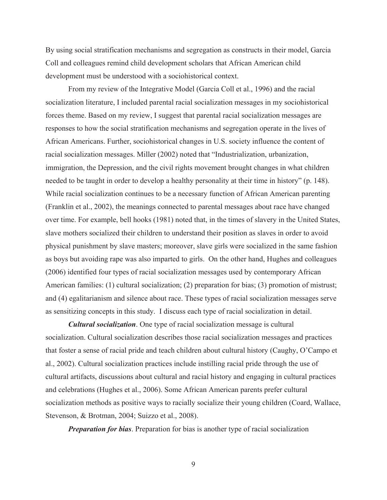By using social stratification mechanisms and segregation as constructs in their model, Garcia Coll and colleagues remind child development scholars that African American child development must be understood with a sociohistorical context.

From my review of the Integrative Model (Garcia Coll et al., 1996) and the racial socialization literature, I included parental racial socialization messages in my sociohistorical forces theme. Based on my review, I suggest that parental racial socialization messages are responses to how the social stratification mechanisms and segregation operate in the lives of African Americans. Further, sociohistorical changes in U.S. society influence the content of racial socialization messages. Miller (2002) noted that "Industrialization, urbanization, immigration, the Depression, and the civil rights movement brought changes in what children needed to be taught in order to develop a healthy personality at their time in history" (p. 148). While racial socialization continues to be a necessary function of African American parenting (Franklin et al., 2002), the meanings connected to parental messages about race have changed over time. For example, bell hooks (1981) noted that, in the times of slavery in the United States, slave mothers socialized their children to understand their position as slaves in order to avoid physical punishment by slave masters; moreover, slave girls were socialized in the same fashion as boys but avoiding rape was also imparted to girls. On the other hand, Hughes and colleagues (2006) identified four types of racial socialization messages used by contemporary African American families: (1) cultural socialization; (2) preparation for bias; (3) promotion of mistrust; and (4) egalitarianism and silence about race. These types of racial socialization messages serve as sensitizing concepts in this study. I discuss each type of racial socialization in detail.

*Cultural socialization*. One type of racial socialization message is cultural socialization. Cultural socialization describes those racial socialization messages and practices that foster a sense of racial pride and teach children about cultural history (Caughy, O'Campo et al., 2002). Cultural socialization practices include instilling racial pride through the use of cultural artifacts, discussions about cultural and racial history and engaging in cultural practices and celebrations (Hughes et al., 2006). Some African American parents prefer cultural socialization methods as positive ways to racially socialize their young children (Coard, Wallace, Stevenson, & Brotman, 2004; Suizzo et al., 2008).

*Preparation for bias*. Preparation for bias is another type of racial socialization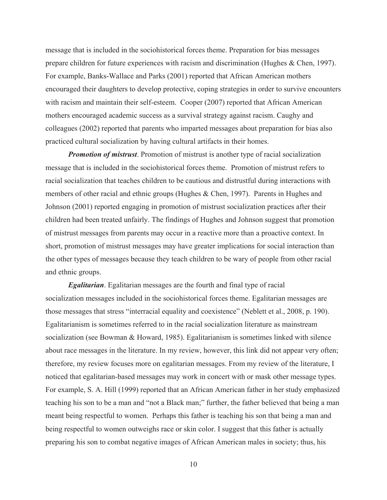message that is included in the sociohistorical forces theme. Preparation for bias messages prepare children for future experiences with racism and discrimination (Hughes & Chen, 1997). For example, Banks-Wallace and Parks (2001) reported that African American mothers encouraged their daughters to develop protective, coping strategies in order to survive encounters with racism and maintain their self-esteem. Cooper (2007) reported that African American mothers encouraged academic success as a survival strategy against racism. Caughy and colleagues (2002) reported that parents who imparted messages about preparation for bias also practiced cultural socialization by having cultural artifacts in their homes.

*Promotion of mistrust*. Promotion of mistrust is another type of racial socialization message that is included in the sociohistorical forces theme. Promotion of mistrust refers to racial socialization that teaches children to be cautious and distrustful during interactions with members of other racial and ethnic groups (Hughes & Chen, 1997). Parents in Hughes and Johnson (2001) reported engaging in promotion of mistrust socialization practices after their children had been treated unfairly. The findings of Hughes and Johnson suggest that promotion of mistrust messages from parents may occur in a reactive more than a proactive context. In short, promotion of mistrust messages may have greater implications for social interaction than the other types of messages because they teach children to be wary of people from other racial and ethnic groups.

*Egalitarian*. Egalitarian messages are the fourth and final type of racial socialization messages included in the sociohistorical forces theme. Egalitarian messages are those messages that stress "interracial equality and coexistence" (Neblett et al., 2008, p. 190). Egalitarianism is sometimes referred to in the racial socialization literature as mainstream socialization (see Bowman & Howard, 1985). Egalitarianism is sometimes linked with silence about race messages in the literature. In my review, however, this link did not appear very often; therefore, my review focuses more on egalitarian messages. From my review of the literature, I noticed that egalitarian-based messages may work in concert with or mask other message types. For example, S. A. Hill (1999) reported that an African American father in her study emphasized teaching his son to be a man and "not a Black man;" further, the father believed that being a man meant being respectful to women. Perhaps this father is teaching his son that being a man and being respectful to women outweighs race or skin color. I suggest that this father is actually preparing his son to combat negative images of African American males in society; thus, his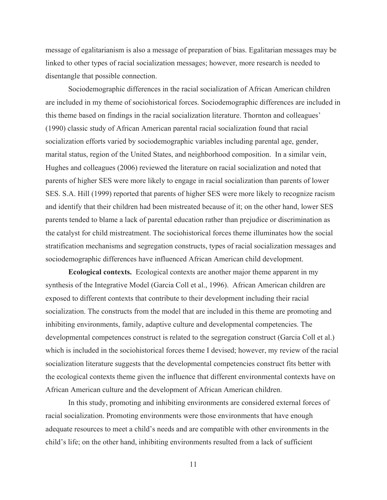message of egalitarianism is also a message of preparation of bias. Egalitarian messages may be linked to other types of racial socialization messages; however, more research is needed to disentangle that possible connection.

Sociodemographic differences in the racial socialization of African American children are included in my theme of sociohistorical forces. Sociodemographic differences are included in this theme based on findings in the racial socialization literature. Thornton and colleagues' (1990) classic study of African American parental racial socialization found that racial socialization efforts varied by sociodemographic variables including parental age, gender, marital status, region of the United States, and neighborhood composition. In a similar vein, Hughes and colleagues (2006) reviewed the literature on racial socialization and noted that parents of higher SES were more likely to engage in racial socialization than parents of lower SES. S.A. Hill (1999) reported that parents of higher SES were more likely to recognize racism and identify that their children had been mistreated because of it; on the other hand, lower SES parents tended to blame a lack of parental education rather than prejudice or discrimination as the catalyst for child mistreatment. The sociohistorical forces theme illuminates how the social stratification mechanisms and segregation constructs, types of racial socialization messages and sociodemographic differences have influenced African American child development.

**Ecological contexts.** Ecological contexts are another major theme apparent in my synthesis of the Integrative Model (Garcia Coll et al., 1996). African American children are exposed to different contexts that contribute to their development including their racial socialization. The constructs from the model that are included in this theme are promoting and inhibiting environments, family, adaptive culture and developmental competencies. The developmental competences construct is related to the segregation construct (Garcia Coll et al.) which is included in the sociohistorical forces theme I devised; however, my review of the racial socialization literature suggests that the developmental competencies construct fits better with the ecological contexts theme given the influence that different environmental contexts have on African American culture and the development of African American children.

In this study, promoting and inhibiting environments are considered external forces of racial socialization. Promoting environments were those environments that have enough adequate resources to meet a child's needs and are compatible with other environments in the child's life; on the other hand, inhibiting environments resulted from a lack of sufficient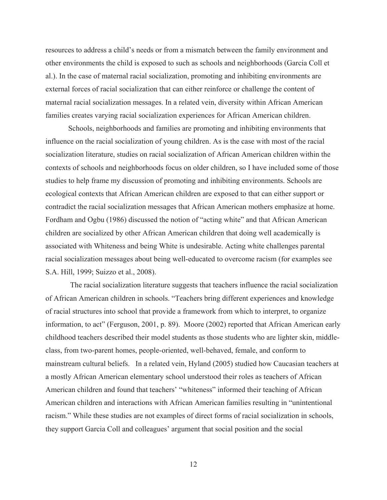resources to address a child's needs or from a mismatch between the family environment and other environments the child is exposed to such as schools and neighborhoods (Garcia Coll et al.). In the case of maternal racial socialization, promoting and inhibiting environments are external forces of racial socialization that can either reinforce or challenge the content of maternal racial socialization messages. In a related vein, diversity within African American families creates varying racial socialization experiences for African American children.

Schools, neighborhoods and families are promoting and inhibiting environments that influence on the racial socialization of young children. As is the case with most of the racial socialization literature, studies on racial socialization of African American children within the contexts of schools and neighborhoods focus on older children, so I have included some of those studies to help frame my discussion of promoting and inhibiting environments. Schools are ecological contexts that African American children are exposed to that can either support or contradict the racial socialization messages that African American mothers emphasize at home. Fordham and Ogbu (1986) discussed the notion of "acting white" and that African American children are socialized by other African American children that doing well academically is associated with Whiteness and being White is undesirable. Acting white challenges parental racial socialization messages about being well-educated to overcome racism (for examples see S.A. Hill, 1999; Suizzo et al., 2008).

 The racial socialization literature suggests that teachers influence the racial socialization of African American children in schools. "Teachers bring different experiences and knowledge of racial structures into school that provide a framework from which to interpret, to organize information, to act" (Ferguson, 2001, p. 89). Moore (2002) reported that African American early childhood teachers described their model students as those students who are lighter skin, middleclass, from two-parent homes, people-oriented, well-behaved, female, and conform to mainstream cultural beliefs. In a related vein, Hyland (2005) studied how Caucasian teachers at a mostly African American elementary school understood their roles as teachers of African American children and found that teachers' "whiteness" informed their teaching of African American children and interactions with African American families resulting in "unintentional racism." While these studies are not examples of direct forms of racial socialization in schools, they support Garcia Coll and colleagues' argument that social position and the social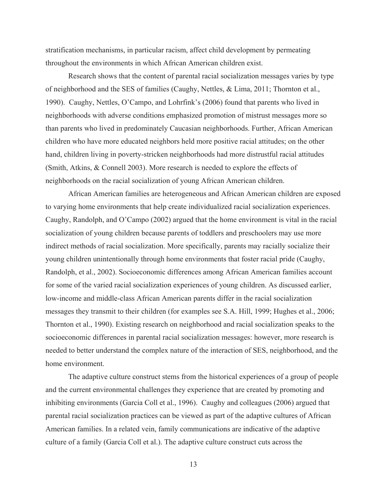stratification mechanisms, in particular racism, affect child development by permeating throughout the environments in which African American children exist.

Research shows that the content of parental racial socialization messages varies by type of neighborhood and the SES of families (Caughy, Nettles, & Lima, 2011; Thornton et al., 1990). Caughy, Nettles, O'Campo, and Lohrfink's (2006) found that parents who lived in neighborhoods with adverse conditions emphasized promotion of mistrust messages more so than parents who lived in predominately Caucasian neighborhoods. Further, African American children who have more educated neighbors held more positive racial attitudes; on the other hand, children living in poverty-stricken neighborhoods had more distrustful racial attitudes (Smith, Atkins, & Connell 2003). More research is needed to explore the effects of neighborhoods on the racial socialization of young African American children.

African American families are heterogeneous and African American children are exposed to varying home environments that help create individualized racial socialization experiences. Caughy, Randolph, and O'Campo (2002) argued that the home environment is vital in the racial socialization of young children because parents of toddlers and preschoolers may use more indirect methods of racial socialization. More specifically, parents may racially socialize their young children unintentionally through home environments that foster racial pride (Caughy, Randolph, et al., 2002). Socioeconomic differences among African American families account for some of the varied racial socialization experiences of young children. As discussed earlier, low-income and middle-class African American parents differ in the racial socialization messages they transmit to their children (for examples see S.A. Hill, 1999; Hughes et al., 2006; Thornton et al., 1990). Existing research on neighborhood and racial socialization speaks to the socioeconomic differences in parental racial socialization messages: however, more research is needed to better understand the complex nature of the interaction of SES, neighborhood, and the home environment.

The adaptive culture construct stems from the historical experiences of a group of people and the current environmental challenges they experience that are created by promoting and inhibiting environments (Garcia Coll et al., 1996). Caughy and colleagues (2006) argued that parental racial socialization practices can be viewed as part of the adaptive cultures of African American families. In a related vein, family communications are indicative of the adaptive culture of a family (Garcia Coll et al.). The adaptive culture construct cuts across the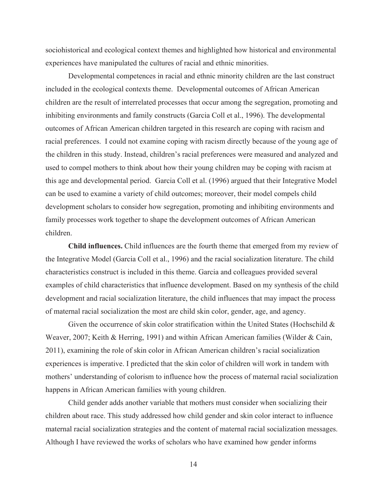sociohistorical and ecological context themes and highlighted how historical and environmental experiences have manipulated the cultures of racial and ethnic minorities.

Developmental competences in racial and ethnic minority children are the last construct included in the ecological contexts theme. Developmental outcomes of African American children are the result of interrelated processes that occur among the segregation, promoting and inhibiting environments and family constructs (Garcia Coll et al., 1996). The developmental outcomes of African American children targeted in this research are coping with racism and racial preferences. I could not examine coping with racism directly because of the young age of the children in this study. Instead, children's racial preferences were measured and analyzed and used to compel mothers to think about how their young children may be coping with racism at this age and developmental period. Garcia Coll et al. (1996) argued that their Integrative Model can be used to examine a variety of child outcomes; moreover, their model compels child development scholars to consider how segregation, promoting and inhibiting environments and family processes work together to shape the development outcomes of African American children.

**Child influences.** Child influences are the fourth theme that emerged from my review of the Integrative Model (Garcia Coll et al., 1996) and the racial socialization literature. The child characteristics construct is included in this theme. Garcia and colleagues provided several examples of child characteristics that influence development. Based on my synthesis of the child development and racial socialization literature, the child influences that may impact the process of maternal racial socialization the most are child skin color, gender, age, and agency.

Given the occurrence of skin color stratification within the United States (Hochschild  $\&$ Weaver, 2007; Keith & Herring, 1991) and within African American families (Wilder & Cain, 2011), examining the role of skin color in African American children's racial socialization experiences is imperative. I predicted that the skin color of children will work in tandem with mothers' understanding of colorism to influence how the process of maternal racial socialization happens in African American families with young children.

Child gender adds another variable that mothers must consider when socializing their children about race. This study addressed how child gender and skin color interact to influence maternal racial socialization strategies and the content of maternal racial socialization messages. Although I have reviewed the works of scholars who have examined how gender informs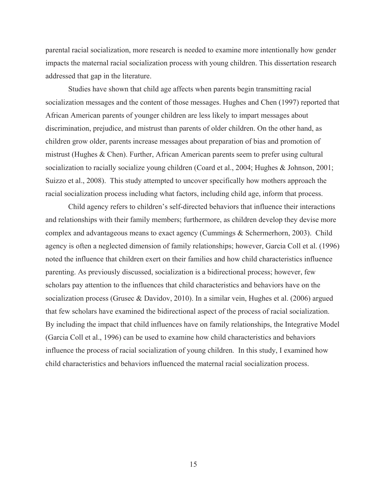parental racial socialization, more research is needed to examine more intentionally how gender impacts the maternal racial socialization process with young children. This dissertation research addressed that gap in the literature.

Studies have shown that child age affects when parents begin transmitting racial socialization messages and the content of those messages. Hughes and Chen (1997) reported that African American parents of younger children are less likely to impart messages about discrimination, prejudice, and mistrust than parents of older children. On the other hand, as children grow older, parents increase messages about preparation of bias and promotion of mistrust (Hughes & Chen). Further, African American parents seem to prefer using cultural socialization to racially socialize young children (Coard et al., 2004; Hughes & Johnson, 2001; Suizzo et al., 2008). This study attempted to uncover specifically how mothers approach the racial socialization process including what factors, including child age, inform that process.

Child agency refers to children's self-directed behaviors that influence their interactions and relationships with their family members; furthermore, as children develop they devise more complex and advantageous means to exact agency (Cummings & Schermerhorn, 2003). Child agency is often a neglected dimension of family relationships; however, Garcia Coll et al. (1996) noted the influence that children exert on their families and how child characteristics influence parenting. As previously discussed, socialization is a bidirectional process; however, few scholars pay attention to the influences that child characteristics and behaviors have on the socialization process (Grusec & Davidov, 2010). In a similar vein, Hughes et al. (2006) argued that few scholars have examined the bidirectional aspect of the process of racial socialization. By including the impact that child influences have on family relationships, the Integrative Model (Garcia Coll et al., 1996) can be used to examine how child characteristics and behaviors influence the process of racial socialization of young children. In this study, I examined how child characteristics and behaviors influenced the maternal racial socialization process.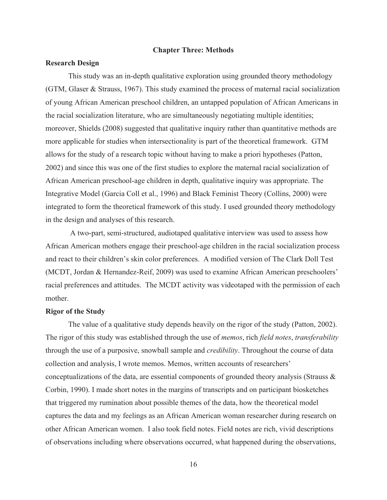## **Chapter Three: Methods**

#### **Research Design**

This study was an in-depth qualitative exploration using grounded theory methodology (GTM, Glaser & Strauss, 1967). This study examined the process of maternal racial socialization of young African American preschool children, an untapped population of African Americans in the racial socialization literature, who are simultaneously negotiating multiple identities; moreover, Shields (2008) suggested that qualitative inquiry rather than quantitative methods are more applicable for studies when intersectionality is part of the theoretical framework. GTM allows for the study of a research topic without having to make a priori hypotheses (Patton, 2002) and since this was one of the first studies to explore the maternal racial socialization of African American preschool-age children in depth, qualitative inquiry was appropriate. The Integrative Model (Garcia Coll et al., 1996) and Black Feminist Theory (Collins, 2000) were integrated to form the theoretical framework of this study. I used grounded theory methodology in the design and analyses of this research.

 A two-part, semi-structured, audiotaped qualitative interview was used to assess how African American mothers engage their preschool-age children in the racial socialization process and react to their children's skin color preferences. A modified version of The Clark Doll Test (MCDT, Jordan & Hernandez-Reif, 2009) was used to examine African American preschoolers' racial preferences and attitudes. The MCDT activity was videotaped with the permission of each mother.

#### **Rigor of the Study**

The value of a qualitative study depends heavily on the rigor of the study (Patton, 2002). The rigor of this study was established through the use of *memos*, rich *field notes*, *transferability* through the use of a purposive, snowball sample and *credibility*. Throughout the course of data collection and analysis, I wrote memos. Memos, written accounts of researchers' conceptualizations of the data, are essential components of grounded theory analysis (Strauss  $\&$ Corbin, 1990). I made short notes in the margins of transcripts and on participant biosketches that triggered my rumination about possible themes of the data, how the theoretical model captures the data and my feelings as an African American woman researcher during research on other African American women. I also took field notes. Field notes are rich, vivid descriptions of observations including where observations occurred, what happened during the observations,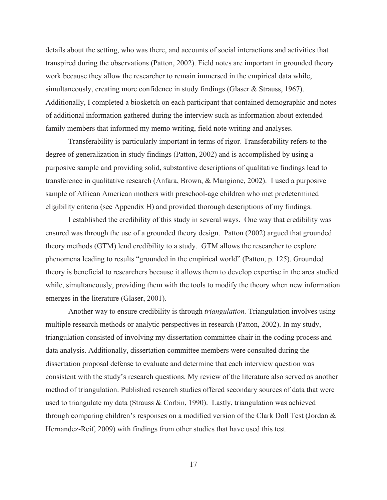details about the setting, who was there, and accounts of social interactions and activities that transpired during the observations (Patton, 2002). Field notes are important in grounded theory work because they allow the researcher to remain immersed in the empirical data while, simultaneously, creating more confidence in study findings (Glaser & Strauss, 1967). Additionally, I completed a biosketch on each participant that contained demographic and notes of additional information gathered during the interview such as information about extended family members that informed my memo writing, field note writing and analyses.

Transferability is particularly important in terms of rigor. Transferability refers to the degree of generalization in study findings (Patton, 2002) and is accomplished by using a purposive sample and providing solid, substantive descriptions of qualitative findings lead to transference in qualitative research (Anfara, Brown, & Mangione, 2002). I used a purposive sample of African American mothers with preschool-age children who met predetermined eligibility criteria (see Appendix H) and provided thorough descriptions of my findings.

I established the credibility of this study in several ways. One way that credibility was ensured was through the use of a grounded theory design. Patton (2002) argued that grounded theory methods (GTM) lend credibility to a study. GTM allows the researcher to explore phenomena leading to results "grounded in the empirical world" (Patton, p. 125). Grounded theory is beneficial to researchers because it allows them to develop expertise in the area studied while, simultaneously, providing them with the tools to modify the theory when new information emerges in the literature (Glaser, 2001).

Another way to ensure credibility is through *triangulation.* Triangulation involves using multiple research methods or analytic perspectives in research (Patton, 2002). In my study, triangulation consisted of involving my dissertation committee chair in the coding process and data analysis. Additionally, dissertation committee members were consulted during the dissertation proposal defense to evaluate and determine that each interview question was consistent with the study's research questions. My review of the literature also served as another method of triangulation. Published research studies offered secondary sources of data that were used to triangulate my data (Strauss & Corbin, 1990). Lastly, triangulation was achieved through comparing children's responses on a modified version of the Clark Doll Test (Jordan & Hernandez-Reif, 2009) with findings from other studies that have used this test.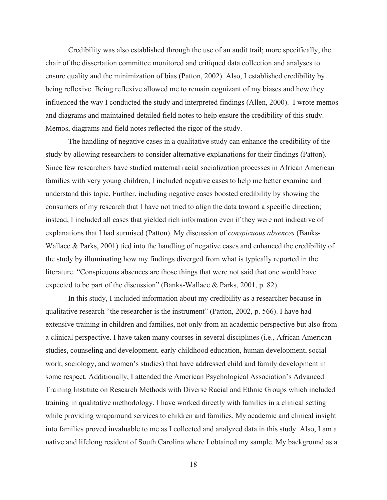Credibility was also established through the use of an audit trail; more specifically, the chair of the dissertation committee monitored and critiqued data collection and analyses to ensure quality and the minimization of bias (Patton, 2002). Also, I established credibility by being reflexive. Being reflexive allowed me to remain cognizant of my biases and how they influenced the way I conducted the study and interpreted findings (Allen, 2000). I wrote memos and diagrams and maintained detailed field notes to help ensure the credibility of this study. Memos, diagrams and field notes reflected the rigor of the study.

The handling of negative cases in a qualitative study can enhance the credibility of the study by allowing researchers to consider alternative explanations for their findings (Patton). Since few researchers have studied maternal racial socialization processes in African American families with very young children, I included negative cases to help me better examine and understand this topic. Further, including negative cases boosted credibility by showing the consumers of my research that I have not tried to align the data toward a specific direction; instead, I included all cases that yielded rich information even if they were not indicative of explanations that I had surmised (Patton). My discussion of *conspicuous absences* (Banks-Wallace & Parks, 2001) tied into the handling of negative cases and enhanced the credibility of the study by illuminating how my findings diverged from what is typically reported in the literature. "Conspicuous absences are those things that were not said that one would have expected to be part of the discussion" (Banks-Wallace & Parks, 2001, p. 82).

In this study, I included information about my credibility as a researcher because in qualitative research "the researcher is the instrument" (Patton, 2002, p. 566). I have had extensive training in children and families, not only from an academic perspective but also from a clinical perspective. I have taken many courses in several disciplines (i.e., African American studies, counseling and development, early childhood education, human development, social work, sociology, and women's studies) that have addressed child and family development in some respect. Additionally, I attended the American Psychological Association's Advanced Training Institute on Research Methods with Diverse Racial and Ethnic Groups which included training in qualitative methodology. I have worked directly with families in a clinical setting while providing wraparound services to children and families. My academic and clinical insight into families proved invaluable to me as I collected and analyzed data in this study. Also, I am a native and lifelong resident of South Carolina where I obtained my sample. My background as a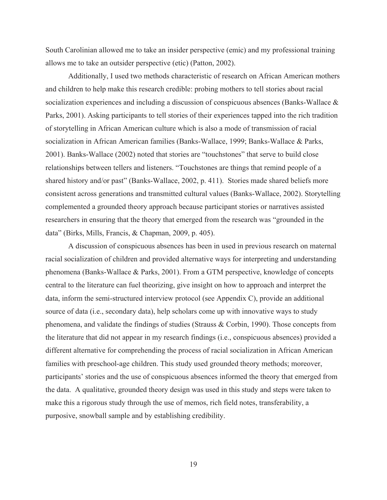South Carolinian allowed me to take an insider perspective (emic) and my professional training allows me to take an outsider perspective (etic) (Patton, 2002).

Additionally, I used two methods characteristic of research on African American mothers and children to help make this research credible: probing mothers to tell stories about racial socialization experiences and including a discussion of conspicuous absences (Banks-Wallace & Parks, 2001). Asking participants to tell stories of their experiences tapped into the rich tradition of storytelling in African American culture which is also a mode of transmission of racial socialization in African American families (Banks-Wallace, 1999; Banks-Wallace & Parks, 2001). Banks-Wallace (2002) noted that stories are "touchstones" that serve to build close relationships between tellers and listeners. "Touchstones are things that remind people of a shared history and/or past" (Banks-Wallace, 2002, p. 411). Stories made shared beliefs more consistent across generations and transmitted cultural values (Banks-Wallace, 2002). Storytelling complemented a grounded theory approach because participant stories or narratives assisted researchers in ensuring that the theory that emerged from the research was "grounded in the data" (Birks, Mills, Francis, & Chapman, 2009, p. 405).

A discussion of conspicuous absences has been in used in previous research on maternal racial socialization of children and provided alternative ways for interpreting and understanding phenomena (Banks-Wallace & Parks, 2001). From a GTM perspective, knowledge of concepts central to the literature can fuel theorizing, give insight on how to approach and interpret the data, inform the semi-structured interview protocol (see Appendix C), provide an additional source of data (i.e., secondary data), help scholars come up with innovative ways to study phenomena, and validate the findings of studies (Strauss & Corbin, 1990). Those concepts from the literature that did not appear in my research findings (i.e., conspicuous absences) provided a different alternative for comprehending the process of racial socialization in African American families with preschool-age children. This study used grounded theory methods; moreover, participants' stories and the use of conspicuous absences informed the theory that emerged from the data. A qualitative, grounded theory design was used in this study and steps were taken to make this a rigorous study through the use of memos, rich field notes, transferability, a purposive, snowball sample and by establishing credibility.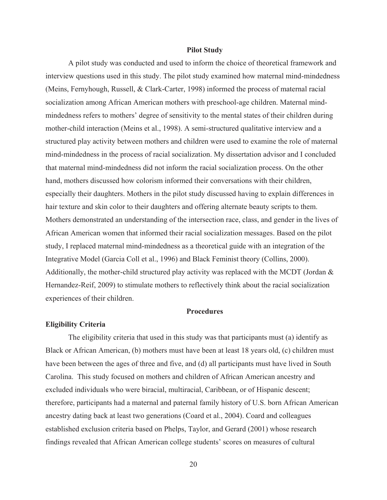#### **Pilot Study**

A pilot study was conducted and used to inform the choice of theoretical framework and interview questions used in this study. The pilot study examined how maternal mind-mindedness (Meins, Fernyhough, Russell, & Clark-Carter, 1998) informed the process of maternal racial socialization among African American mothers with preschool-age children. Maternal mindmindedness refers to mothers' degree of sensitivity to the mental states of their children during mother-child interaction (Meins et al., 1998). A semi-structured qualitative interview and a structured play activity between mothers and children were used to examine the role of maternal mind-mindedness in the process of racial socialization. My dissertation advisor and I concluded that maternal mind-mindedness did not inform the racial socialization process. On the other hand, mothers discussed how colorism informed their conversations with their children, especially their daughters. Mothers in the pilot study discussed having to explain differences in hair texture and skin color to their daughters and offering alternate beauty scripts to them. Mothers demonstrated an understanding of the intersection race, class, and gender in the lives of African American women that informed their racial socialization messages. Based on the pilot study, I replaced maternal mind-mindedness as a theoretical guide with an integration of the Integrative Model (Garcia Coll et al., 1996) and Black Feminist theory (Collins, 2000). Additionally, the mother-child structured play activity was replaced with the MCDT (Jordan & Hernandez-Reif, 2009) to stimulate mothers to reflectively think about the racial socialization experiences of their children.

## **Procedures**

## **Eligibility Criteria**

The eligibility criteria that used in this study was that participants must (a) identify as Black or African American, (b) mothers must have been at least 18 years old, (c) children must have been between the ages of three and five, and (d) all participants must have lived in South Carolina. This study focused on mothers and children of African American ancestry and excluded individuals who were biracial, multiracial, Caribbean, or of Hispanic descent; therefore, participants had a maternal and paternal family history of U.S. born African American ancestry dating back at least two generations (Coard et al., 2004). Coard and colleagues established exclusion criteria based on Phelps, Taylor, and Gerard (2001) whose research findings revealed that African American college students' scores on measures of cultural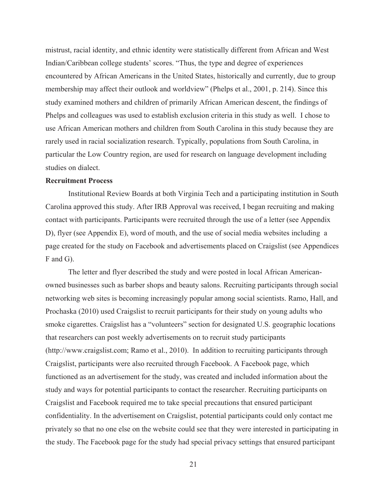mistrust, racial identity, and ethnic identity were statistically different from African and West Indian/Caribbean college students' scores. "Thus, the type and degree of experiences encountered by African Americans in the United States, historically and currently, due to group membership may affect their outlook and worldview" (Phelps et al., 2001, p. 214). Since this study examined mothers and children of primarily African American descent, the findings of Phelps and colleagues was used to establish exclusion criteria in this study as well. I chose to use African American mothers and children from South Carolina in this study because they are rarely used in racial socialization research. Typically, populations from South Carolina, in particular the Low Country region, are used for research on language development including studies on dialect.

## **Recruitment Process**

Institutional Review Boards at both Virginia Tech and a participating institution in South Carolina approved this study. After IRB Approval was received, I began recruiting and making contact with participants. Participants were recruited through the use of a letter (see Appendix D), flyer (see Appendix E), word of mouth, and the use of social media websites including a page created for the study on Facebook and advertisements placed on Craigslist (see Appendices F and G).

The letter and flyer described the study and were posted in local African Americanowned businesses such as barber shops and beauty salons. Recruiting participants through social networking web sites is becoming increasingly popular among social scientists. Ramo, Hall, and Prochaska (2010) used Craigslist to recruit participants for their study on young adults who smoke cigarettes. Craigslist has a "volunteers" section for designated U.S. geographic locations that researchers can post weekly advertisements on to recruit study participants (http://www.craigslist.com; Ramo et al., 2010). In addition to recruiting participants through Craigslist, participants were also recruited through Facebook. A Facebook page, which functioned as an advertisement for the study, was created and included information about the study and ways for potential participants to contact the researcher. Recruiting participants on Craigslist and Facebook required me to take special precautions that ensured participant confidentiality. In the advertisement on Craigslist, potential participants could only contact me privately so that no one else on the website could see that they were interested in participating in the study. The Facebook page for the study had special privacy settings that ensured participant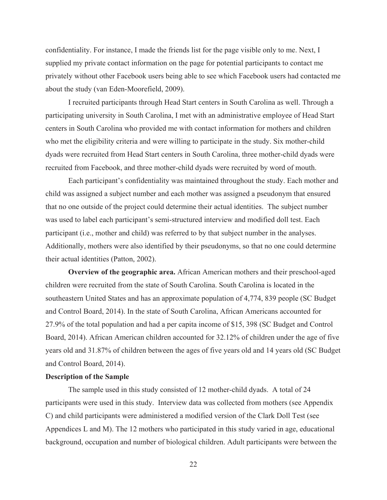confidentiality. For instance, I made the friends list for the page visible only to me. Next, I supplied my private contact information on the page for potential participants to contact me privately without other Facebook users being able to see which Facebook users had contacted me about the study (van Eden-Moorefield, 2009).

I recruited participants through Head Start centers in South Carolina as well. Through a participating university in South Carolina, I met with an administrative employee of Head Start centers in South Carolina who provided me with contact information for mothers and children who met the eligibility criteria and were willing to participate in the study. Six mother-child dyads were recruited from Head Start centers in South Carolina, three mother-child dyads were recruited from Facebook, and three mother-child dyads were recruited by word of mouth.

Each participant's confidentiality was maintained throughout the study. Each mother and child was assigned a subject number and each mother was assigned a pseudonym that ensured that no one outside of the project could determine their actual identities. The subject number was used to label each participant's semi-structured interview and modified doll test. Each participant (i.e., mother and child) was referred to by that subject number in the analyses. Additionally, mothers were also identified by their pseudonyms, so that no one could determine their actual identities (Patton, 2002).

**Overview of the geographic area.** African American mothers and their preschool-aged children were recruited from the state of South Carolina. South Carolina is located in the southeastern United States and has an approximate population of 4,774, 839 people (SC Budget and Control Board, 2014). In the state of South Carolina, African Americans accounted for 27.9% of the total population and had a per capita income of \$15, 398 (SC Budget and Control Board, 2014). African American children accounted for 32.12% of children under the age of five years old and 31.87% of children between the ages of five years old and 14 years old (SC Budget and Control Board, 2014).

#### **Description of the Sample**

The sample used in this study consisted of 12 mother-child dyads. A total of 24 participants were used in this study. Interview data was collected from mothers (see Appendix C) and child participants were administered a modified version of the Clark Doll Test (see Appendices L and M). The 12 mothers who participated in this study varied in age, educational background, occupation and number of biological children. Adult participants were between the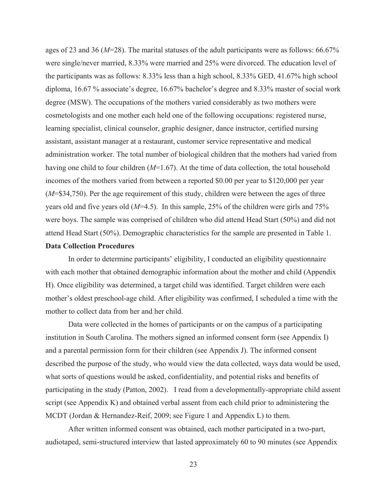ages of 23 and 36 (*M*=28). The marital statuses of the adult participants were as follows: 66.67% were single/never married, 8.33% were married and 25% were divorced. The education level of the participants was as follows: 8.33% less than a high school, 8.33% GED, 41.67% high school diploma, 16.67 % associate's degree, 16.67% bachelor's degree and 8.33% master of social work degree (MSW). The occupations of the mothers varied considerably as two mothers were cosmetologists and one mother each held one of the following occupations: registered nurse, learning specialist, clinical counselor, graphic designer, dance instructor, certified nursing assistant, assistant manager at a restaurant, customer service representative and medical administration worker. The total number of biological children that the mothers had varied from having one child to four children (*M*=1.67). At the time of data collection, the total household incomes of the mothers varied from between a reported \$0.00 per year to \$120,000 per year (*M*=\$34,750). Per the age requirement of this study, children were between the ages of three years old and five years old (*M*=4.5). In this sample, 25% of the children were girls and 75% were boys. The sample was comprised of children who did attend Head Start (50%) and did not attend Head Start (50%). Demographic characteristics for the sample are presented in Table 1.

#### **Data Collection Procedures**

In order to determine participants' eligibility, I conducted an eligibility questionnaire with each mother that obtained demographic information about the mother and child (Appendix H). Once eligibility was determined, a target child was identified. Target children were each mother's oldest preschool-age child. After eligibility was confirmed, I scheduled a time with the mother to collect data from her and her child.

Data were collected in the homes of participants or on the campus of a participating institution in South Carolina. The mothers signed an informed consent form (see Appendix I) and a parental permission form for their children (see Appendix J). The informed consent described the purpose of the study, who would view the data collected, ways data would be used, what sorts of questions would be asked, confidentiality, and potential risks and benefits of participating in the study (Patton, 2002). I read from a developmentally-appropriate child assent script (see Appendix K) and obtained verbal assent from each child prior to administering the MCDT (Jordan & Hernandez-Reif, 2009; see Figure 1 and Appendix L) to them.

After written informed consent was obtained, each mother participated in a two-part, audiotaped, semi-structured interview that lasted approximately 60 to 90 minutes (see Appendix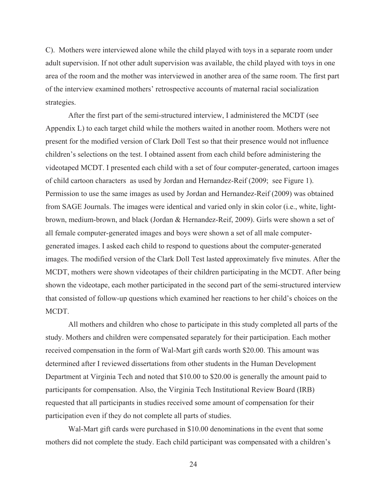C). Mothers were interviewed alone while the child played with toys in a separate room under adult supervision. If not other adult supervision was available, the child played with toys in one area of the room and the mother was interviewed in another area of the same room. The first part of the interview examined mothers' retrospective accounts of maternal racial socialization strategies.

After the first part of the semi-structured interview, I administered the MCDT (see Appendix L) to each target child while the mothers waited in another room. Mothers were not present for the modified version of Clark Doll Test so that their presence would not influence children's selections on the test. I obtained assent from each child before administering the videotaped MCDT. I presented each child with a set of four computer-generated, cartoon images of child cartoon characters as used by Jordan and Hernandez-Reif (2009; see Figure 1). Permission to use the same images as used by Jordan and Hernandez-Reif (2009) was obtained from SAGE Journals. The images were identical and varied only in skin color (i.e., white, lightbrown, medium-brown, and black (Jordan & Hernandez-Reif, 2009). Girls were shown a set of all female computer-generated images and boys were shown a set of all male computergenerated images. I asked each child to respond to questions about the computer-generated images. The modified version of the Clark Doll Test lasted approximately five minutes. After the MCDT, mothers were shown videotapes of their children participating in the MCDT. After being shown the videotape, each mother participated in the second part of the semi-structured interview that consisted of follow-up questions which examined her reactions to her child's choices on the MCDT.

All mothers and children who chose to participate in this study completed all parts of the study. Mothers and children were compensated separately for their participation. Each mother received compensation in the form of Wal-Mart gift cards worth \$20.00. This amount was determined after I reviewed dissertations from other students in the Human Development Department at Virginia Tech and noted that \$10.00 to \$20.00 is generally the amount paid to participants for compensation. Also, the Virginia Tech Institutional Review Board (IRB) requested that all participants in studies received some amount of compensation for their participation even if they do not complete all parts of studies.

Wal-Mart gift cards were purchased in \$10.00 denominations in the event that some mothers did not complete the study. Each child participant was compensated with a children's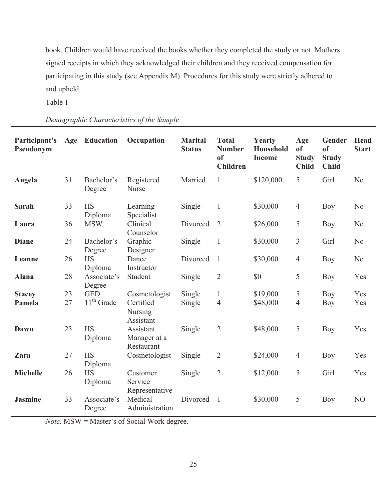book. Children would have received the books whether they completed the study or not. Mothers signed receipts in which they acknowledged their children and they received compensation for participating in this study (see Appendix M). Procedures for this study were strictly adhered to and upheld.

Table 1

*Demographic Characteristics of the Sample* 

| Participant's<br>Pseudonym | Age | Education             | Occupation                              | <b>Marital</b><br><b>Status</b> | <b>Total</b><br><b>Number</b><br><sub>of</sub><br><b>Children</b> | Yearly<br><b>Household</b><br><b>Income</b> | Age<br><sub>of</sub><br><b>Study</b><br><b>Child</b> | Gender<br><sub>of</sub><br><b>Study</b><br><b>Child</b> | <b>Head</b><br><b>Start</b> |
|----------------------------|-----|-----------------------|-----------------------------------------|---------------------------------|-------------------------------------------------------------------|---------------------------------------------|------------------------------------------------------|---------------------------------------------------------|-----------------------------|
| Angela                     | 31  | Bachelor's<br>Degree  | Registered<br>Nurse                     | Married                         | $\mathbf{1}$                                                      | \$120,000                                   | 5                                                    | Girl                                                    | N <sub>0</sub>              |
| Sarah                      | 33  | <b>HS</b><br>Diploma  | Learning<br>Specialist                  | Single                          | $\mathbf{1}$                                                      | \$30,000                                    | $\overline{4}$                                       | <b>Boy</b>                                              | N <sub>0</sub>              |
| Laura                      | 36  | <b>MSW</b>            | Clinical<br>Counselor                   | Divorced                        | $\overline{2}$                                                    | \$26,000                                    | 5                                                    | Boy                                                     | N <sub>o</sub>              |
| <b>Diane</b>               | 24  | Bachelor's<br>Degree  | Graphic<br>Designer                     | Single                          | $\mathbf{1}$                                                      | \$30,000                                    | $\overline{3}$                                       | Girl                                                    | N <sub>o</sub>              |
| Leanne                     | 26  | <b>HS</b><br>Diploma  | Dance<br>Instructor                     | Divorced                        | $\mathbf{1}$                                                      | \$30,000                                    | $\overline{4}$                                       | Boy                                                     | N <sub>o</sub>              |
| <b>Alana</b>               | 28  | Associate's<br>Degree | Student                                 | Single                          | $\overline{2}$                                                    | \$0                                         | 5                                                    | Boy                                                     | Yes                         |
| <b>Stacey</b>              | 23  | <b>GED</b>            | Cosmetologist                           | Single                          | $\mathbf{1}$                                                      | \$19,000                                    | 5                                                    | <b>Boy</b>                                              | Yes                         |
| Pamela                     | 27  | $11th$ Grade          | Certified<br>Nursing<br>Assistant       | Single                          | $\overline{4}$                                                    | \$48,000                                    | $\overline{4}$                                       | <b>Boy</b>                                              | Yes                         |
| Dawn                       | 23  | <b>HS</b><br>Diploma  | Assistant<br>Manager at a<br>Restaurant | Single                          | $\overline{2}$                                                    | \$48,000                                    | 5                                                    | Boy                                                     | Yes                         |
| Zara                       | 27  | <b>HS</b><br>Diploma  | Cosmetologist                           | Single                          | $\overline{2}$                                                    | \$24,000                                    | $\overline{4}$                                       | <b>Boy</b>                                              | Yes                         |
| <b>Michelle</b>            | 26  | <b>HS</b><br>Diploma  | Customer<br>Service<br>Representative   | Single                          | $\overline{2}$                                                    | \$12,000                                    | 5                                                    | Girl                                                    | Yes                         |
| <b>Jasmine</b>             | 33  | Associate's<br>Degree | Medical<br>Administration               | Divorced                        | $\mathbf{1}$                                                      | \$30,000                                    | 5                                                    | <b>Boy</b>                                              | N <sub>O</sub>              |

*Note.* MSW = Master's of Social Work degree.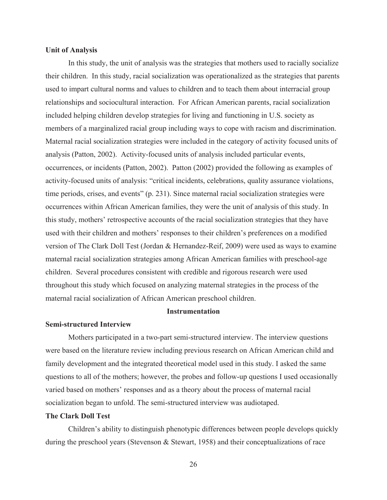# **Unit of Analysis**

In this study, the unit of analysis was the strategies that mothers used to racially socialize their children. In this study, racial socialization was operationalized as the strategies that parents used to impart cultural norms and values to children and to teach them about interracial group relationships and sociocultural interaction. For African American parents, racial socialization included helping children develop strategies for living and functioning in U.S. society as members of a marginalized racial group including ways to cope with racism and discrimination. Maternal racial socialization strategies were included in the category of activity focused units of analysis (Patton, 2002). Activity-focused units of analysis included particular events, occurrences, or incidents (Patton, 2002). Patton (2002) provided the following as examples of activity-focused units of analysis: "critical incidents, celebrations, quality assurance violations, time periods, crises, and events" (p. 231). Since maternal racial socialization strategies were occurrences within African American families, they were the unit of analysis of this study. In this study, mothers' retrospective accounts of the racial socialization strategies that they have used with their children and mothers' responses to their children's preferences on a modified version of The Clark Doll Test (Jordan & Hernandez-Reif, 2009) were used as ways to examine maternal racial socialization strategies among African American families with preschool-age children. Several procedures consistent with credible and rigorous research were used throughout this study which focused on analyzing maternal strategies in the process of the maternal racial socialization of African American preschool children.

# **Instrumentation**

# **Semi-structured Interview**

Mothers participated in a two-part semi-structured interview. The interview questions were based on the literature review including previous research on African American child and family development and the integrated theoretical model used in this study. I asked the same questions to all of the mothers; however, the probes and follow-up questions I used occasionally varied based on mothers' responses and as a theory about the process of maternal racial socialization began to unfold. The semi-structured interview was audiotaped.

#### **The Clark Doll Test**

Children's ability to distinguish phenotypic differences between people develops quickly during the preschool years (Stevenson & Stewart, 1958) and their conceptualizations of race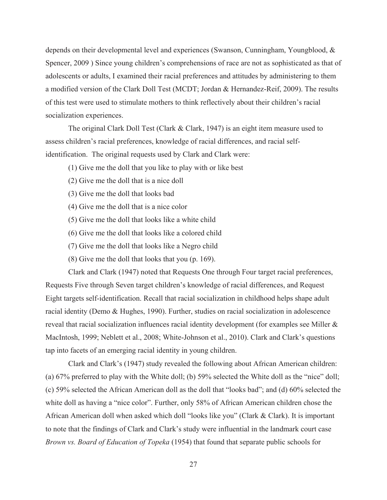depends on their developmental level and experiences (Swanson, Cunningham, Youngblood, & Spencer, 2009 ) Since young children's comprehensions of race are not as sophisticated as that of adolescents or adults, I examined their racial preferences and attitudes by administering to them a modified version of the Clark Doll Test (MCDT; Jordan & Hernandez-Reif, 2009). The results of this test were used to stimulate mothers to think reflectively about their children's racial socialization experiences.

The original Clark Doll Test (Clark & Clark, 1947) is an eight item measure used to assess children's racial preferences, knowledge of racial differences, and racial selfidentification. The original requests used by Clark and Clark were:

(1) Give me the doll that you like to play with or like best

- (2) Give me the doll that is a nice doll
- (3) Give me the doll that looks bad
- (4) Give me the doll that is a nice color
- (5) Give me the doll that looks like a white child
- (6) Give me the doll that looks like a colored child
- (7) Give me the doll that looks like a Negro child
- (8) Give me the doll that looks that you (p. 169).

Clark and Clark (1947) noted that Requests One through Four target racial preferences, Requests Five through Seven target children's knowledge of racial differences, and Request Eight targets self-identification. Recall that racial socialization in childhood helps shape adult racial identity (Demo & Hughes, 1990). Further, studies on racial socialization in adolescence reveal that racial socialization influences racial identity development (for examples see Miller & MacIntosh, 1999; Neblett et al., 2008; White-Johnson et al., 2010). Clark and Clark's questions tap into facets of an emerging racial identity in young children.

Clark and Clark's (1947) study revealed the following about African American children: (a) 67% preferred to play with the White doll; (b) 59% selected the White doll as the "nice" doll; (c) 59% selected the African American doll as the doll that "looks bad"; and (d) 60% selected the white doll as having a "nice color". Further, only 58% of African American children chose the African American doll when asked which doll "looks like you" (Clark & Clark). It is important to note that the findings of Clark and Clark's study were influential in the landmark court case *Brown vs. Board of Education of Topeka* (1954) that found that separate public schools for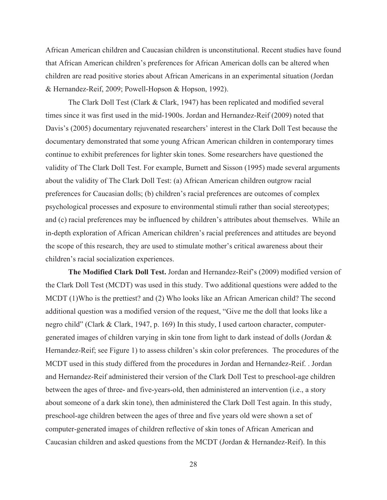African American children and Caucasian children is unconstitutional. Recent studies have found that African American children's preferences for African American dolls can be altered when children are read positive stories about African Americans in an experimental situation (Jordan & Hernandez-Reif, 2009; Powell-Hopson & Hopson, 1992).

The Clark Doll Test (Clark & Clark, 1947) has been replicated and modified several times since it was first used in the mid-1900s. Jordan and Hernandez-Reif (2009) noted that Davis's (2005) documentary rejuvenated researchers' interest in the Clark Doll Test because the documentary demonstrated that some young African American children in contemporary times continue to exhibit preferences for lighter skin tones. Some researchers have questioned the validity of The Clark Doll Test. For example, Burnett and Sisson (1995) made several arguments about the validity of The Clark Doll Test: (a) African American children outgrow racial preferences for Caucasian dolls; (b) children's racial preferences are outcomes of complex psychological processes and exposure to environmental stimuli rather than social stereotypes; and (c) racial preferences may be influenced by children's attributes about themselves. While an in-depth exploration of African American children's racial preferences and attitudes are beyond the scope of this research, they are used to stimulate mother's critical awareness about their children's racial socialization experiences.

**The Modified Clark Doll Test.** Jordan and Hernandez-Reif's (2009) modified version of the Clark Doll Test (MCDT) was used in this study. Two additional questions were added to the MCDT (1)Who is the prettiest? and (2) Who looks like an African American child? The second additional question was a modified version of the request, "Give me the doll that looks like a negro child" (Clark & Clark, 1947, p. 169) In this study, I used cartoon character, computergenerated images of children varying in skin tone from light to dark instead of dolls (Jordan & Hernandez-Reif; see Figure 1) to assess children's skin color preferences. The procedures of the MCDT used in this study differed from the procedures in Jordan and Hernandez-Reif. . Jordan and Hernandez-Reif administered their version of the Clark Doll Test to preschool-age children between the ages of three- and five-years-old, then administered an intervention (i.e., a story about someone of a dark skin tone), then administered the Clark Doll Test again. In this study, preschool-age children between the ages of three and five years old were shown a set of computer-generated images of children reflective of skin tones of African American and Caucasian children and asked questions from the MCDT (Jordan  $\&$  Hernandez-Reif). In this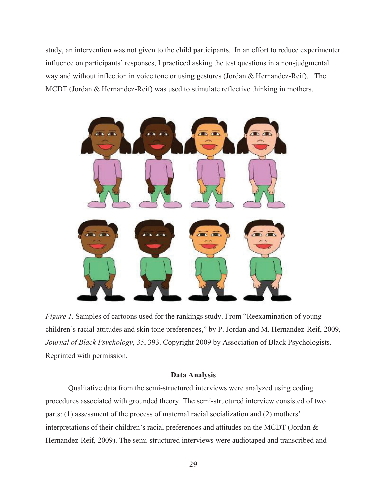study, an intervention was not given to the child participants. In an effort to reduce experimenter influence on participants' responses, I practiced asking the test questions in a non-judgmental way and without inflection in voice tone or using gestures (Jordan & Hernandez-Reif). The MCDT (Jordan & Hernandez-Reif) was used to stimulate reflective thinking in mothers.



*Figure 1.* Samples of cartoons used for the rankings study. From "Reexamination of young" children's racial attitudes and skin tone preferences," by P. Jordan and M. Hernandez-Reif, 2009, *Journal of Black Psychology*, *35*, 393. Copyright 2009 by Association of Black Psychologists. Reprinted with permission.

## **Data Analysis**

Qualitative data from the semi-structured interviews were analyzed using coding procedures associated with grounded theory. The semi-structured interview consisted of two parts: (1) assessment of the process of maternal racial socialization and (2) mothers' interpretations of their children's racial preferences and attitudes on the MCDT (Jordan & Hernandez-Reif, 2009). The semi-structured interviews were audiotaped and transcribed and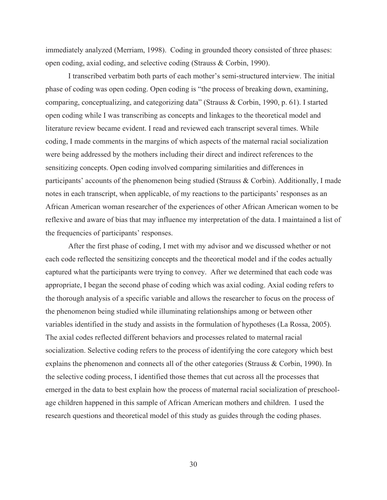immediately analyzed (Merriam, 1998). Coding in grounded theory consisted of three phases: open coding, axial coding, and selective coding (Strauss & Corbin, 1990).

I transcribed verbatim both parts of each mother's semi-structured interview. The initial phase of coding was open coding. Open coding is "the process of breaking down, examining, comparing, conceptualizing, and categorizing data" (Strauss & Corbin, 1990, p. 61). I started open coding while I was transcribing as concepts and linkages to the theoretical model and literature review became evident. I read and reviewed each transcript several times. While coding, I made comments in the margins of which aspects of the maternal racial socialization were being addressed by the mothers including their direct and indirect references to the sensitizing concepts. Open coding involved comparing similarities and differences in participants' accounts of the phenomenon being studied (Strauss & Corbin). Additionally, I made notes in each transcript, when applicable, of my reactions to the participants' responses as an African American woman researcher of the experiences of other African American women to be reflexive and aware of bias that may influence my interpretation of the data. I maintained a list of the frequencies of participants' responses.

After the first phase of coding, I met with my advisor and we discussed whether or not each code reflected the sensitizing concepts and the theoretical model and if the codes actually captured what the participants were trying to convey. After we determined that each code was appropriate, I began the second phase of coding which was axial coding. Axial coding refers to the thorough analysis of a specific variable and allows the researcher to focus on the process of the phenomenon being studied while illuminating relationships among or between other variables identified in the study and assists in the formulation of hypotheses (La Rossa, 2005). The axial codes reflected different behaviors and processes related to maternal racial socialization. Selective coding refers to the process of identifying the core category which best explains the phenomenon and connects all of the other categories (Strauss & Corbin, 1990). In the selective coding process, I identified those themes that cut across all the processes that emerged in the data to best explain how the process of maternal racial socialization of preschoolage children happened in this sample of African American mothers and children. I used the research questions and theoretical model of this study as guides through the coding phases.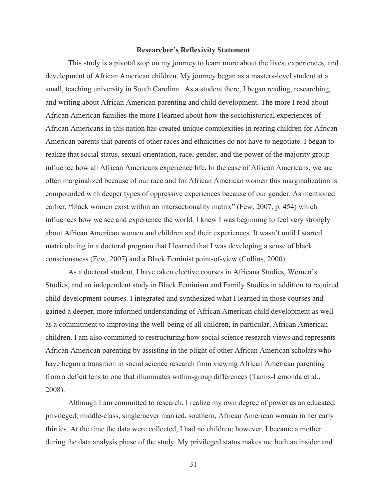### **Researcher's Reflexivity Statement**

This study is a pivotal stop on my journey to learn more about the lives, experiences, and development of African American children. My journey began as a masters-level student at a small, teaching university in South Carolina. As a student there, I began reading, researching, and writing about African American parenting and child development. The more I read about African American families the more I learned about how the sociohistorical experiences of African Americans in this nation has created unique complexities in rearing children for African American parents that parents of other races and ethnicities do not have to negotiate. I began to realize that social status, sexual orientation, race, gender, and the power of the majority group influence how all African Americans experience life. In the case of African Americans, we are often marginalized because of our race and for African American women this marginalization is compounded with deeper types of oppressive experiences because of our gender. As mentioned earlier, "black women exist within an intersectionality matrix" (Few, 2007, p. 454) which influences how we see and experience the world. I knew I was beginning to feel very strongly about African American women and children and their experiences. It wasn't until I started matriculating in a doctoral program that I learned that I was developing a sense of black consciousness (Few, 2007) and a Black Feminist point-of-view (Collins, 2000).

As a doctoral student, I have taken elective courses in Africana Studies, Women's Studies, and an independent study in Black Feminism and Family Studies in addition to required child development courses. I integrated and synthesized what I learned in those courses and gained a deeper, more informed understanding of African American child development as well as a commitment to improving the well-being of all children, in particular, African American children. I am also committed to restructuring how social science research views and represents African American parenting by assisting in the plight of other African American scholars who have begun a transition in social science research from viewing African American parenting from a deficit lens to one that illuminates within-group differences (Tamis-Lemonda et al., 2008).

Although I am committed to research, I realize my own degree of power as an educated, privileged, middle-class, single/never married, southern, African American woman in her early thirties. At the time the data were collected, I had no children; however, I became a mother during the data analysis phase of the study. My privileged status makes me both an insider and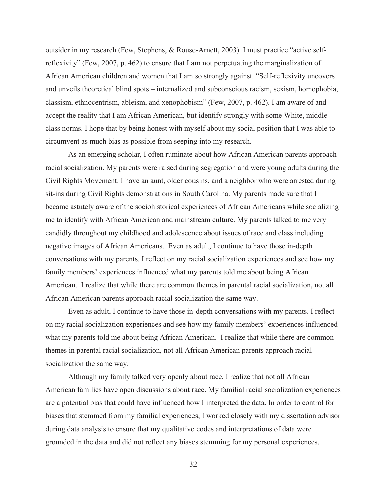outsider in my research (Few, Stephens, & Rouse-Arnett, 2003). I must practice "active selfreflexivity" (Few, 2007, p. 462) to ensure that I am not perpetuating the marginalization of African American children and women that I am so strongly against. "Self-reflexivity uncovers and unveils theoretical blind spots – internalized and subconscious racism, sexism, homophobia, classism, ethnocentrism, ableism, and xenophobism" (Few, 2007, p. 462). I am aware of and accept the reality that I am African American, but identify strongly with some White, middleclass norms. I hope that by being honest with myself about my social position that I was able to circumvent as much bias as possible from seeping into my research.

As an emerging scholar, I often ruminate about how African American parents approach racial socialization. My parents were raised during segregation and were young adults during the Civil Rights Movement. I have an aunt, older cousins, and a neighbor who were arrested during sit-ins during Civil Rights demonstrations in South Carolina. My parents made sure that I became astutely aware of the sociohistorical experiences of African Americans while socializing me to identify with African American and mainstream culture. My parents talked to me very candidly throughout my childhood and adolescence about issues of race and class including negative images of African Americans. Even as adult, I continue to have those in-depth conversations with my parents. I reflect on my racial socialization experiences and see how my family members' experiences influenced what my parents told me about being African American. I realize that while there are common themes in parental racial socialization, not all African American parents approach racial socialization the same way.

Even as adult, I continue to have those in-depth conversations with my parents. I reflect on my racial socialization experiences and see how my family members' experiences influenced what my parents told me about being African American. I realize that while there are common themes in parental racial socialization, not all African American parents approach racial socialization the same way.

Although my family talked very openly about race, I realize that not all African American families have open discussions about race. My familial racial socialization experiences are a potential bias that could have influenced how I interpreted the data. In order to control for biases that stemmed from my familial experiences, I worked closely with my dissertation advisor during data analysis to ensure that my qualitative codes and interpretations of data were grounded in the data and did not reflect any biases stemming for my personal experiences.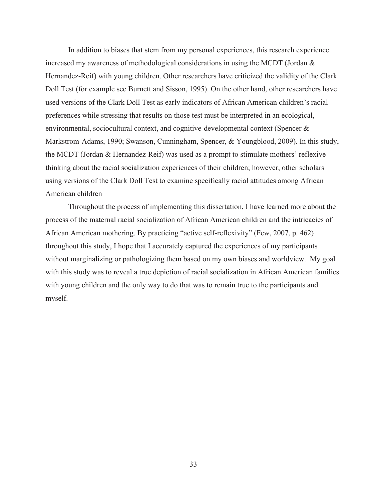In addition to biases that stem from my personal experiences, this research experience increased my awareness of methodological considerations in using the MCDT (Jordan  $\&$ Hernandez-Reif) with young children. Other researchers have criticized the validity of the Clark Doll Test (for example see Burnett and Sisson, 1995). On the other hand, other researchers have used versions of the Clark Doll Test as early indicators of African American children's racial preferences while stressing that results on those test must be interpreted in an ecological, environmental, sociocultural context, and cognitive-developmental context (Spencer & Markstrom-Adams, 1990; Swanson, Cunningham, Spencer, & Youngblood, 2009). In this study, the MCDT (Jordan & Hernandez-Reif) was used as a prompt to stimulate mothers' reflexive thinking about the racial socialization experiences of their children; however, other scholars using versions of the Clark Doll Test to examine specifically racial attitudes among African American children

Throughout the process of implementing this dissertation, I have learned more about the process of the maternal racial socialization of African American children and the intricacies of African American mothering. By practicing "active self-reflexivity" (Few, 2007, p. 462) throughout this study, I hope that I accurately captured the experiences of my participants without marginalizing or pathologizing them based on my own biases and worldview. My goal with this study was to reveal a true depiction of racial socialization in African American families with young children and the only way to do that was to remain true to the participants and myself.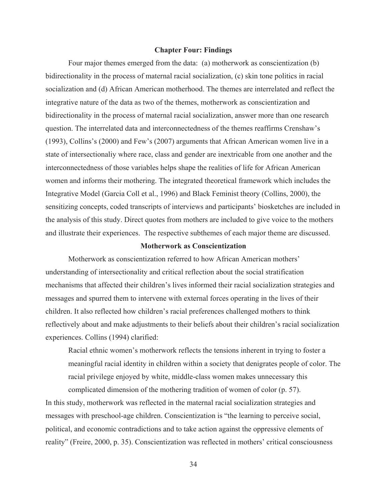# **Chapter Four: Findings**

Four major themes emerged from the data: (a) motherwork as conscientization (b) bidirectionality in the process of maternal racial socialization, (c) skin tone politics in racial socialization and (d) African American motherhood. The themes are interrelated and reflect the integrative nature of the data as two of the themes, motherwork as conscientization and bidirectionality in the process of maternal racial socialization, answer more than one research question. The interrelated data and interconnectedness of the themes reaffirms Crenshaw's (1993), Collins's (2000) and Few's (2007) arguments that African American women live in a state of intersectionaliy where race, class and gender are inextricable from one another and the interconnectedness of those variables helps shape the realities of life for African American women and informs their mothering. The integrated theoretical framework which includes the Integrative Model (Garcia Coll et al., 1996) and Black Feminist theory (Collins, 2000), the sensitizing concepts, coded transcripts of interviews and participants' biosketches are included in the analysis of this study. Direct quotes from mothers are included to give voice to the mothers and illustrate their experiences. The respective subthemes of each major theme are discussed.

# **Motherwork as Conscientization**

Motherwork as conscientization referred to how African American mothers' understanding of intersectionality and critical reflection about the social stratification mechanisms that affected their children's lives informed their racial socialization strategies and messages and spurred them to intervene with external forces operating in the lives of their children. It also reflected how children's racial preferences challenged mothers to think reflectively about and make adjustments to their beliefs about their children's racial socialization experiences. Collins (1994) clarified:

Racial ethnic women's motherwork reflects the tensions inherent in trying to foster a meaningful racial identity in children within a society that denigrates people of color. The racial privilege enjoyed by white, middle-class women makes unnecessary this complicated dimension of the mothering tradition of women of color (p. 57).

In this study, motherwork was reflected in the maternal racial socialization strategies and messages with preschool-age children. Conscientization is "the learning to perceive social, political, and economic contradictions and to take action against the oppressive elements of reality" (Freire, 2000, p. 35). Conscientization was reflected in mothers' critical consciousness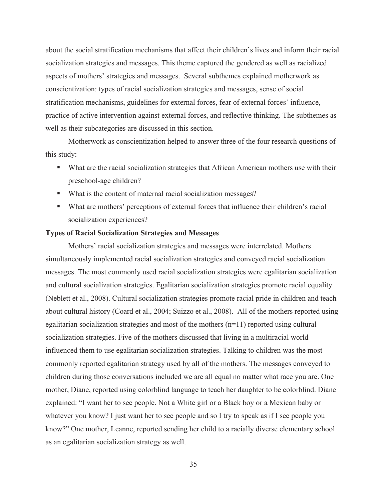about the social stratification mechanisms that affect their children's lives and inform their racial socialization strategies and messages. This theme captured the gendered as well as racialized aspects of mothers' strategies and messages. Several subthemes explained motherwork as conscientization: types of racial socialization strategies and messages, sense of social stratification mechanisms, guidelines for external forces, fear of external forces' influence, practice of active intervention against external forces, and reflective thinking. The subthemes as well as their subcategories are discussed in this section.

Motherwork as conscientization helped to answer three of the four research questions of this study:

- What are the racial socialization strategies that African American mothers use with their preschool-age children?
- What is the content of maternal racial socialization messages?
- What are mothers' perceptions of external forces that influence their children's racial socialization experiences?

# **Types of Racial Socialization Strategies and Messages**

Mothers' racial socialization strategies and messages were interrelated. Mothers simultaneously implemented racial socialization strategies and conveyed racial socialization messages. The most commonly used racial socialization strategies were egalitarian socialization and cultural socialization strategies. Egalitarian socialization strategies promote racial equality (Neblett et al., 2008). Cultural socialization strategies promote racial pride in children and teach about cultural history (Coard et al., 2004; Suizzo et al., 2008). All of the mothers reported using egalitarian socialization strategies and most of the mothers (n=11) reported using cultural socialization strategies. Five of the mothers discussed that living in a multiracial world influenced them to use egalitarian socialization strategies. Talking to children was the most commonly reported egalitarian strategy used by all of the mothers. The messages conveyed to children during those conversations included we are all equal no matter what race you are. One mother, Diane, reported using colorblind language to teach her daughter to be colorblind. Diane explained: "I want her to see people. Not a White girl or a Black boy or a Mexican baby or whatever you know? I just want her to see people and so I try to speak as if I see people you know?" One mother, Leanne, reported sending her child to a racially diverse elementary school as an egalitarian socialization strategy as well.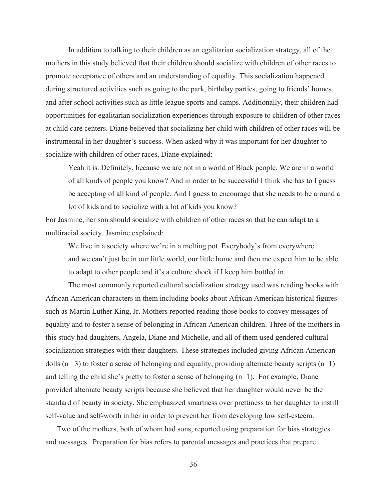In addition to talking to their children as an egalitarian socialization strategy, all of the mothers in this study believed that their children should socialize with children of other races to promote acceptance of others and an understanding of equality. This socialization happened during structured activities such as going to the park, birthday parties, going to friends' homes and after school activities such as little league sports and camps. Additionally, their children had opportunities for egalitarian socialization experiences through exposure to children of other races at child care centers. Diane believed that socializing her child with children of other races will be instrumental in her daughter's success. When asked why it was important for her daughter to socialize with children of other races, Diane explained:

Yeah it is. Definitely, because we are not in a world of Black people. We are in a world of all kinds of people you know? And in order to be successful I think she has to I guess be accepting of all kind of people. And I guess to encourage that she needs to be around a lot of kids and to socialize with a lot of kids you know?

For Jasmine, her son should socialize with children of other races so that he can adapt to a multiracial society. Jasmine explained:

We live in a society where we're in a melting pot. Everybody's from everywhere and we can't just be in our little world, our little home and then me expect him to be able to adapt to other people and it's a culture shock if I keep him bottled in.

The most commonly reported cultural socialization strategy used was reading books with African American characters in them including books about African American historical figures such as Martin Luther King, Jr. Mothers reported reading those books to convey messages of equality and to foster a sense of belonging in African American children. Three of the mothers in this study had daughters, Angela, Diane and Michelle, and all of them used gendered cultural socialization strategies with their daughters. These strategies included giving African American dolls  $(n=3)$  to foster a sense of belonging and equality, providing alternate beauty scripts  $(n=1)$ and telling the child she's pretty to foster a sense of belonging  $(n=1)$ . For example, Diane provided alternate beauty scripts because she believed that her daughter would never be the standard of beauty in society. She emphasized smartness over prettiness to her daughter to instill self-value and self-worth in her in order to prevent her from developing low self-esteem.

 Two of the mothers, both of whom had sons, reported using preparation for bias strategies and messages. Preparation for bias refers to parental messages and practices that prepare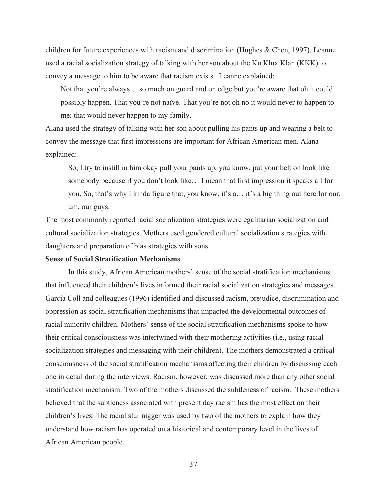children for future experiences with racism and discrimination (Hughes & Chen, 1997). Leanne used a racial socialization strategy of talking with her son about the Ku Klux Klan (KKK) to convey a message to him to be aware that racism exists. Leanne explained:

 Not that you're always… so much on guard and on edge but you're aware that oh it could possibly happen. That you're not naïve. That you're not oh no it would never to happen to me; that would never happen to my family.

Alana used the strategy of talking with her son about pulling his pants up and wearing a belt to convey the message that first impressions are important for African American men. Alana explained:

So, I try to instill in him okay pull your pants up, you know, put your belt on look like somebody because if you don't look like… I mean that first impression it speaks all for you. So, that's why I kinda figure that, you know, it's a… it's a big thing out here for our, um, our guys.

The most commonly reported racial socialization strategies were egalitarian socialization and cultural socialization strategies. Mothers used gendered cultural socialization strategies with daughters and preparation of bias strategies with sons.

#### **Sense of Social Stratification Mechanisms**

In this study, African American mothers' sense of the social stratification mechanisms that influenced their children's lives informed their racial socialization strategies and messages. Garcia Coll and colleagues (1996) identified and discussed racism, prejudice, discrimination and oppression as social stratification mechanisms that impacted the developmental outcomes of racial minority children. Mothers' sense of the social stratification mechanisms spoke to how their critical consciousness was intertwined with their mothering activities (i.e., using racial socialization strategies and messaging with their children). The mothers demonstrated a critical consciousness of the social stratification mechanisms affecting their children by discussing each one in detail during the interviews. Racism, however, was discussed more than any other social stratification mechanism. Two of the mothers discussed the subtleness of racism. These mothers believed that the subtleness associated with present day racism has the most effect on their children's lives. The racial slur nigger was used by two of the mothers to explain how they understand how racism has operated on a historical and contemporary level in the lives of African American people.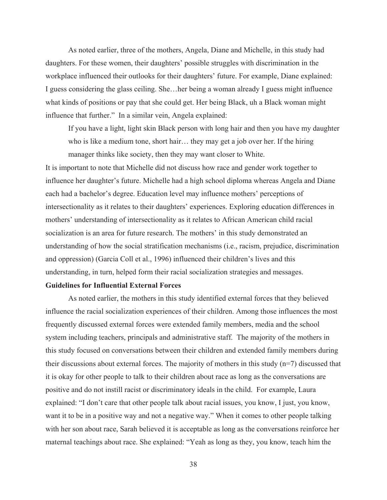As noted earlier, three of the mothers, Angela, Diane and Michelle, in this study had daughters. For these women, their daughters' possible struggles with discrimination in the workplace influenced their outlooks for their daughters' future. For example, Diane explained: I guess considering the glass ceiling. She…her being a woman already I guess might influence what kinds of positions or pay that she could get. Her being Black, uh a Black woman might influence that further." In a similar vein, Angela explained:

If you have a light, light skin Black person with long hair and then you have my daughter who is like a medium tone, short hair… they may get a job over her. If the hiring manager thinks like society, then they may want closer to White.

It is important to note that Michelle did not discuss how race and gender work together to influence her daughter's future. Michelle had a high school diploma whereas Angela and Diane each had a bachelor's degree. Education level may influence mothers' perceptions of intersectionality as it relates to their daughters' experiences. Exploring education differences in mothers' understanding of intersectionality as it relates to African American child racial socialization is an area for future research. The mothers' in this study demonstrated an understanding of how the social stratification mechanisms (i.e., racism, prejudice, discrimination and oppression) (Garcia Coll et al., 1996) influenced their children's lives and this understanding, in turn, helped form their racial socialization strategies and messages.

# **Guidelines for Influential External Forces**

As noted earlier, the mothers in this study identified external forces that they believed influence the racial socialization experiences of their children. Among those influences the most frequently discussed external forces were extended family members, media and the school system including teachers, principals and administrative staff. The majority of the mothers in this study focused on conversations between their children and extended family members during their discussions about external forces. The majority of mothers in this study  $(n=7)$  discussed that it is okay for other people to talk to their children about race as long as the conversations are positive and do not instill racist or discriminatory ideals in the child. For example, Laura explained: "I don't care that other people talk about racial issues, you know, I just, you know, want it to be in a positive way and not a negative way." When it comes to other people talking with her son about race, Sarah believed it is acceptable as long as the conversations reinforce her maternal teachings about race. She explained: "Yeah as long as they, you know, teach him the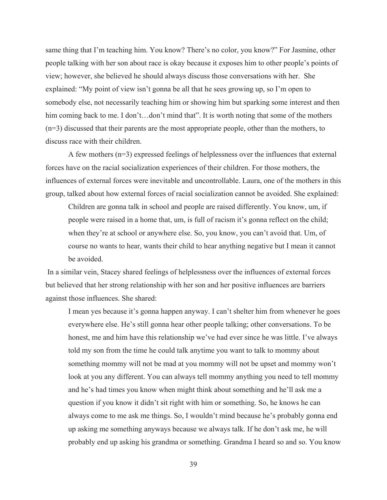same thing that I'm teaching him. You know? There's no color, you know?" For Jasmine, other people talking with her son about race is okay because it exposes him to other people's points of view; however, she believed he should always discuss those conversations with her. She explained: "My point of view isn't gonna be all that he sees growing up, so I'm open to somebody else, not necessarily teaching him or showing him but sparking some interest and then him coming back to me. I don't...don't mind that". It is worth noting that some of the mothers (n=3) discussed that their parents are the most appropriate people, other than the mothers, to discuss race with their children.

A few mothers (n=3) expressed feelings of helplessness over the influences that external forces have on the racial socialization experiences of their children. For those mothers, the influences of external forces were inevitable and uncontrollable. Laura, one of the mothers in this group, talked about how external forces of racial socialization cannot be avoided. She explained:

Children are gonna talk in school and people are raised differently. You know, um, if people were raised in a home that, um, is full of racism it's gonna reflect on the child; when they're at school or anywhere else. So, you know, you can't avoid that. Um, of course no wants to hear, wants their child to hear anything negative but I mean it cannot be avoided.

 In a similar vein, Stacey shared feelings of helplessness over the influences of external forces but believed that her strong relationship with her son and her positive influences are barriers against those influences. She shared:

I mean yes because it's gonna happen anyway. I can't shelter him from whenever he goes everywhere else. He's still gonna hear other people talking; other conversations. To be honest, me and him have this relationship we've had ever since he was little. I've always told my son from the time he could talk anytime you want to talk to mommy about something mommy will not be mad at you mommy will not be upset and mommy won't look at you any different. You can always tell mommy anything you need to tell mommy and he's had times you know when might think about something and he'll ask me a question if you know it didn't sit right with him or something. So, he knows he can always come to me ask me things. So, I wouldn't mind because he's probably gonna end up asking me something anyways because we always talk. If he don't ask me, he will probably end up asking his grandma or something. Grandma I heard so and so. You know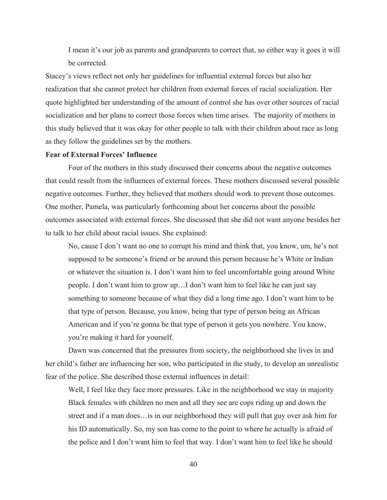I mean it's our job as parents and grandparents to correct that, so either way it goes it will be corrected.

Stacey's views reflect not only her guidelines for influential external forces but also her realization that she cannot protect her children from external forces of racial socialization. Her quote highlighted her understanding of the amount of control she has over other sources of racial socialization and her plans to correct those forces when time arises. The majority of mothers in this study believed that it was okay for other people to talk with their children about race as long as they follow the guidelines set by the mothers.

# **Fear of External Forces' Influence**

Four of the mothers in this study discussed their concerns about the negative outcomes that could result from the influences of external forces. These mothers discussed several possible negative outcomes. Further, they believed that mothers should work to prevent those outcomes. One mother, Pamela, was particularly forthcoming about her concerns about the possible outcomes associated with external forces. She discussed that she did not want anyone besides her to talk to her child about racial issues. She explained:

No, cause I don't want no one to corrupt his mind and think that, you know, um, he's not supposed to be someone's friend or be around this person because he's White or Indian or whatever the situation is. I don't want him to feel uncomfortable going around White people. I don't want him to grow up…I don't want him to feel like he can just say something to someone because of what they did a long time ago. I don't want him to be that type of person. Because, you know, being that type of person being an African American and if you're gonna be that type of person it gets you nowhere. You know, you're making it hard for yourself.

Dawn was concerned that the pressures from society, the neighborhood she lives in and her child's father are influencing her son, who participated in the study, to develop an unrealistic fear of the police. She described those external influences in detail:

Well, I feel like they face more pressures. Like in the neighborhood we stay in majority Black females with children no men and all they see are cops riding up and down the street and if a man does…is in our neighborhood they will pull that guy over ask him for his ID automatically. So, my son has come to the point to where he actually is afraid of the police and I don't want him to feel that way. I don't want him to feel like he should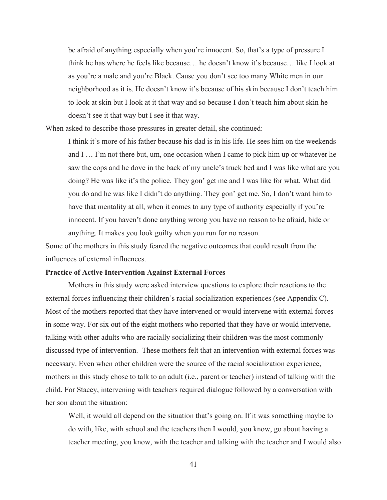be afraid of anything especially when you're innocent. So, that's a type of pressure I think he has where he feels like because… he doesn't know it's because… like I look at as you're a male and you're Black. Cause you don't see too many White men in our neighborhood as it is. He doesn't know it's because of his skin because I don't teach him to look at skin but I look at it that way and so because I don't teach him about skin he doesn't see it that way but I see it that way.

When asked to describe those pressures in greater detail, she continued:

I think it's more of his father because his dad is in his life. He sees him on the weekends and I … I'm not there but, um, one occasion when I came to pick him up or whatever he saw the cops and he dove in the back of my uncle's truck bed and I was like what are you doing? He was like it's the police. They gon' get me and I was like for what. What did you do and he was like I didn't do anything. They gon' get me. So, I don't want him to have that mentality at all, when it comes to any type of authority especially if you're innocent. If you haven't done anything wrong you have no reason to be afraid, hide or anything. It makes you look guilty when you run for no reason.

Some of the mothers in this study feared the negative outcomes that could result from the influences of external influences.

### **Practice of Active Intervention Against External Forces**

Mothers in this study were asked interview questions to explore their reactions to the external forces influencing their children's racial socialization experiences (see Appendix C). Most of the mothers reported that they have intervened or would intervene with external forces in some way. For six out of the eight mothers who reported that they have or would intervene, talking with other adults who are racially socializing their children was the most commonly discussed type of intervention. These mothers felt that an intervention with external forces was necessary. Even when other children were the source of the racial socialization experience, mothers in this study chose to talk to an adult (i.e., parent or teacher) instead of talking with the child. For Stacey, intervening with teachers required dialogue followed by a conversation with her son about the situation:

Well, it would all depend on the situation that's going on. If it was something maybe to do with, like, with school and the teachers then I would, you know, go about having a teacher meeting, you know, with the teacher and talking with the teacher and I would also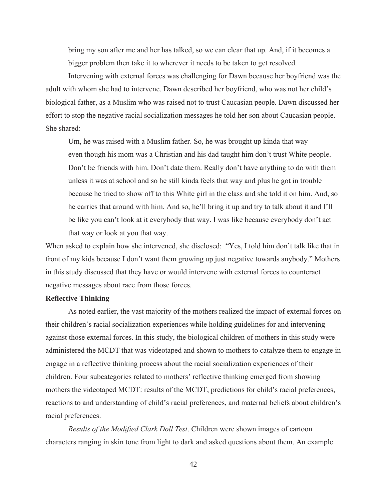bring my son after me and her has talked, so we can clear that up. And, if it becomes a bigger problem then take it to wherever it needs to be taken to get resolved.

Intervening with external forces was challenging for Dawn because her boyfriend was the adult with whom she had to intervene. Dawn described her boyfriend, who was not her child's biological father, as a Muslim who was raised not to trust Caucasian people. Dawn discussed her effort to stop the negative racial socialization messages he told her son about Caucasian people. She shared:

 Um, he was raised with a Muslim father. So, he was brought up kinda that way even though his mom was a Christian and his dad taught him don't trust White people. Don't be friends with him. Don't date them. Really don't have anything to do with them unless it was at school and so he still kinda feels that way and plus he got in trouble because he tried to show off to this White girl in the class and she told it on him. And, so he carries that around with him. And so, he'll bring it up and try to talk about it and I'll be like you can't look at it everybody that way. I was like because everybody don't act that way or look at you that way.

When asked to explain how she intervened, she disclosed: "Yes, I told him don't talk like that in front of my kids because I don't want them growing up just negative towards anybody." Mothers in this study discussed that they have or would intervene with external forces to counteract negative messages about race from those forces.

#### **Reflective Thinking**

As noted earlier, the vast majority of the mothers realized the impact of external forces on their children's racial socialization experiences while holding guidelines for and intervening against those external forces. In this study, the biological children of mothers in this study were administered the MCDT that was videotaped and shown to mothers to catalyze them to engage in engage in a reflective thinking process about the racial socialization experiences of their children. Four subcategories related to mothers' reflective thinking emerged from showing mothers the videotaped MCDT: results of the MCDT, predictions for child's racial preferences, reactions to and understanding of child's racial preferences, and maternal beliefs about children's racial preferences.

*Results of the Modified Clark Doll Test*. Children were shown images of cartoon characters ranging in skin tone from light to dark and asked questions about them. An example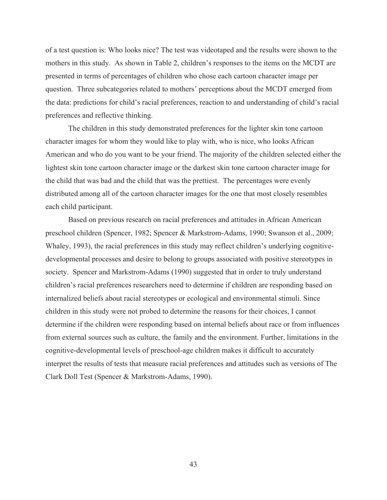of a test question is: Who looks nice? The test was videotaped and the results were shown to the mothers in this study. As shown in Table 2, children's responses to the items on the MCDT are presented in terms of percentages of children who chose each cartoon character image per question. Three subcategories related to mothers' perceptions about the MCDT emerged from the data: predictions for child's racial preferences, reaction to and understanding of child's racial preferences and reflective thinking.

The children in this study demonstrated preferences for the lighter skin tone cartoon character images for whom they would like to play with, who is nice, who looks African American and who do you want to be your friend. The majority of the children selected either the lightest skin tone cartoon character image or the darkest skin tone cartoon character image for the child that was bad and the child that was the prettiest. The percentages were evenly distributed among all of the cartoon character images for the one that most closely resembles each child participant.

Based on previous research on racial preferences and attitudes in African American preschool children (Spencer, 1982; Spencer & Markstrom-Adams, 1990; Swanson et al., 2009; Whaley, 1993), the racial preferences in this study may reflect children's underlying cognitivedevelopmental processes and desire to belong to groups associated with positive stereotypes in society. Spencer and Markstrom-Adams (1990) suggested that in order to truly understand children's racial preferences researchers need to determine if children are responding based on internalized beliefs about racial stereotypes or ecological and environmental stimuli. Since children in this study were not probed to determine the reasons for their choices, I cannot determine if the children were responding based on internal beliefs about race or from influences from external sources such as culture, the family and the environment. Further, limitations in the cognitive-developmental levels of preschool-age children makes it difficult to accurately interpret the results of tests that measure racial preferences and attitudes such as versions of The Clark Doll Test (Spencer & Markstrom-Adams, 1990).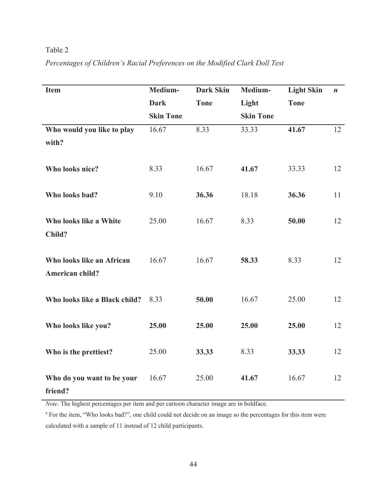# Table 2

*Percentages of Children's Racial Preferences on the Modified Clark Doll Test*

| <b>Item</b>                                         | Medium-          | <b>Dark Skin</b> | Medium-          | <b>Light Skin</b> | $\boldsymbol{n}$ |
|-----------------------------------------------------|------------------|------------------|------------------|-------------------|------------------|
|                                                     | <b>Dark</b>      | <b>Tone</b>      | Light            | <b>Tone</b>       |                  |
|                                                     | <b>Skin Tone</b> |                  | <b>Skin Tone</b> |                   |                  |
| Who would you like to play<br>with?                 | 16.67            | 8.33             | 33.33            | 41.67             | 12               |
| Who looks nice?                                     | 8.33             | 16.67            | 41.67            | 33.33             | 12               |
| Who looks bad?                                      | 9.10             | 36.36            | 18.18            | 36.36             | 11               |
| Who looks like a White<br>Child?                    | 25.00            | 16.67            | 8.33             | 50.00             | 12               |
| Who looks like an African<br><b>American child?</b> | 16.67            | 16.67            | 58.33            | 8.33              | 12               |
| Who looks like a Black child?                       | 8.33             | 50.00            | 16.67            | 25.00             | 12               |
| Who looks like you?                                 | 25.00            | 25.00            | 25.00            | 25.00             | 12               |
| Who is the prettiest?                               | 25.00            | 33.33            | 8.33             | 33.33             | 12               |
| Who do you want to be your<br>friend?               | 16.67            | 25.00            | 41.67            | 16.67             | 12               |

*Note*. The highest percentages per item and per cartoon character image are in boldface.

<sup>a</sup> For the item, "Who looks bad?", one child could not decide on an image so the percentages for this item were calculated with a sample of 11 instead of 12 child participants.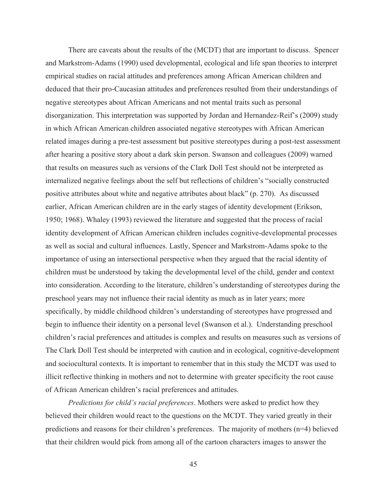There are caveats about the results of the (MCDT) that are important to discuss. Spencer and Markstrom-Adams (1990) used developmental, ecological and life span theories to interpret empirical studies on racial attitudes and preferences among African American children and deduced that their pro-Caucasian attitudes and preferences resulted from their understandings of negative stereotypes about African Americans and not mental traits such as personal disorganization. This interpretation was supported by Jordan and Hernandez-Reif's (2009) study in which African American children associated negative stereotypes with African American related images during a pre-test assessment but positive stereotypes during a post-test assessment after hearing a positive story about a dark skin person. Swanson and colleagues (2009) warned that results on measures such as versions of the Clark Doll Test should not be interpreted as internalized negative feelings about the self but reflections of children's "socially constructed positive attributes about white and negative attributes about black" (p. 270). As discussed earlier, African American children are in the early stages of identity development (Erikson, 1950; 1968). Whaley (1993) reviewed the literature and suggested that the process of racial identity development of African American children includes cognitive-developmental processes as well as social and cultural influences. Lastly, Spencer and Markstrom-Adams spoke to the importance of using an intersectional perspective when they argued that the racial identity of children must be understood by taking the developmental level of the child, gender and context into consideration. According to the literature, children's understanding of stereotypes during the preschool years may not influence their racial identity as much as in later years; more specifically, by middle childhood children's understanding of stereotypes have progressed and begin to influence their identity on a personal level (Swanson et al.). Understanding preschool children's racial preferences and attitudes is complex and results on measures such as versions of The Clark Doll Test should be interpreted with caution and in ecological, cognitive-development and sociocultural contexts. It is important to remember that in this study the MCDT was used to illicit reflective thinking in mothers and not to determine with greater specificity the root cause of African American children's racial preferences and attitudes.

*Predictions for child's racial preferences*. Mothers were asked to predict how they believed their children would react to the questions on the MCDT. They varied greatly in their predictions and reasons for their children's preferences. The majority of mothers (n=4) believed that their children would pick from among all of the cartoon characters images to answer the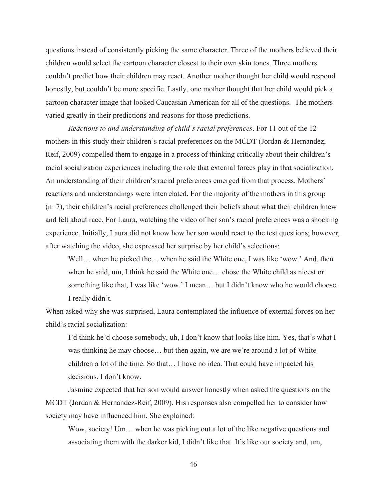questions instead of consistently picking the same character. Three of the mothers believed their children would select the cartoon character closest to their own skin tones. Three mothers couldn't predict how their children may react. Another mother thought her child would respond honestly, but couldn't be more specific. Lastly, one mother thought that her child would pick a cartoon character image that looked Caucasian American for all of the questions. The mothers varied greatly in their predictions and reasons for those predictions.

*Reactions to and understanding of child's racial preferences*. For 11 out of the 12 mothers in this study their children's racial preferences on the MCDT (Jordan & Hernandez, Reif, 2009) compelled them to engage in a process of thinking critically about their children's racial socialization experiences including the role that external forces play in that socialization. An understanding of their children's racial preferences emerged from that process. Mothers' reactions and understandings were interrelated. For the majority of the mothers in this group (n=7), their children's racial preferences challenged their beliefs about what their children knew and felt about race. For Laura, watching the video of her son's racial preferences was a shocking experience. Initially, Laura did not know how her son would react to the test questions; however, after watching the video, she expressed her surprise by her child's selections:

Well... when he picked the... when he said the White one, I was like 'wow.' And, then when he said, um, I think he said the White one… chose the White child as nicest or something like that, I was like 'wow.' I mean… but I didn't know who he would choose. I really didn't.

When asked why she was surprised, Laura contemplated the influence of external forces on her child's racial socialization:

I'd think he'd choose somebody, uh, I don't know that looks like him. Yes, that's what I was thinking he may choose… but then again, we are we're around a lot of White children a lot of the time. So that… I have no idea. That could have impacted his decisions. I don't know.

Jasmine expected that her son would answer honestly when asked the questions on the MCDT (Jordan & Hernandez-Reif, 2009). His responses also compelled her to consider how society may have influenced him. She explained:

Wow, society! Um... when he was picking out a lot of the like negative questions and associating them with the darker kid, I didn't like that. It's like our society and, um,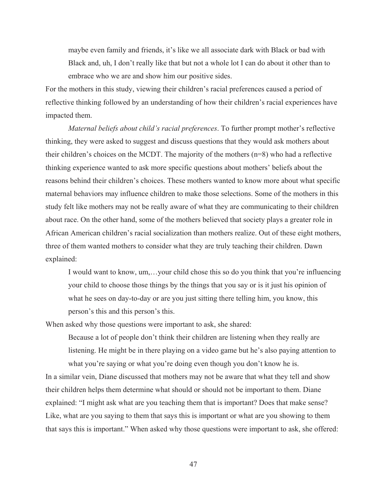maybe even family and friends, it's like we all associate dark with Black or bad with Black and, uh, I don't really like that but not a whole lot I can do about it other than to embrace who we are and show him our positive sides.

For the mothers in this study, viewing their children's racial preferences caused a period of reflective thinking followed by an understanding of how their children's racial experiences have impacted them.

*Maternal beliefs about child's racial preferences*. To further prompt mother's reflective thinking, they were asked to suggest and discuss questions that they would ask mothers about their children's choices on the MCDT. The majority of the mothers (n=8) who had a reflective thinking experience wanted to ask more specific questions about mothers' beliefs about the reasons behind their children's choices. These mothers wanted to know more about what specific maternal behaviors may influence children to make those selections. Some of the mothers in this study felt like mothers may not be really aware of what they are communicating to their children about race. On the other hand, some of the mothers believed that society plays a greater role in African American children's racial socialization than mothers realize. Out of these eight mothers, three of them wanted mothers to consider what they are truly teaching their children. Dawn explained:

I would want to know, um,…your child chose this so do you think that you're influencing your child to choose those things by the things that you say or is it just his opinion of what he sees on day-to-day or are you just sitting there telling him, you know, this person's this and this person's this.

When asked why those questions were important to ask, she shared:

Because a lot of people don't think their children are listening when they really are listening. He might be in there playing on a video game but he's also paying attention to what you're saying or what you're doing even though you don't know he is.

In a similar vein, Diane discussed that mothers may not be aware that what they tell and show their children helps them determine what should or should not be important to them. Diane explained: "I might ask what are you teaching them that is important? Does that make sense? Like, what are you saying to them that says this is important or what are you showing to them that says this is important." When asked why those questions were important to ask, she offered: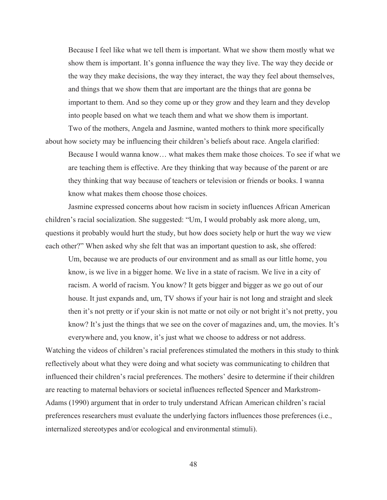Because I feel like what we tell them is important. What we show them mostly what we show them is important. It's gonna influence the way they live. The way they decide or the way they make decisions, the way they interact, the way they feel about themselves, and things that we show them that are important are the things that are gonna be important to them. And so they come up or they grow and they learn and they develop into people based on what we teach them and what we show them is important.

Two of the mothers, Angela and Jasmine, wanted mothers to think more specifically about how society may be influencing their children's beliefs about race. Angela clarified:

Because I would wanna know… what makes them make those choices. To see if what we are teaching them is effective. Are they thinking that way because of the parent or are they thinking that way because of teachers or television or friends or books. I wanna know what makes them choose those choices.

Jasmine expressed concerns about how racism in society influences African American children's racial socialization. She suggested: "Um, I would probably ask more along, um, questions it probably would hurt the study, but how does society help or hurt the way we view each other?" When asked why she felt that was an important question to ask, she offered:

Um, because we are products of our environment and as small as our little home, you know, is we live in a bigger home. We live in a state of racism. We live in a city of racism. A world of racism. You know? It gets bigger and bigger as we go out of our house. It just expands and, um, TV shows if your hair is not long and straight and sleek then it's not pretty or if your skin is not matte or not oily or not bright it's not pretty, you know? It's just the things that we see on the cover of magazines and, um, the movies. It's everywhere and, you know, it's just what we choose to address or not address.

Watching the videos of children's racial preferences stimulated the mothers in this study to think reflectively about what they were doing and what society was communicating to children that influenced their children's racial preferences. The mothers' desire to determine if their children are reacting to maternal behaviors or societal influences reflected Spencer and Markstrom-Adams (1990) argument that in order to truly understand African American children's racial preferences researchers must evaluate the underlying factors influences those preferences (i.e., internalized stereotypes and/or ecological and environmental stimuli).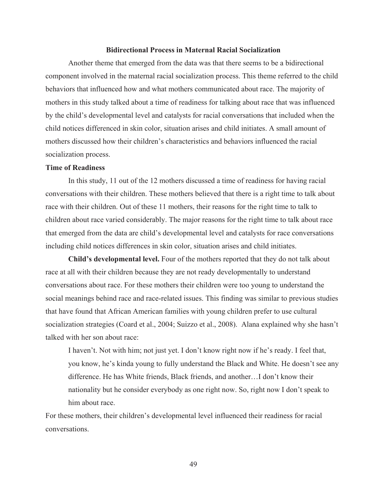#### **Bidirectional Process in Maternal Racial Socialization**

 Another theme that emerged from the data was that there seems to be a bidirectional component involved in the maternal racial socialization process. This theme referred to the child behaviors that influenced how and what mothers communicated about race. The majority of mothers in this study talked about a time of readiness for talking about race that was influenced by the child's developmental level and catalysts for racial conversations that included when the child notices differenced in skin color, situation arises and child initiates. A small amount of mothers discussed how their children's characteristics and behaviors influenced the racial socialization process.

#### **Time of Readiness**

In this study, 11 out of the 12 mothers discussed a time of readiness for having racial conversations with their children. These mothers believed that there is a right time to talk about race with their children. Out of these 11 mothers, their reasons for the right time to talk to children about race varied considerably. The major reasons for the right time to talk about race that emerged from the data are child's developmental level and catalysts for race conversations including child notices differences in skin color, situation arises and child initiates.

**Child's developmental level.** Four of the mothers reported that they do not talk about race at all with their children because they are not ready developmentally to understand conversations about race. For these mothers their children were too young to understand the social meanings behind race and race-related issues. This finding was similar to previous studies that have found that African American families with young children prefer to use cultural socialization strategies (Coard et al., 2004; Suizzo et al., 2008). Alana explained why she hasn't talked with her son about race:

I haven't. Not with him; not just yet. I don't know right now if he's ready. I feel that, you know, he's kinda young to fully understand the Black and White. He doesn't see any difference. He has White friends, Black friends, and another…I don't know their nationality but he consider everybody as one right now. So, right now I don't speak to him about race.

For these mothers, their children's developmental level influenced their readiness for racial conversations.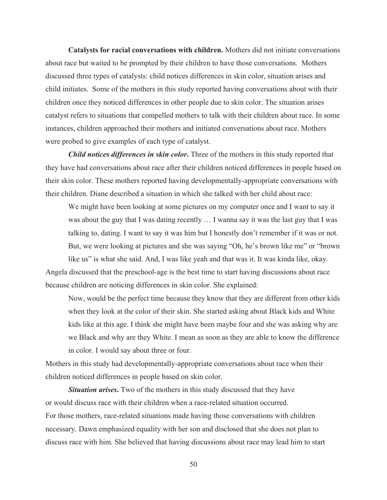**Catalysts for racial conversations with children.** Mothers did not initiate conversations about race but waited to be prompted by their children to have those conversations. Mothers discussed three types of catalysts: child notices differences in skin color, situation arises and child initiates. Some of the mothers in this study reported having conversations about with their children once they noticed differences in other people due to skin color. The situation arises catalyst refers to situations that compelled mothers to talk with their children about race. In some instances, children approached their mothers and initiated conversations about race. Mothers were probed to give examples of each type of catalyst.

*Child notices differences in skin color***.** Three of the mothers in this study reported that they have had conversations about race after their children noticed differences in people based on their skin color. These mothers reported having developmentally-appropriate conversations with their children. Diane described a situation in which she talked with her child about race:

We might have been looking at some pictures on my computer once and I want to say it was about the guy that I was dating recently … I wanna say it was the last guy that I was talking to, dating. I want to say it was him but I honestly don't remember if it was or not. But, we were looking at pictures and she was saying "Oh, he's brown like me" or "brown like us" is what she said. And, I was like yeah and that was it. It was kinda like, okay.

Angela discussed that the preschool-age is the best time to start having discussions about race because children are noticing differences in skin color. She explained:

 Now, would be the perfect time because they know that they are different from other kids when they look at the color of their skin. She started asking about Black kids and White kids like at this age. I think she might have been maybe four and she was asking why are we Black and why are they White. I mean as soon as they are able to know the difference in color. I would say about three or four.

Mothers in this study had developmentally-appropriate conversations about race when their children noticed differences in people based on skin color.

*Situation arises*. Two of the mothers in this study discussed that they have or would discuss race with their children when a race-related situation occurred. For those mothers, race-related situations made having those conversations with children necessary. Dawn emphasized equality with her son and disclosed that she does not plan to discuss race with him. She believed that having discussions about race may lead him to start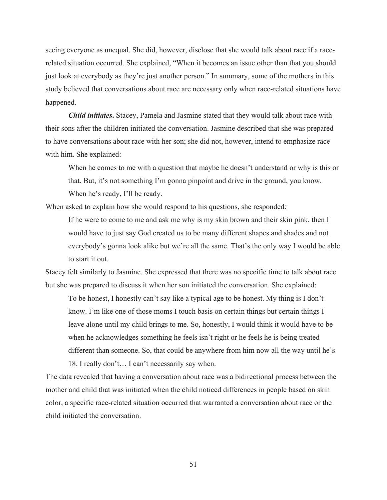seeing everyone as unequal. She did, however, disclose that she would talk about race if a racerelated situation occurred. She explained, "When it becomes an issue other than that you should just look at everybody as they're just another person." In summary, some of the mothers in this study believed that conversations about race are necessary only when race-related situations have happened.

*Child initiates***.** Stacey, Pamela and Jasmine stated that they would talk about race with their sons after the children initiated the conversation. Jasmine described that she was prepared to have conversations about race with her son; she did not, however, intend to emphasize race with him. She explained:

When he comes to me with a question that maybe he doesn't understand or why is this or that. But, it's not something I'm gonna pinpoint and drive in the ground, you know. When he's ready, I'll be ready.

When asked to explain how she would respond to his questions, she responded:

 If he were to come to me and ask me why is my skin brown and their skin pink, then I would have to just say God created us to be many different shapes and shades and not everybody's gonna look alike but we're all the same. That's the only way I would be able to start it out.

Stacey felt similarly to Jasmine. She expressed that there was no specific time to talk about race but she was prepared to discuss it when her son initiated the conversation. She explained:

To be honest, I honestly can't say like a typical age to be honest. My thing is I don't know. I'm like one of those moms I touch basis on certain things but certain things I leave alone until my child brings to me. So, honestly, I would think it would have to be when he acknowledges something he feels isn't right or he feels he is being treated different than someone. So, that could be anywhere from him now all the way until he's 18. I really don't… I can't necessarily say when.

The data revealed that having a conversation about race was a bidirectional process between the mother and child that was initiated when the child noticed differences in people based on skin color, a specific race-related situation occurred that warranted a conversation about race or the child initiated the conversation.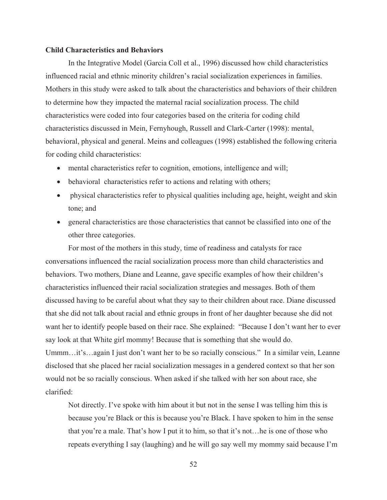## **Child Characteristics and Behaviors**

 In the Integrative Model (Garcia Coll et al., 1996) discussed how child characteristics influenced racial and ethnic minority children's racial socialization experiences in families. Mothers in this study were asked to talk about the characteristics and behaviors of their children to determine how they impacted the maternal racial socialization process. The child characteristics were coded into four categories based on the criteria for coding child characteristics discussed in Mein, Fernyhough, Russell and Clark-Carter (1998): mental, behavioral, physical and general. Meins and colleagues (1998) established the following criteria for coding child characteristics:

- mental characteristics refer to cognition, emotions, intelligence and will;
- $\bullet$  behavioral characteristics refer to actions and relating with others;
- physical characteristics refer to physical qualities including age, height, weight and skin tone; and
- general characteristics are those characteristics that cannot be classified into one of the other three categories.

For most of the mothers in this study, time of readiness and catalysts for race conversations influenced the racial socialization process more than child characteristics and behaviors. Two mothers, Diane and Leanne, gave specific examples of how their children's characteristics influenced their racial socialization strategies and messages. Both of them discussed having to be careful about what they say to their children about race. Diane discussed that she did not talk about racial and ethnic groups in front of her daughter because she did not want her to identify people based on their race. She explained: "Because I don't want her to ever say look at that White girl mommy! Because that is something that she would do. Ummm...it's...again I just don't want her to be so racially conscious." In a similar vein, Leanne disclosed that she placed her racial socialization messages in a gendered context so that her son would not be so racially conscious. When asked if she talked with her son about race, she clarified:

Not directly. I've spoke with him about it but not in the sense I was telling him this is because you're Black or this is because you're Black. I have spoken to him in the sense that you're a male. That's how I put it to him, so that it's not…he is one of those who repeats everything I say (laughing) and he will go say well my mommy said because I'm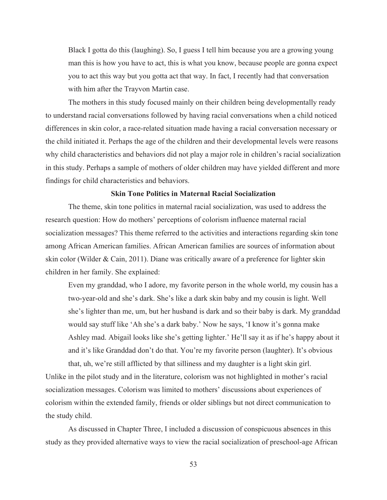Black I gotta do this (laughing). So, I guess I tell him because you are a growing young man this is how you have to act, this is what you know, because people are gonna expect you to act this way but you gotta act that way. In fact, I recently had that conversation with him after the Trayvon Martin case.

The mothers in this study focused mainly on their children being developmentally ready to understand racial conversations followed by having racial conversations when a child noticed differences in skin color, a race-related situation made having a racial conversation necessary or the child initiated it. Perhaps the age of the children and their developmental levels were reasons why child characteristics and behaviors did not play a major role in children's racial socialization in this study. Perhaps a sample of mothers of older children may have yielded different and more findings for child characteristics and behaviors.

# **Skin Tone Politics in Maternal Racial Socialization**

 The theme, skin tone politics in maternal racial socialization, was used to address the research question: How do mothers' perceptions of colorism influence maternal racial socialization messages? This theme referred to the activities and interactions regarding skin tone among African American families. African American families are sources of information about skin color (Wilder & Cain, 2011). Diane was critically aware of a preference for lighter skin children in her family. She explained:

Even my granddad, who I adore, my favorite person in the whole world, my cousin has a two-year-old and she's dark. She's like a dark skin baby and my cousin is light. Well she's lighter than me, um, but her husband is dark and so their baby is dark. My granddad would say stuff like 'Ah she's a dark baby.' Now he says, 'I know it's gonna make Ashley mad. Abigail looks like she's getting lighter.' He'll say it as if he's happy about it and it's like Granddad don't do that. You're my favorite person (laughter). It's obvious that, uh, we're still afflicted by that silliness and my daughter is a light skin girl.

Unlike in the pilot study and in the literature, colorism was not highlighted in mother's racial socialization messages. Colorism was limited to mothers' discussions about experiences of colorism within the extended family, friends or older siblings but not direct communication to the study child.

As discussed in Chapter Three, I included a discussion of conspicuous absences in this study as they provided alternative ways to view the racial socialization of preschool-age African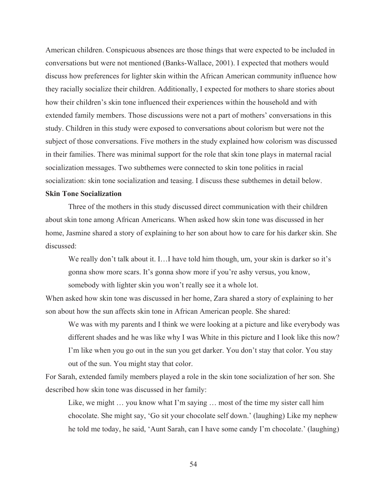American children. Conspicuous absences are those things that were expected to be included in conversations but were not mentioned (Banks-Wallace, 2001). I expected that mothers would discuss how preferences for lighter skin within the African American community influence how they racially socialize their children. Additionally, I expected for mothers to share stories about how their children's skin tone influenced their experiences within the household and with extended family members. Those discussions were not a part of mothers' conversations in this study. Children in this study were exposed to conversations about colorism but were not the subject of those conversations. Five mothers in the study explained how colorism was discussed in their families. There was minimal support for the role that skin tone plays in maternal racial socialization messages. Two subthemes were connected to skin tone politics in racial socialization: skin tone socialization and teasing. I discuss these subthemes in detail below.

#### **Skin Tone Socialization**

Three of the mothers in this study discussed direct communication with their children about skin tone among African Americans. When asked how skin tone was discussed in her home, Jasmine shared a story of explaining to her son about how to care for his darker skin. She discussed:

We really don't talk about it. I...I have told him though, um, your skin is darker so it's gonna show more scars. It's gonna show more if you're ashy versus, you know, somebody with lighter skin you won't really see it a whole lot.

When asked how skin tone was discussed in her home, Zara shared a story of explaining to her son about how the sun affects skin tone in African American people. She shared:

We was with my parents and I think we were looking at a picture and like everybody was different shades and he was like why I was White in this picture and I look like this now? I'm like when you go out in the sun you get darker. You don't stay that color. You stay out of the sun. You might stay that color.

For Sarah, extended family members played a role in the skin tone socialization of her son. She described how skin tone was discussed in her family:

Like, we might … you know what I'm saying … most of the time my sister call him chocolate. She might say, 'Go sit your chocolate self down.' (laughing) Like my nephew he told me today, he said, 'Aunt Sarah, can I have some candy I'm chocolate.' (laughing)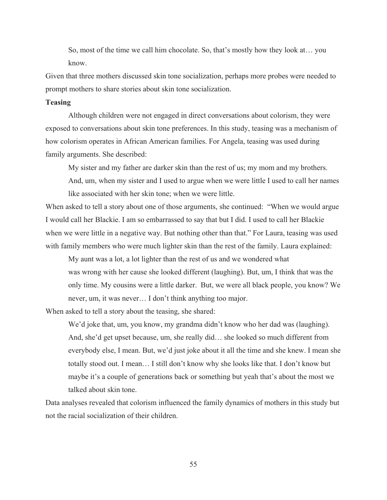So, most of the time we call him chocolate. So, that's mostly how they look at… you know.

Given that three mothers discussed skin tone socialization, perhaps more probes were needed to prompt mothers to share stories about skin tone socialization.

# **Teasing**

Although children were not engaged in direct conversations about colorism, they were exposed to conversations about skin tone preferences. In this study, teasing was a mechanism of how colorism operates in African American families. For Angela, teasing was used during family arguments. She described:

My sister and my father are darker skin than the rest of us; my mom and my brothers.

And, um, when my sister and I used to argue when we were little I used to call her names like associated with her skin tone; when we were little.

When asked to tell a story about one of those arguments, she continued: "When we would argue I would call her Blackie. I am so embarrassed to say that but I did. I used to call her Blackie when we were little in a negative way. But nothing other than that." For Laura, teasing was used with family members who were much lighter skin than the rest of the family. Laura explained:

 My aunt was a lot, a lot lighter than the rest of us and we wondered what was wrong with her cause she looked different (laughing). But, um, I think that was the only time. My cousins were a little darker. But, we were all black people, you know? We never, um, it was never… I don't think anything too major.

When asked to tell a story about the teasing, she shared:

We'd joke that, um, you know, my grandma didn't know who her dad was (laughing). And, she'd get upset because, um, she really did… she looked so much different from everybody else, I mean. But, we'd just joke about it all the time and she knew. I mean she totally stood out. I mean… I still don't know why she looks like that. I don't know but maybe it's a couple of generations back or something but yeah that's about the most we talked about skin tone.

Data analyses revealed that colorism influenced the family dynamics of mothers in this study but not the racial socialization of their children.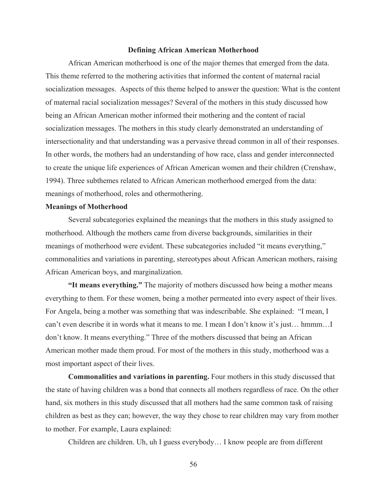### **Defining African American Motherhood**

African American motherhood is one of the major themes that emerged from the data. This theme referred to the mothering activities that informed the content of maternal racial socialization messages. Aspects of this theme helped to answer the question: What is the content of maternal racial socialization messages? Several of the mothers in this study discussed how being an African American mother informed their mothering and the content of racial socialization messages. The mothers in this study clearly demonstrated an understanding of intersectionality and that understanding was a pervasive thread common in all of their responses. In other words, the mothers had an understanding of how race, class and gender interconnected to create the unique life experiences of African American women and their children (Crenshaw, 1994). Three subthemes related to African American motherhood emerged from the data: meanings of motherhood, roles and othermothering.

#### **Meanings of Motherhood**

Several subcategories explained the meanings that the mothers in this study assigned to motherhood. Although the mothers came from diverse backgrounds, similarities in their meanings of motherhood were evident. These subcategories included "it means everything," commonalities and variations in parenting, stereotypes about African American mothers, raising African American boys, and marginalization.

**"It means everything."** The majority of mothers discussed how being a mother means everything to them. For these women, being a mother permeated into every aspect of their lives. For Angela, being a mother was something that was indescribable. She explained: "I mean, I can't even describe it in words what it means to me. I mean I don't know it's just… hmmm…I don't know. It means everything." Three of the mothers discussed that being an African American mother made them proud. For most of the mothers in this study, motherhood was a most important aspect of their lives.

**Commonalities and variations in parenting.** Four mothers in this study discussed that the state of having children was a bond that connects all mothers regardless of race. On the other hand, six mothers in this study discussed that all mothers had the same common task of raising children as best as they can; however, the way they chose to rear children may vary from mother to mother. For example, Laura explained:

Children are children. Uh, uh I guess everybody… I know people are from different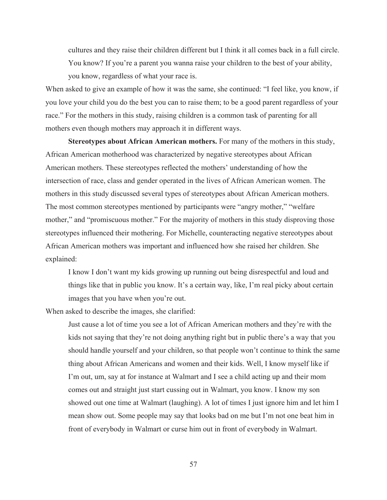cultures and they raise their children different but I think it all comes back in a full circle. You know? If you're a parent you wanna raise your children to the best of your ability, you know, regardless of what your race is.

When asked to give an example of how it was the same, she continued: "I feel like, you know, if you love your child you do the best you can to raise them; to be a good parent regardless of your race." For the mothers in this study, raising children is a common task of parenting for all mothers even though mothers may approach it in different ways.

**Stereotypes about African American mothers.** For many of the mothers in this study, African American motherhood was characterized by negative stereotypes about African American mothers. These stereotypes reflected the mothers' understanding of how the intersection of race, class and gender operated in the lives of African American women. The mothers in this study discussed several types of stereotypes about African American mothers. The most common stereotypes mentioned by participants were "angry mother," "welfare mother," and "promiscuous mother." For the majority of mothers in this study disproving those stereotypes influenced their mothering. For Michelle, counteracting negative stereotypes about African American mothers was important and influenced how she raised her children. She explained:

I know I don't want my kids growing up running out being disrespectful and loud and things like that in public you know. It's a certain way, like, I'm real picky about certain images that you have when you're out.

When asked to describe the images, she clarified:

Just cause a lot of time you see a lot of African American mothers and they're with the kids not saying that they're not doing anything right but in public there's a way that you should handle yourself and your children, so that people won't continue to think the same thing about African Americans and women and their kids. Well, I know myself like if I'm out, um, say at for instance at Walmart and I see a child acting up and their mom comes out and straight just start cussing out in Walmart, you know. I know my son showed out one time at Walmart (laughing). A lot of times I just ignore him and let him I mean show out. Some people may say that looks bad on me but I'm not one beat him in front of everybody in Walmart or curse him out in front of everybody in Walmart.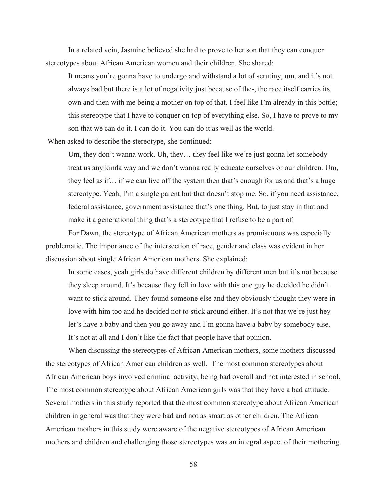In a related vein, Jasmine believed she had to prove to her son that they can conquer stereotypes about African American women and their children. She shared:

 It means you're gonna have to undergo and withstand a lot of scrutiny, um, and it's not always bad but there is a lot of negativity just because of the-, the race itself carries its own and then with me being a mother on top of that. I feel like I'm already in this bottle; this stereotype that I have to conquer on top of everything else. So, I have to prove to my son that we can do it. I can do it. You can do it as well as the world.

When asked to describe the stereotype, she continued:

Um, they don't wanna work. Uh, they… they feel like we're just gonna let somebody treat us any kinda way and we don't wanna really educate ourselves or our children. Um, they feel as if… if we can live off the system then that's enough for us and that's a huge stereotype. Yeah, I'm a single parent but that doesn't stop me. So, if you need assistance, federal assistance, government assistance that's one thing. But, to just stay in that and make it a generational thing that's a stereotype that I refuse to be a part of.

For Dawn, the stereotype of African American mothers as promiscuous was especially problematic. The importance of the intersection of race, gender and class was evident in her discussion about single African American mothers. She explained:

In some cases, yeah girls do have different children by different men but it's not because they sleep around. It's because they fell in love with this one guy he decided he didn't want to stick around. They found someone else and they obviously thought they were in love with him too and he decided not to stick around either. It's not that we're just hey let's have a baby and then you go away and I'm gonna have a baby by somebody else. It's not at all and I don't like the fact that people have that opinion.

When discussing the stereotypes of African American mothers, some mothers discussed the stereotypes of African American children as well. The most common stereotypes about African American boys involved criminal activity, being bad overall and not interested in school. The most common stereotype about African American girls was that they have a bad attitude. Several mothers in this study reported that the most common stereotype about African American children in general was that they were bad and not as smart as other children. The African American mothers in this study were aware of the negative stereotypes of African American mothers and children and challenging those stereotypes was an integral aspect of their mothering.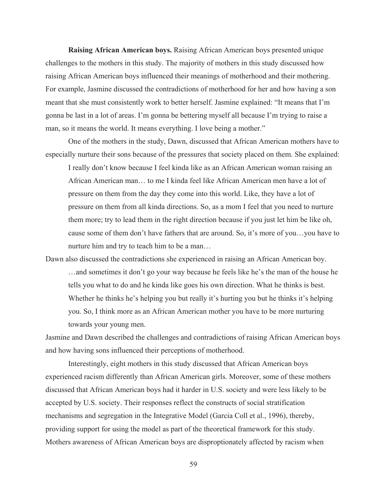**Raising African American boys.** Raising African American boys presented unique challenges to the mothers in this study. The majority of mothers in this study discussed how raising African American boys influenced their meanings of motherhood and their mothering. For example, Jasmine discussed the contradictions of motherhood for her and how having a son meant that she must consistently work to better herself. Jasmine explained: "It means that I'm gonna be last in a lot of areas. I'm gonna be bettering myself all because I'm trying to raise a man, so it means the world. It means everything. I love being a mother."

One of the mothers in the study, Dawn, discussed that African American mothers have to especially nurture their sons because of the pressures that society placed on them. She explained:

I really don't know because I feel kinda like as an African American woman raising an African American man… to me I kinda feel like African American men have a lot of pressure on them from the day they come into this world. Like, they have a lot of pressure on them from all kinda directions. So, as a mom I feel that you need to nurture them more; try to lead them in the right direction because if you just let him be like oh, cause some of them don't have fathers that are around. So, it's more of you…you have to nurture him and try to teach him to be a man…

Dawn also discussed the contradictions she experienced in raising an African American boy. …and sometimes it don't go your way because he feels like he's the man of the house he tells you what to do and he kinda like goes his own direction. What he thinks is best. Whether he thinks he's helping you but really it's hurting you but he thinks it's helping you. So, I think more as an African American mother you have to be more nurturing towards your young men.

Jasmine and Dawn described the challenges and contradictions of raising African American boys and how having sons influenced their perceptions of motherhood.

Interestingly, eight mothers in this study discussed that African American boys experienced racism differently than African American girls. Moreover, some of these mothers discussed that African American boys had it harder in U.S. society and were less likely to be accepted by U.S. society. Their responses reflect the constructs of social stratification mechanisms and segregation in the Integrative Model (Garcia Coll et al., 1996), thereby, providing support for using the model as part of the theoretical framework for this study. Mothers awareness of African American boys are disproptionately affected by racism when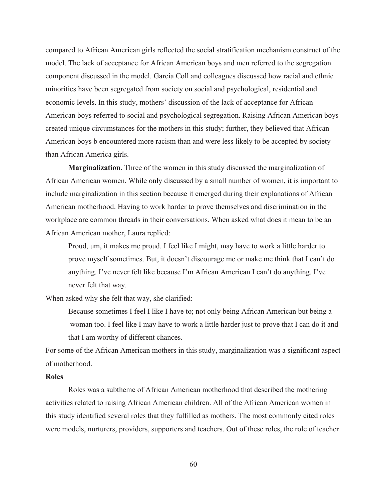compared to African American girls reflected the social stratification mechanism construct of the model. The lack of acceptance for African American boys and men referred to the segregation component discussed in the model. Garcia Coll and colleagues discussed how racial and ethnic minorities have been segregated from society on social and psychological, residential and economic levels. In this study, mothers' discussion of the lack of acceptance for African American boys referred to social and psychological segregation. Raising African American boys created unique circumstances for the mothers in this study; further, they believed that African American boys b encountered more racism than and were less likely to be accepted by society than African America girls.

**Marginalization.** Three of the women in this study discussed the marginalization of African American women. While only discussed by a small number of women, it is important to include marginalization in this section because it emerged during their explanations of African American motherhood. Having to work harder to prove themselves and discrimination in the workplace are common threads in their conversations. When asked what does it mean to be an African American mother, Laura replied:

Proud, um, it makes me proud. I feel like I might, may have to work a little harder to prove myself sometimes. But, it doesn't discourage me or make me think that I can't do anything. I've never felt like because I'm African American I can't do anything. I've never felt that way.

When asked why she felt that way, she clarified:

Because sometimes I feel I like I have to; not only being African American but being a woman too. I feel like I may have to work a little harder just to prove that I can do it and that I am worthy of different chances.

For some of the African American mothers in this study, marginalization was a significant aspect of motherhood.

# **Roles**

Roles was a subtheme of African American motherhood that described the mothering activities related to raising African American children. All of the African American women in this study identified several roles that they fulfilled as mothers. The most commonly cited roles were models, nurturers, providers, supporters and teachers. Out of these roles, the role of teacher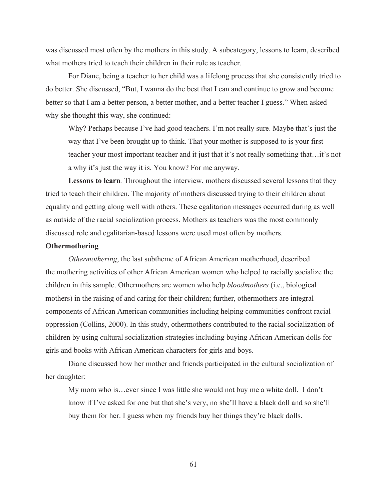was discussed most often by the mothers in this study. A subcategory, lessons to learn, described what mothers tried to teach their children in their role as teacher.

For Diane, being a teacher to her child was a lifelong process that she consistently tried to do better. She discussed, "But, I wanna do the best that I can and continue to grow and become better so that I am a better person, a better mother, and a better teacher I guess." When asked why she thought this way, she continued:

Why? Perhaps because I've had good teachers. I'm not really sure. Maybe that's just the way that I've been brought up to think. That your mother is supposed to is your first teacher your most important teacher and it just that it's not really something that…it's not a why it's just the way it is. You know? For me anyway.

**Lessons to learn***.* Throughout the interview, mothers discussed several lessons that they tried to teach their children. The majority of mothers discussed trying to their children about equality and getting along well with others. These egalitarian messages occurred during as well as outside of the racial socialization process. Mothers as teachers was the most commonly discussed role and egalitarian-based lessons were used most often by mothers.

# **Othermothering**

*Othermothering*, the last subtheme of African American motherhood, described the mothering activities of other African American women who helped to racially socialize the children in this sample. Othermothers are women who help *bloodmothers* (i.e., biological mothers) in the raising of and caring for their children; further, othermothers are integral components of African American communities including helping communities confront racial oppression (Collins, 2000). In this study, othermothers contributed to the racial socialization of children by using cultural socialization strategies including buying African American dolls for girls and books with African American characters for girls and boys.

Diane discussed how her mother and friends participated in the cultural socialization of her daughter:

My mom who is…ever since I was little she would not buy me a white doll. I don't know if I've asked for one but that she's very, no she'll have a black doll and so she'll buy them for her. I guess when my friends buy her things they're black dolls.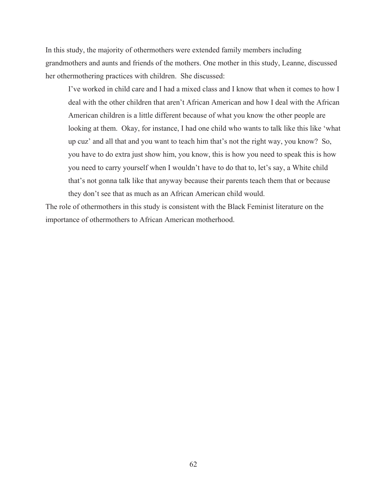In this study, the majority of othermothers were extended family members including grandmothers and aunts and friends of the mothers. One mother in this study, Leanne, discussed her othermothering practices with children. She discussed:

I've worked in child care and I had a mixed class and I know that when it comes to how I deal with the other children that aren't African American and how I deal with the African American children is a little different because of what you know the other people are looking at them. Okay, for instance, I had one child who wants to talk like this like 'what up cuz' and all that and you want to teach him that's not the right way, you know? So, you have to do extra just show him, you know, this is how you need to speak this is how you need to carry yourself when I wouldn't have to do that to, let's say, a White child that's not gonna talk like that anyway because their parents teach them that or because they don't see that as much as an African American child would.

The role of othermothers in this study is consistent with the Black Feminist literature on the importance of othermothers to African American motherhood.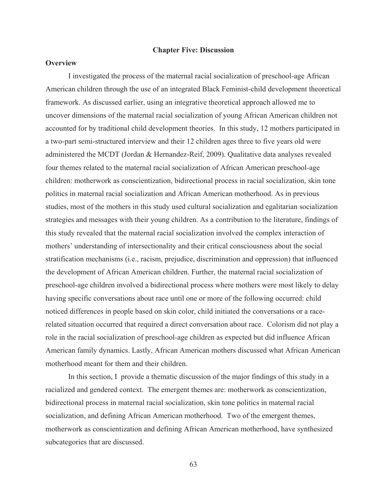#### **Chapter Five: Discussion**

### **Overview**

I investigated the process of the maternal racial socialization of preschool-age African American children through the use of an integrated Black Feminist-child development theoretical framework. As discussed earlier, using an integrative theoretical approach allowed me to uncover dimensions of the maternal racial socialization of young African American children not accounted for by traditional child development theories. In this study, 12 mothers participated in a two-part semi-structured interview and their 12 children ages three to five years old were administered the MCDT (Jordan & Hernandez-Reif, 2009). Qualitative data analyses revealed four themes related to the maternal racial socialization of African American preschool-age children: motherwork as conscientization, bidirectional process in racial socialization, skin tone politics in maternal racial socialization and African American motherhood. As in previous studies, most of the mothers in this study used cultural socialization and egalitarian socialization strategies and messages with their young children. As a contribution to the literature, findings of this study revealed that the maternal racial socialization involved the complex interaction of mothers' understanding of intersectionality and their critical consciousness about the social stratification mechanisms (i.e., racism, prejudice, discrimination and oppression) that influenced the development of African American children. Further, the maternal racial socialization of preschool-age children involved a bidirectional process where mothers were most likely to delay having specific conversations about race until one or more of the following occurred: child noticed differences in people based on skin color, child initiated the conversations or a racerelated situation occurred that required a direct conversation about race. Colorism did not play a role in the racial socialization of preschool-age children as expected but did influence African American family dynamics. Lastly, African American mothers discussed what African American motherhood meant for them and their children.

In this section, I provide a thematic discussion of the major findings of this study in a racialized and gendered context. The emergent themes are: motherwork as conscientization, bidirectional process in maternal racial socialization, skin tone politics in maternal racial socialization, and defining African American motherhood. Two of the emergent themes, motherwork as conscientization and defining African American motherhood, have synthesized subcategories that are discussed.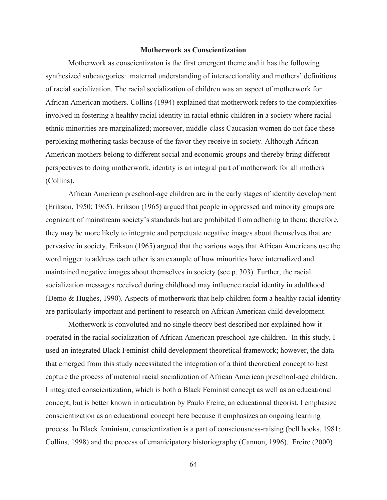#### **Motherwork as Conscientization**

Motherwork as conscientizaton is the first emergent theme and it has the following synthesized subcategories: maternal understanding of intersectionality and mothers' definitions of racial socialization. The racial socialization of children was an aspect of motherwork for African American mothers. Collins (1994) explained that motherwork refers to the complexities involved in fostering a healthy racial identity in racial ethnic children in a society where racial ethnic minorities are marginalized; moreover, middle-class Caucasian women do not face these perplexing mothering tasks because of the favor they receive in society. Although African American mothers belong to different social and economic groups and thereby bring different perspectives to doing motherwork, identity is an integral part of motherwork for all mothers (Collins).

African American preschool-age children are in the early stages of identity development (Erikson, 1950; 1965). Erikson (1965) argued that people in oppressed and minority groups are cognizant of mainstream society's standards but are prohibited from adhering to them; therefore, they may be more likely to integrate and perpetuate negative images about themselves that are pervasive in society. Erikson (1965) argued that the various ways that African Americans use the word nigger to address each other is an example of how minorities have internalized and maintained negative images about themselves in society (see p. 303). Further, the racial socialization messages received during childhood may influence racial identity in adulthood (Demo & Hughes, 1990). Aspects of motherwork that help children form a healthy racial identity are particularly important and pertinent to research on African American child development.

Motherwork is convoluted and no single theory best described nor explained how it operated in the racial socialization of African American preschool-age children. In this study, I used an integrated Black Feminist-child development theoretical framework; however, the data that emerged from this study necessitated the integration of a third theoretical concept to best capture the process of maternal racial socialization of African American preschool-age children. I integrated conscientization, which is both a Black Feminist concept as well as an educational concept, but is better known in articulation by Paulo Freire, an educational theorist. I emphasize conscientization as an educational concept here because it emphasizes an ongoing learning process. In Black feminism, conscientization is a part of consciousness-raising (bell hooks, 1981; Collins, 1998) and the process of emanicipatory historiography (Cannon, 1996). Freire (2000)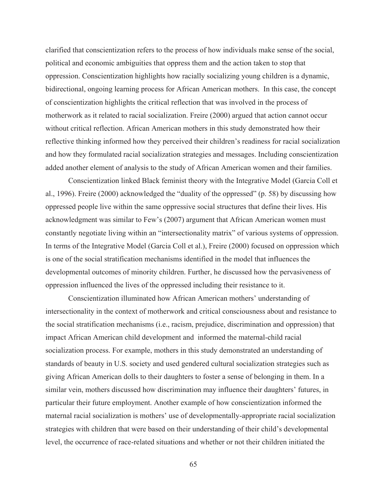clarified that conscientization refers to the process of how individuals make sense of the social, political and economic ambiguities that oppress them and the action taken to stop that oppression. Conscientization highlights how racially socializing young children is a dynamic, bidirectional, ongoing learning process for African American mothers. In this case, the concept of conscientization highlights the critical reflection that was involved in the process of motherwork as it related to racial socialization. Freire (2000) argued that action cannot occur without critical reflection. African American mothers in this study demonstrated how their reflective thinking informed how they perceived their children's readiness for racial socialization and how they formulated racial socialization strategies and messages. Including conscientization added another element of analysis to the study of African American women and their families.

Conscientization linked Black feminist theory with the Integrative Model (Garcia Coll et al., 1996). Freire (2000) acknowledged the "duality of the oppressed" (p. 58) by discussing how oppressed people live within the same oppressive social structures that define their lives. His acknowledgment was similar to Few's (2007) argument that African American women must constantly negotiate living within an "intersectionality matrix" of various systems of oppression. In terms of the Integrative Model (Garcia Coll et al.), Freire (2000) focused on oppression which is one of the social stratification mechanisms identified in the model that influences the developmental outcomes of minority children. Further, he discussed how the pervasiveness of oppression influenced the lives of the oppressed including their resistance to it.

Conscientization illuminated how African American mothers' understanding of intersectionality in the context of motherwork and critical consciousness about and resistance to the social stratification mechanisms (i.e., racism, prejudice, discrimination and oppression) that impact African American child development and informed the maternal-child racial socialization process. For example, mothers in this study demonstrated an understanding of standards of beauty in U.S. society and used gendered cultural socialization strategies such as giving African American dolls to their daughters to foster a sense of belonging in them. In a similar vein, mothers discussed how discrimination may influence their daughters' futures, in particular their future employment. Another example of how conscientization informed the maternal racial socialization is mothers' use of developmentally-appropriate racial socialization strategies with children that were based on their understanding of their child's developmental level, the occurrence of race-related situations and whether or not their children initiated the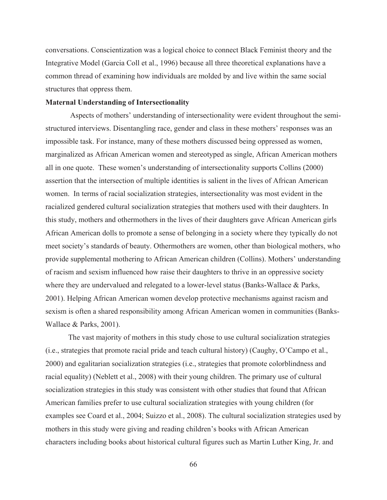conversations. Conscientization was a logical choice to connect Black Feminist theory and the Integrative Model (Garcia Coll et al., 1996) because all three theoretical explanations have a common thread of examining how individuals are molded by and live within the same social structures that oppress them.

#### **Maternal Understanding of Intersectionality**

Aspects of mothers' understanding of intersectionality were evident throughout the semistructured interviews. Disentangling race, gender and class in these mothers' responses was an impossible task. For instance, many of these mothers discussed being oppressed as women, marginalized as African American women and stereotyped as single, African American mothers all in one quote. These women's understanding of intersectionality supports Collins (2000) assertion that the intersection of multiple identities is salient in the lives of African American women. In terms of racial socialization strategies, intersectionality was most evident in the racialized gendered cultural socialization strategies that mothers used with their daughters. In this study, mothers and othermothers in the lives of their daughters gave African American girls African American dolls to promote a sense of belonging in a society where they typically do not meet society's standards of beauty. Othermothers are women, other than biological mothers, who provide supplemental mothering to African American children (Collins). Mothers' understanding of racism and sexism influenced how raise their daughters to thrive in an oppressive society where they are undervalued and relegated to a lower-level status (Banks-Wallace & Parks, 2001). Helping African American women develop protective mechanisms against racism and sexism is often a shared responsibility among African American women in communities (Banks-Wallace & Parks, 2001).

The vast majority of mothers in this study chose to use cultural socialization strategies (i.e., strategies that promote racial pride and teach cultural history) (Caughy, O'Campo et al., 2000) and egalitarian socialization strategies (i.e., strategies that promote colorblindness and racial equality) (Neblett et al., 2008) with their young children. The primary use of cultural socialization strategies in this study was consistent with other studies that found that African American families prefer to use cultural socialization strategies with young children (for examples see Coard et al., 2004; Suizzo et al., 2008). The cultural socialization strategies used by mothers in this study were giving and reading children's books with African American characters including books about historical cultural figures such as Martin Luther King, Jr. and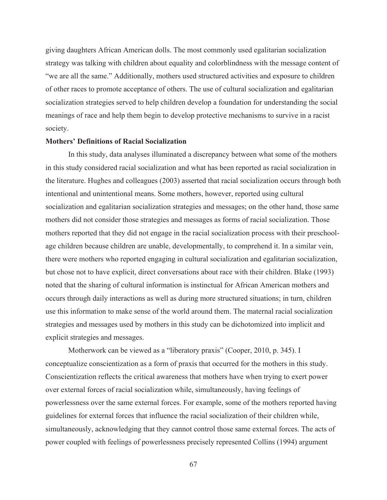giving daughters African American dolls. The most commonly used egalitarian socialization strategy was talking with children about equality and colorblindness with the message content of "we are all the same." Additionally, mothers used structured activities and exposure to children of other races to promote acceptance of others. The use of cultural socialization and egalitarian socialization strategies served to help children develop a foundation for understanding the social meanings of race and help them begin to develop protective mechanisms to survive in a racist society.

### **Mothers' Definitions of Racial Socialization**

In this study, data analyses illuminated a discrepancy between what some of the mothers in this study considered racial socialization and what has been reported as racial socialization in the literature. Hughes and colleagues (2003) asserted that racial socialization occurs through both intentional and unintentional means. Some mothers, however, reported using cultural socialization and egalitarian socialization strategies and messages; on the other hand, those same mothers did not consider those strategies and messages as forms of racial socialization. Those mothers reported that they did not engage in the racial socialization process with their preschoolage children because children are unable, developmentally, to comprehend it. In a similar vein, there were mothers who reported engaging in cultural socialization and egalitarian socialization, but chose not to have explicit, direct conversations about race with their children. Blake (1993) noted that the sharing of cultural information is instinctual for African American mothers and occurs through daily interactions as well as during more structured situations; in turn, children use this information to make sense of the world around them. The maternal racial socialization strategies and messages used by mothers in this study can be dichotomized into implicit and explicit strategies and messages.

Motherwork can be viewed as a "liberatory praxis" (Cooper, 2010, p. 345). I conceptualize conscientization as a form of praxis that occurred for the mothers in this study. Conscientization reflects the critical awareness that mothers have when trying to exert power over external forces of racial socialization while, simultaneously, having feelings of powerlessness over the same external forces. For example, some of the mothers reported having guidelines for external forces that influence the racial socialization of their children while, simultaneously, acknowledging that they cannot control those same external forces. The acts of power coupled with feelings of powerlessness precisely represented Collins (1994) argument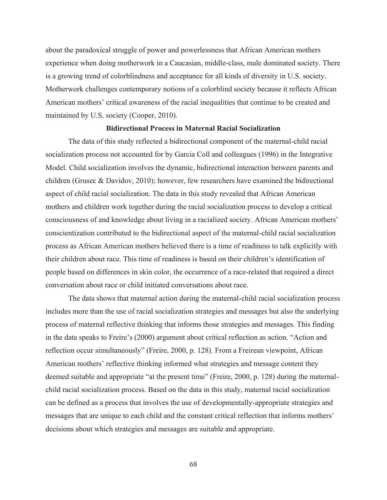about the paradoxical struggle of power and powerlessness that African American mothers experience when doing motherwork in a Caucasian, middle-class, male dominated society. There is a growing trend of colorblindness and acceptance for all kinds of diversity in U.S. society. Motherwork challenges contemporary notions of a colorblind society because it reflects African American mothers' critical awareness of the racial inequalities that continue to be created and maintained by U.S. society (Cooper, 2010).

#### **Bidirectional Process in Maternal Racial Socialization**

The data of this study reflected a bidirectional component of the maternal-child racial socialization process not accounted for by Garcia Coll and colleagues (1996) in the Integrative Model. Child socialization involves the dynamic, bidirectional interaction between parents and children (Grusec & Davidov, 2010); however, few researchers have examined the bidirectional aspect of child racial socialization. The data in this study revealed that African American mothers and children work together during the racial socialization process to develop a critical consciousness of and knowledge about living in a racialized society. African American mothers' conscientization contributed to the bidirectional aspect of the maternal-child racial socialization process as African American mothers believed there is a time of readiness to talk explicitly with their children about race. This time of readiness is based on their children's identification of people based on differences in skin color, the occurrence of a race-related that required a direct conversation about race or child initiated conversations about race.

The data shows that maternal action during the maternal-child racial socialization process includes more than the use of racial socialization strategies and messages but also the underlying process of maternal reflective thinking that informs those strategies and messages. This finding in the data speaks to Freire's (2000) argument about critical reflection as action. "Action and reflection occur simultaneously" (Freire, 2000, p. 128). From a Freirean viewpoint, African American mothers' reflective thinking informed what strategies and message content they deemed suitable and appropriate "at the present time" (Freire, 2000, p. 128) during the maternalchild racial socialization process. Based on the data in this study, maternal racial socialization can be defined as a process that involves the use of developmentally-appropriate strategies and messages that are unique to each child and the constant critical reflection that informs mothers' decisions about which strategies and messages are suitable and appropriate.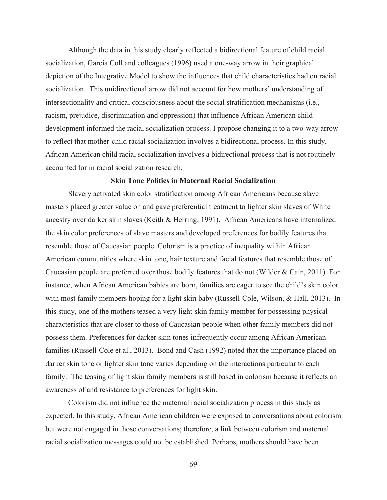Although the data in this study clearly reflected a bidirectional feature of child racial socialization, Garcia Coll and colleagues (1996) used a one-way arrow in their graphical depiction of the Integrative Model to show the influences that child characteristics had on racial socialization. This unidirectional arrow did not account for how mothers' understanding of intersectionality and critical consciousness about the social stratification mechanisms (i.e., racism, prejudice, discrimination and oppression) that influence African American child development informed the racial socialization process. I propose changing it to a two-way arrow to reflect that mother-child racial socialization involves a bidirectional process. In this study, African American child racial socialization involves a bidirectional process that is not routinely accounted for in racial socialization research.

### **Skin Tone Politics in Maternal Racial Socialization**

Slavery activated skin color stratification among African Americans because slave masters placed greater value on and gave preferential treatment to lighter skin slaves of White ancestry over darker skin slaves (Keith & Herring, 1991). African Americans have internalized the skin color preferences of slave masters and developed preferences for bodily features that resemble those of Caucasian people. Colorism is a practice of inequality within African American communities where skin tone, hair texture and facial features that resemble those of Caucasian people are preferred over those bodily features that do not (Wilder & Cain, 2011). For instance, when African American babies are born, families are eager to see the child's skin color with most family members hoping for a light skin baby (Russell-Cole, Wilson, & Hall, 2013). In this study, one of the mothers teased a very light skin family member for possessing physical characteristics that are closer to those of Caucasian people when other family members did not possess them. Preferences for darker skin tones infrequently occur among African American families (Russell-Cole et al., 2013). Bond and Cash (1992) noted that the importance placed on darker skin tone or lighter skin tone varies depending on the interactions particular to each family. The teasing of light skin family members is still based in colorism because it reflects an awareness of and resistance to preferences for light skin.

Colorism did not influence the maternal racial socialization process in this study as expected. In this study, African American children were exposed to conversations about colorism but were not engaged in those conversations; therefore, a link between colorism and maternal racial socialization messages could not be established. Perhaps, mothers should have been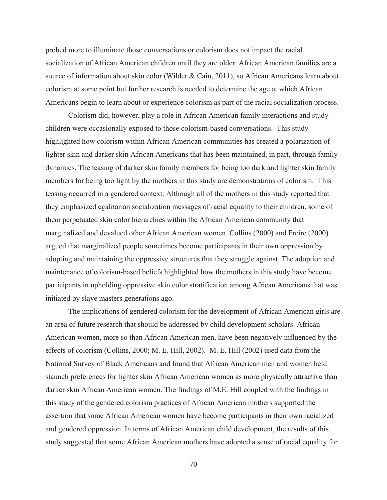probed more to illuminate those conversations or colorism does not impact the racial socialization of African American children until they are older. African American families are a source of information about skin color (Wilder & Cain, 2011), so African Americans learn about colorism at some point but further research is needed to determine the age at which African Americans begin to learn about or experience colorism as part of the racial socialization process.

Colorism did, however, play a role in African American family interactions and study children were occasionally exposed to those colorism-based conversations. This study highlighted how colorism within African American communities has created a polarization of lighter skin and darker skin African Americans that has been maintained, in part, through family dynamics. The teasing of darker skin family members for being too dark and lighter skin family members for being too light by the mothers in this study are demonstrations of colorism. This teasing occurred in a gendered context. Although all of the mothers in this study reported that they emphasized egalitarian socialization messages of racial equality to their children, some of them perpetuated skin color hierarchies within the African American community that marginalized and devalued other African American women. Collins (2000) and Freire (2000) argued that marginalized people sometimes become participants in their own oppression by adopting and maintaining the oppressive structures that they struggle against. The adoption and maintenance of colorism-based beliefs highlighted how the mothers in this study have become participants in upholding oppressive skin color stratification among African Americans that was initiated by slave masters generations ago.

The implications of gendered colorism for the development of African American girls are an area of future research that should be addressed by child development scholars. African American women, more so than African American men, have been negatively influenced by the effects of colorism (Collins, 2000; M. E. Hill, 2002). M. E. Hill (2002) used data from the National Survey of Black Americans and found that African American men and women held staunch preferences for lighter skin African American women as more physically attractive than darker skin African American women. The findings of M.E. Hill coupled with the findings in this study of the gendered colorism practices of African American mothers supported the assertion that some African American women have become participants in their own racialized and gendered oppression. In terms of African American child development, the results of this study suggested that some African American mothers have adopted a sense of racial equality for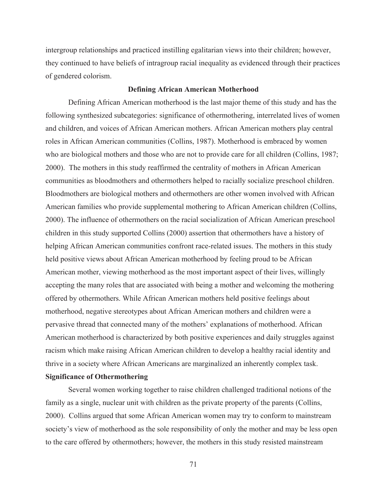intergroup relationships and practiced instilling egalitarian views into their children; however, they continued to have beliefs of intragroup racial inequality as evidenced through their practices of gendered colorism.

### **Defining African American Motherhood**

Defining African American motherhood is the last major theme of this study and has the following synthesized subcategories: significance of othermothering, interrelated lives of women and children, and voices of African American mothers. African American mothers play central roles in African American communities (Collins, 1987). Motherhood is embraced by women who are biological mothers and those who are not to provide care for all children (Collins, 1987; 2000). The mothers in this study reaffirmed the centrality of mothers in African American communities as bloodmothers and othermothers helped to racially socialize preschool children. Bloodmothers are biological mothers and othermothers are other women involved with African American families who provide supplemental mothering to African American children (Collins, 2000). The influence of othermothers on the racial socialization of African American preschool children in this study supported Collins (2000) assertion that othermothers have a history of helping African American communities confront race-related issues. The mothers in this study held positive views about African American motherhood by feeling proud to be African American mother, viewing motherhood as the most important aspect of their lives, willingly accepting the many roles that are associated with being a mother and welcoming the mothering offered by othermothers. While African American mothers held positive feelings about motherhood, negative stereotypes about African American mothers and children were a pervasive thread that connected many of the mothers' explanations of motherhood. African American motherhood is characterized by both positive experiences and daily struggles against racism which make raising African American children to develop a healthy racial identity and thrive in a society where African Americans are marginalized an inherently complex task.

### **Significance of Othermothering**

Several women working together to raise children challenged traditional notions of the family as a single, nuclear unit with children as the private property of the parents (Collins, 2000). Collins argued that some African American women may try to conform to mainstream society's view of motherhood as the sole responsibility of only the mother and may be less open to the care offered by othermothers; however, the mothers in this study resisted mainstream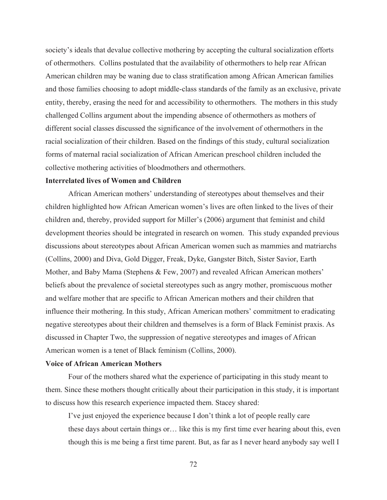society's ideals that devalue collective mothering by accepting the cultural socialization efforts of othermothers. Collins postulated that the availability of othermothers to help rear African American children may be waning due to class stratification among African American families and those families choosing to adopt middle-class standards of the family as an exclusive, private entity, thereby, erasing the need for and accessibility to othermothers. The mothers in this study challenged Collins argument about the impending absence of othermothers as mothers of different social classes discussed the significance of the involvement of othermothers in the racial socialization of their children. Based on the findings of this study, cultural socialization forms of maternal racial socialization of African American preschool children included the collective mothering activities of bloodmothers and othermothers.

### **Interrelated lives of Women and Children**

African American mothers' understanding of stereotypes about themselves and their children highlighted how African American women's lives are often linked to the lives of their children and, thereby, provided support for Miller's (2006) argument that feminist and child development theories should be integrated in research on women. This study expanded previous discussions about stereotypes about African American women such as mammies and matriarchs (Collins, 2000) and Diva, Gold Digger, Freak, Dyke, Gangster Bitch, Sister Savior, Earth Mother, and Baby Mama (Stephens & Few, 2007) and revealed African American mothers' beliefs about the prevalence of societal stereotypes such as angry mother, promiscuous mother and welfare mother that are specific to African American mothers and their children that influence their mothering. In this study, African American mothers' commitment to eradicating negative stereotypes about their children and themselves is a form of Black Feminist praxis. As discussed in Chapter Two, the suppression of negative stereotypes and images of African American women is a tenet of Black feminism (Collins, 2000).

#### **Voice of African American Mothers**

Four of the mothers shared what the experience of participating in this study meant to them. Since these mothers thought critically about their participation in this study, it is important to discuss how this research experience impacted them. Stacey shared:

I've just enjoyed the experience because I don't think a lot of people really care these days about certain things or… like this is my first time ever hearing about this, even though this is me being a first time parent. But, as far as I never heard anybody say well I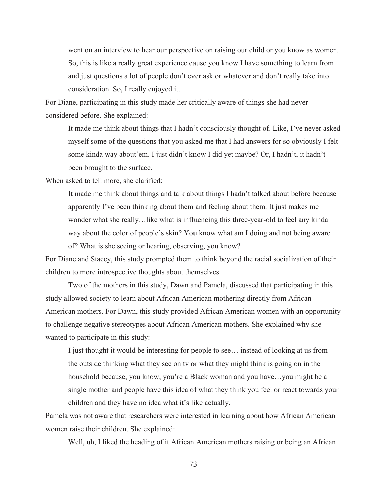went on an interview to hear our perspective on raising our child or you know as women. So, this is like a really great experience cause you know I have something to learn from and just questions a lot of people don't ever ask or whatever and don't really take into consideration. So, I really enjoyed it.

For Diane, participating in this study made her critically aware of things she had never considered before. She explained:

It made me think about things that I hadn't consciously thought of. Like, I've never asked myself some of the questions that you asked me that I had answers for so obviously I felt some kinda way about'em. I just didn't know I did yet maybe? Or, I hadn't, it hadn't been brought to the surface.

When asked to tell more, she clarified:

It made me think about things and talk about things I hadn't talked about before because apparently I've been thinking about them and feeling about them. It just makes me wonder what she really…like what is influencing this three-year-old to feel any kinda way about the color of people's skin? You know what am I doing and not being aware of? What is she seeing or hearing, observing, you know?

For Diane and Stacey, this study prompted them to think beyond the racial socialization of their children to more introspective thoughts about themselves.

 Two of the mothers in this study, Dawn and Pamela, discussed that participating in this study allowed society to learn about African American mothering directly from African American mothers. For Dawn, this study provided African American women with an opportunity to challenge negative stereotypes about African American mothers. She explained why she wanted to participate in this study:

I just thought it would be interesting for people to see… instead of looking at us from the outside thinking what they see on tv or what they might think is going on in the household because, you know, you're a Black woman and you have...you might be a single mother and people have this idea of what they think you feel or react towards your children and they have no idea what it's like actually.

Pamela was not aware that researchers were interested in learning about how African American women raise their children. She explained:

Well, uh, I liked the heading of it African American mothers raising or being an African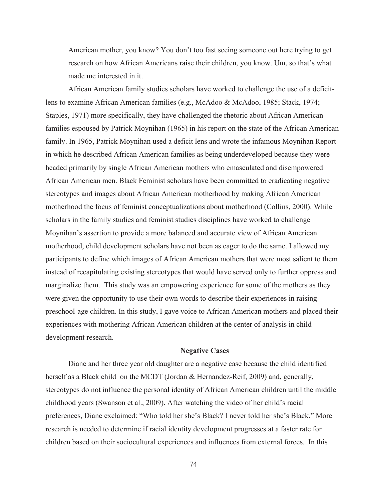American mother, you know? You don't too fast seeing someone out here trying to get research on how African Americans raise their children, you know. Um, so that's what made me interested in it.

African American family studies scholars have worked to challenge the use of a deficitlens to examine African American families (e.g., McAdoo & McAdoo, 1985; Stack, 1974; Staples, 1971) more specifically, they have challenged the rhetoric about African American families espoused by Patrick Moynihan (1965) in his report on the state of the African American family. In 1965, Patrick Moynihan used a deficit lens and wrote the infamous Moynihan Report in which he described African American families as being underdeveloped because they were headed primarily by single African American mothers who emasculated and disempowered African American men. Black Feminist scholars have been committed to eradicating negative stereotypes and images about African American motherhood by making African American motherhood the focus of feminist conceptualizations about motherhood (Collins, 2000). While scholars in the family studies and feminist studies disciplines have worked to challenge Moynihan's assertion to provide a more balanced and accurate view of African American motherhood, child development scholars have not been as eager to do the same. I allowed my participants to define which images of African American mothers that were most salient to them instead of recapitulating existing stereotypes that would have served only to further oppress and marginalize them. This study was an empowering experience for some of the mothers as they were given the opportunity to use their own words to describe their experiences in raising preschool-age children. In this study, I gave voice to African American mothers and placed their experiences with mothering African American children at the center of analysis in child development research.

### **Negative Cases**

Diane and her three year old daughter are a negative case because the child identified herself as a Black child on the MCDT (Jordan & Hernandez-Reif, 2009) and, generally, stereotypes do not influence the personal identity of African American children until the middle childhood years (Swanson et al., 2009). After watching the video of her child's racial preferences, Diane exclaimed: "Who told her she's Black? I never told her she's Black." More research is needed to determine if racial identity development progresses at a faster rate for children based on their sociocultural experiences and influences from external forces. In this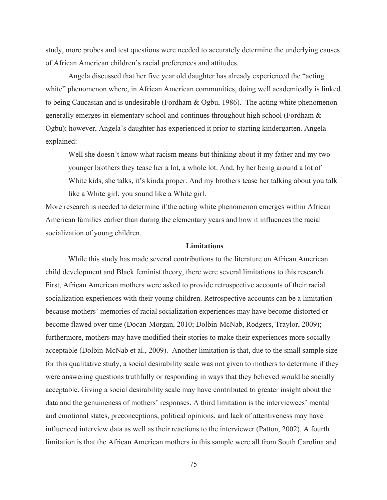study, more probes and test questions were needed to accurately determine the underlying causes of African American children's racial preferences and attitudes.

Angela discussed that her five year old daughter has already experienced the "acting white" phenomenon where, in African American communities, doing well academically is linked to being Caucasian and is undesirable (Fordham & Ogbu, 1986). The acting white phenomenon generally emerges in elementary school and continues throughout high school (Fordham & Ogbu); however, Angela's daughter has experienced it prior to starting kindergarten. Angela explained:

Well she doesn't know what racism means but thinking about it my father and my two younger brothers they tease her a lot, a whole lot. And, by her being around a lot of White kids, she talks, it's kinda proper. And my brothers tease her talking about you talk like a White girl, you sound like a White girl.

More research is needed to determine if the acting white phenomenon emerges within African American families earlier than during the elementary years and how it influences the racial socialization of young children.

#### **Limitations**

While this study has made several contributions to the literature on African American child development and Black feminist theory, there were several limitations to this research. First, African American mothers were asked to provide retrospective accounts of their racial socialization experiences with their young children. Retrospective accounts can be a limitation because mothers' memories of racial socialization experiences may have become distorted or become flawed over time (Docan-Morgan, 2010; Dolbin-McNab, Rodgers, Traylor, 2009); furthermore, mothers may have modified their stories to make their experiences more socially acceptable (Dolbin-McNab et al., 2009). Another limitation is that, due to the small sample size for this qualitative study, a social desirability scale was not given to mothers to determine if they were answering questions truthfully or responding in ways that they believed would be socially acceptable. Giving a social desirability scale may have contributed to greater insight about the data and the genuineness of mothers' responses. A third limitation is the interviewees' mental and emotional states, preconceptions, political opinions, and lack of attentiveness may have influenced interview data as well as their reactions to the interviewer (Patton, 2002). A fourth limitation is that the African American mothers in this sample were all from South Carolina and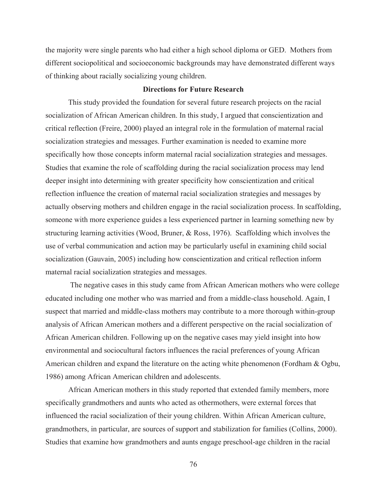the majority were single parents who had either a high school diploma or GED. Mothers from different sociopolitical and socioeconomic backgrounds may have demonstrated different ways of thinking about racially socializing young children.

### **Directions for Future Research**

This study provided the foundation for several future research projects on the racial socialization of African American children. In this study, I argued that conscientization and critical reflection (Freire, 2000) played an integral role in the formulation of maternal racial socialization strategies and messages. Further examination is needed to examine more specifically how those concepts inform maternal racial socialization strategies and messages. Studies that examine the role of scaffolding during the racial socialization process may lend deeper insight into determining with greater specificity how conscientization and critical reflection influence the creation of maternal racial socialization strategies and messages by actually observing mothers and children engage in the racial socialization process. In scaffolding, someone with more experience guides a less experienced partner in learning something new by structuring learning activities (Wood, Bruner, & Ross, 1976). Scaffolding which involves the use of verbal communication and action may be particularly useful in examining child social socialization (Gauvain, 2005) including how conscientization and critical reflection inform maternal racial socialization strategies and messages.

 The negative cases in this study came from African American mothers who were college educated including one mother who was married and from a middle-class household. Again, I suspect that married and middle-class mothers may contribute to a more thorough within-group analysis of African American mothers and a different perspective on the racial socialization of African American children. Following up on the negative cases may yield insight into how environmental and sociocultural factors influences the racial preferences of young African American children and expand the literature on the acting white phenomenon (Fordham & Ogbu, 1986) among African American children and adolescents.

African American mothers in this study reported that extended family members, more specifically grandmothers and aunts who acted as othermothers, were external forces that influenced the racial socialization of their young children. Within African American culture, grandmothers, in particular, are sources of support and stabilization for families (Collins, 2000). Studies that examine how grandmothers and aunts engage preschool-age children in the racial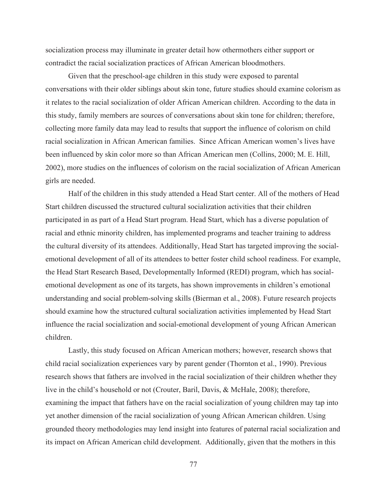socialization process may illuminate in greater detail how othermothers either support or contradict the racial socialization practices of African American bloodmothers.

Given that the preschool-age children in this study were exposed to parental conversations with their older siblings about skin tone, future studies should examine colorism as it relates to the racial socialization of older African American children. According to the data in this study, family members are sources of conversations about skin tone for children; therefore, collecting more family data may lead to results that support the influence of colorism on child racial socialization in African American families. Since African American women's lives have been influenced by skin color more so than African American men (Collins, 2000; M. E. Hill, 2002), more studies on the influences of colorism on the racial socialization of African American girls are needed.

Half of the children in this study attended a Head Start center. All of the mothers of Head Start children discussed the structured cultural socialization activities that their children participated in as part of a Head Start program. Head Start, which has a diverse population of racial and ethnic minority children, has implemented programs and teacher training to address the cultural diversity of its attendees. Additionally, Head Start has targeted improving the socialemotional development of all of its attendees to better foster child school readiness. For example, the Head Start Research Based, Developmentally Informed (REDI) program, which has socialemotional development as one of its targets, has shown improvements in children's emotional understanding and social problem-solving skills (Bierman et al., 2008). Future research projects should examine how the structured cultural socialization activities implemented by Head Start influence the racial socialization and social-emotional development of young African American children.

Lastly, this study focused on African American mothers; however, research shows that child racial socialization experiences vary by parent gender (Thornton et al., 1990). Previous research shows that fathers are involved in the racial socialization of their children whether they live in the child's household or not (Crouter, Baril, Davis, & McHale, 2008); therefore, examining the impact that fathers have on the racial socialization of young children may tap into yet another dimension of the racial socialization of young African American children. Using grounded theory methodologies may lend insight into features of paternal racial socialization and its impact on African American child development. Additionally, given that the mothers in this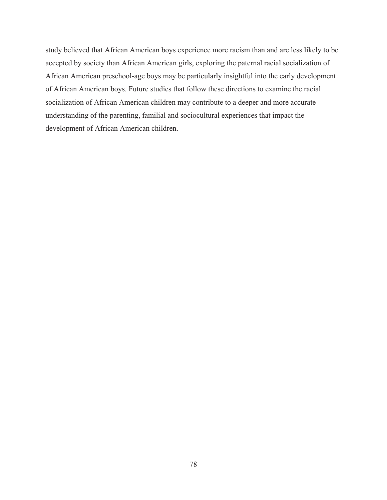study believed that African American boys experience more racism than and are less likely to be accepted by society than African American girls, exploring the paternal racial socialization of African American preschool-age boys may be particularly insightful into the early development of African American boys. Future studies that follow these directions to examine the racial socialization of African American children may contribute to a deeper and more accurate understanding of the parenting, familial and sociocultural experiences that impact the development of African American children.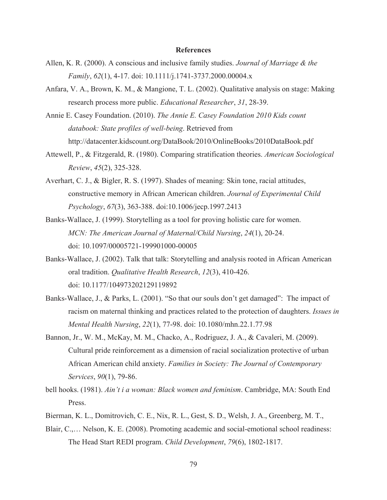### **References**

- Allen, K. R. (2000). A conscious and inclusive family studies. *Journal of Marriage & the Family*, *62*(1), 4-17. doi: 10.1111/j.1741-3737.2000.00004.x
- Anfara, V. A., Brown, K. M., & Mangione, T. L. (2002). Qualitative analysis on stage: Making research process more public. *Educational Researcher*, *31*, 28-39.
- Annie E. Casey Foundation. (2010). *The Annie E. Casey Foundation 2010 Kids count databook: State profiles of well-being*. Retrieved from http://datacenter.kidscount.org/DataBook/2010/OnlineBooks/2010DataBook.pdf
- Attewell, P., & Fitzgerald, R. (1980). Comparing stratification theories. *American Sociological Review*, *45*(2), 325-328.
- Averhart, C. J., & Bigler, R. S. (1997). Shades of meaning: Skin tone, racial attitudes, constructive memory in African American children. *Journal of Experimental Child Psychology*, *67*(3), 363-388. doi:10.1006/jecp.1997.2413
- Banks-Wallace, J. (1999). Storytelling as a tool for proving holistic care for women. *MCN: The American Journal of Maternal/Child Nursing*, *24*(1), 20-24. doi: 10.1097/00005721-199901000-00005
- Banks-Wallace, J. (2002). Talk that talk: Storytelling and analysis rooted in African American oral tradition. *Qualitative Health Research*, *12*(3), 410-426. doi: 10.1177/104973202129119892
- Banks-Wallace, J., & Parks, L. (2001). "So that our souls don't get damaged": The impact of racism on maternal thinking and practices related to the protection of daughters. *Issues in Mental Health Nursing*, *22*(1), 77-98. doi: 10.1080/mhn.22.1.77.98
- Bannon, Jr., W. M., McKay, M. M., Chacko, A., Rodriguez, J. A., & Cavaleri, M. (2009). Cultural pride reinforcement as a dimension of racial socialization protective of urban African American child anxiety. *Families in Society: The Journal of Contemporary Services*, *90*(1), 79-86.
- bell hooks. (1981). *Ain't i a woman: Black women and feminism*. Cambridge, MA: South End Press.
- Bierman, K. L., Domitrovich, C. E., Nix, R. L., Gest, S. D., Welsh, J. A., Greenberg, M. T.,
- Blair, C.,… Nelson, K. E. (2008). Promoting academic and social-emotional school readiness: The Head Start REDI program. *Child Development*, *79*(6), 1802-1817.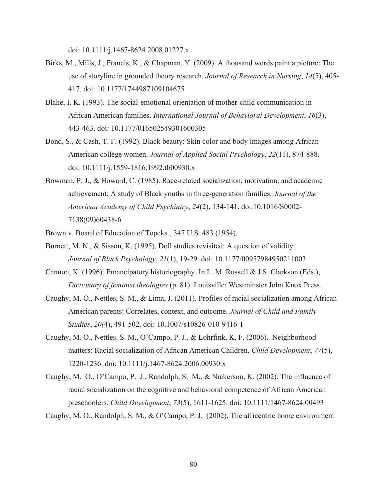doi: 10.1111/j.1467-8624.2008.01227.x

- Birks, M., Mills, J., Francis, K., & Chapman, Y. (2009). A thousand words paint a picture: The use of storyline in grounded theory research. *Journal of Research in Nursing*, *14*(5), 405- 417. doi: 10.1177/1744987109104675
- Blake, I. K. (1993). The social-emotional orientation of mother-child communication in African American families. *International Journal of Behavioral Development*, *16*(3), 443-463. doi: 10.1177/016502549301600305
- Bond, S., & Cash, T. F. (1992). Black beauty: Skin color and body images among African-American college women. *Journal of Applied Social Psychology*, *22*(11), 874-888. doi: 10.1111/j.1559-1816.1992.tb00930.x
- Bowman, P. J., & Howard, C. (1985). Race-related socialization, motivation, and academic achievement: A study of Black youths in three-generation families. *Journal of the American Academy of Child Psychiatry*, *24*(2), 134-141. doi:10.1016/S0002- 7138(09)60438-6
- Brown v. Board of Education of Topeka., 347 U.S. 483 (1954).
- Burnett, M. N., & Sisson, K. (1995). Doll studies revisited: A question of validity. *Journal of Black Psychology*, *21*(1), 19-29. doi: 10.1177/00957984950211003
- Cannon, K. (1996). Emancipatory historiography. In L. M. Russell & J.S. Clarkson (Eds.), *Dictionary of feminist theologies* (p. 81). Louisville: Westminster John Knox Press.
- Caughy, M. O., Nettles, S. M., & Lima, J. (2011). Profiles of racial socialization among African American parents: Correlates, context, and outcome. *Journal of Child and Family Studies*, *20(*4), 491-502. doi: 10.1007/s10826-010-9416-1
- Caughy, M. O., Nettles. S. M., O'Campo, P. J., & Lohrfink, K. F. (2006). Neighborhood matters: Racial socialization of African American Children. *Child Development*, *77*(5), 1220-1236. doi: 10.1111/j.1467-8624.2006.00930.x
- Caughy, M. O., O'Campo, P. J., Randolph, S. M., & Nickerson, K. (2002). The influence of racial socialization on the cognitive and behavioral competence of African American preschoolers. *Child Development*, *73*(5), 1611-1625. doi: 10.1111/1467-8624.00493

Caughy, M. O., Randolph, S. M., & O'Campo, P. J. (2002). The africentric home environment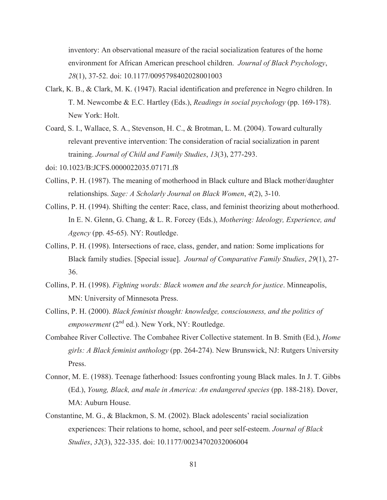inventory: An observational measure of the racial socialization features of the home environment for African American preschool children. *Journal of Black Psychology*, *28*(1), 37-52. doi: 10.1177/0095798402028001003

- Clark, K. B., & Clark, M. K. (1947). Racial identification and preference in Negro children. In T. M. Newcombe & E.C. Hartley (Eds.), *Readings in social psychology* (pp. 169-178). New York: Holt.
- Coard, S. I., Wallace, S. A., Stevenson, H. C., & Brotman, L. M. (2004). Toward culturally relevant preventive intervention: The consideration of racial socialization in parent training. *Journal of Child and Family Studies*, *13*(3), 277-293.
- doi: 10.1023/B:JCFS.0000022035.07171.f8
- Collins, P. H. (1987). The meaning of motherhood in Black culture and Black mother/daughter relationships. *Sage: A Scholarly Journal on Black Women*, *4*(2), 3-10.
- Collins, P. H. (1994). Shifting the center: Race, class, and feminist theorizing about motherhood. In E. N. Glenn, G. Chang, & L. R. Forcey (Eds.), *Mothering: Ideology, Experience, and Agency* (pp. 45-65). NY: Routledge.
- Collins, P. H. (1998). Intersections of race, class, gender, and nation: Some implications for Black family studies. [Special issue]. *Journal of Comparative Family Studies*, *29*(1), 27- 36.
- Collins, P. H. (1998). *Fighting words: Black women and the search for justice*. Minneapolis, MN: University of Minnesota Press.
- Collins, P. H. (2000). *Black feminist thought: knowledge, consciousness, and the politics of empowerment* (2<sup>nd</sup> ed.). New York, NY: Routledge.
- Combahee River Collective. The Combahee River Collective statement. In B. Smith (Ed.), *Home girls: A Black feminist anthology* (pp. 264-274). New Brunswick, NJ: Rutgers University Press.
- Connor, M. E. (1988). Teenage fatherhood: Issues confronting young Black males. In J. T. Gibbs (Ed.), *Young, Black, and male in America: An endangered species* (pp. 188-218). Dover, MA: Auburn House.
- Constantine, M. G., & Blackmon, S. M. (2002). Black adolescents' racial socialization experiences: Their relations to home, school, and peer self-esteem. *Journal of Black Studies*, *32*(3), 322-335. doi: 10.1177/00234702032006004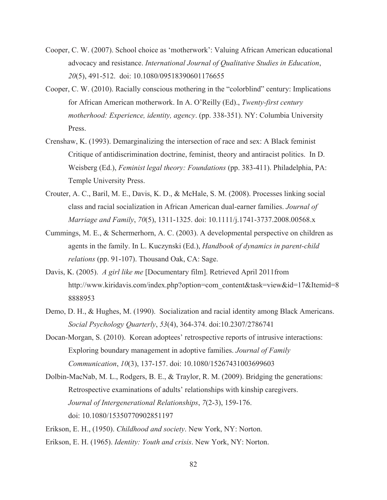- Cooper, C. W. (2007). School choice as 'motherwork': Valuing African American educational advocacy and resistance. *International Journal of Qualitative Studies in Education*, *20*(5), 491-512. doi: 10.1080/09518390601176655
- Cooper, C. W. (2010). Racially conscious mothering in the "colorblind" century: Implications for African American motherwork. In A. O'Reilly (Ed)., *Twenty-first century motherhood: Experience, identity, agency*. (pp. 338-351). NY: Columbia University Press.
- Crenshaw, K. (1993). Demarginalizing the intersection of race and sex: A Black feminist Critique of antidiscrimination doctrine, feminist, theory and antiracist politics. In D. Weisberg (Ed.), *Feminist legal theory: Foundations* (pp. 383-411). Philadelphia, PA: Temple University Press.
- Crouter, A. C., Baril, M. E., Davis, K. D., & McHale, S. M. (2008). Processes linking social class and racial socialization in African American dual-earner families. *Journal of Marriage and Family*, *70*(5), 1311-1325. doi: 10.1111/j.1741-3737.2008.00568.x
- Cummings, M. E., & Schermerhorn, A. C. (2003). A developmental perspective on children as agents in the family. In L. Kuczynski (Ed.), *Handbook of dynamics in parent-child relations* (pp. 91-107). Thousand Oak, CA: Sage.
- Davis, K. (2005). *A girl like me* [Documentary film]. Retrieved April 2011from http://www.kiridavis.com/index.php?option=com\_content&task=view&id=17&Itemid=8 8888953
- Demo, D. H., & Hughes, M. (1990). Socialization and racial identity among Black Americans. *Social Psychology Quarterly*, *53*(4), 364-374. doi:10.2307/2786741
- Docan-Morgan, S. (2010). Korean adoptees' retrospective reports of intrusive interactions: Exploring boundary management in adoptive families. *Journal of Family Communication*, *10*(3), 137-157. doi: 10.1080/15267431003699603
- Dolbin-MacNab, M. L., Rodgers, B. E., & Traylor, R. M. (2009). Bridging the generations: Retrospective examinations of adults' relationships with kinship caregivers. *Journal of Intergenerational Relationships*, *7*(2-3), 159-176. doi: 10.1080/15350770902851197
- Erikson, E. H., (1950). *Childhood and society*. New York, NY: Norton.
- Erikson, E. H. (1965). *Identity: Youth and crisis*. New York, NY: Norton.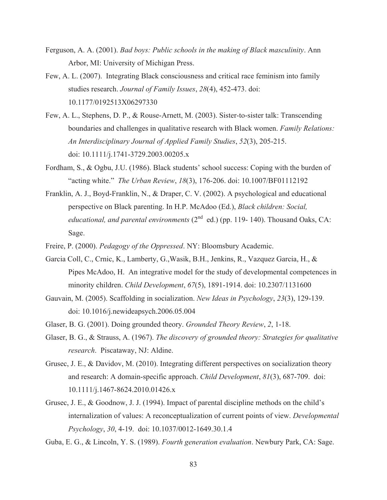- Ferguson, A. A. (2001). *Bad boys: Public schools in the making of Black masculinity*. Ann Arbor, MI: University of Michigan Press.
- Few, A. L. (2007). Integrating Black consciousness and critical race feminism into family studies research. *Journal of Family Issues*, *28*(4), 452-473. doi: 10.1177/0192513X06297330
- Few, A. L., Stephens, D. P., & Rouse-Arnett, M. (2003). Sister-to-sister talk: Transcending boundaries and challenges in qualitative research with Black women. *Family Relations: An Interdisciplinary Journal of Applied Family Studies*, *52*(3), 205-215. doi: 10.1111/j.1741-3729.2003.00205.x
- Fordham, S., & Ogbu, J.U. (1986). Black students' school success: Coping with the burden of "acting white." *The Urban Review*, *18*(3), 176-206. doi: 10.1007/BF01112192
- Franklin, A. J., Boyd-Franklin, N., & Draper, C. V. (2002). A psychological and educational perspective on Black parenting. In H.P. McAdoo (Ed.), *Black children: Social, educational, and parental environments*  $(2^{nd}$  ed.) (pp. 119-140). Thousand Oaks, CA: Sage.
- Freire, P. (2000). *Pedagogy of the Oppressed*. NY: Bloomsbury Academic.
- Garcia Coll, C., Crnic, K., Lamberty, G.,Wasik, B.H., Jenkins, R., Vazquez Garcia, H., & Pipes McAdoo, H. An integrative model for the study of developmental competences in minority children. *Child Development*, *67*(5), 1891-1914. doi: 10.2307/1131600
- Gauvain, M. (2005). Scaffolding in socialization. *New Ideas in Psychology*, *23*(3), 129-139. doi: 10.1016/j.newideapsych.2006.05.004
- Glaser, B. G. (2001). Doing grounded theory. *Grounded Theory Review*, *2*, 1-18.
- Glaser, B. G., & Strauss, A. (1967). *The discovery of grounded theory: Strategies for qualitative research*. Piscataway, NJ: Aldine.
- Grusec, J. E., & Davidov, M. (2010). Integrating different perspectives on socialization theory and research: A domain-specific approach. *Child Development*, *81*(3), 687-709. doi: 10.1111/j.1467-8624.2010.01426.x
- Grusec, J. E., & Goodnow, J. J. (1994). Impact of parental discipline methods on the child's internalization of values: A reconceptualization of current points of view. *Developmental Psychology*, *30*, 4-19. doi: 10.1037/0012-1649.30.1.4

Guba, E. G., & Lincoln, Y. S. (1989). *Fourth generation evaluation*. Newbury Park, CA: Sage.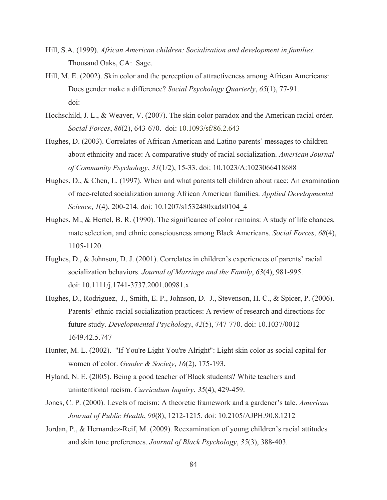- Hill, S.A. (1999). *African American children: Socialization and development in families*. Thousand Oaks, CA: Sage.
- Hill, M. E. (2002). Skin color and the perception of attractiveness among African Americans: Does gender make a difference? *Social Psychology Quarterly*, *65*(1), 77-91. doi:
- Hochschild, J. L., & Weaver, V. (2007). The skin color paradox and the American racial order. *Social Forces*, *86*(2), 643-670. doi: 10.1093/sf/86.2.643
- Hughes, D. (2003). Correlates of African American and Latino parents' messages to children about ethnicity and race: A comparative study of racial socialization. *American Journal of Community Psychology*, *31*(1/2), 15-33. doi: 10.1023/A:1023066418688
- Hughes, D., & Chen, L. (1997). When and what parents tell children about race: An examination of race-related socialization among African American families. *Applied Developmental Science*, *1*(4), 200-214. doi: 10.1207/s1532480xads0104\_4
- Hughes, M., & Hertel, B. R. (1990). The significance of color remains: A study of life chances, mate selection, and ethnic consciousness among Black Americans. *Social Forces*, *68*(4), 1105-1120.
- Hughes, D., & Johnson, D. J. (2001). Correlates in children's experiences of parents' racial socialization behaviors. *Journal of Marriage and the Family*, *63*(4), 981-995. doi: 10.1111/j.1741-3737.2001.00981.x
- Hughes, D., Rodriguez, J., Smith, E. P., Johnson, D. J., Stevenson, H. C., & Spicer, P. (2006). Parents' ethnic-racial socialization practices: A review of research and directions for future study. *Developmental Psychology*, *42*(5), 747-770. doi: 10.1037/0012- 1649.42.5.747
- Hunter, M. L. (2002). "If You're Light You're Alright": Light skin color as social capital for women of color. *Gender & Society*, *16*(2), 175-193.
- Hyland, N. E. (2005). Being a good teacher of Black students? White teachers and unintentional racism. *Curriculum Inquiry*, *35*(4), 429-459.
- Jones, C. P. (2000). Levels of racism: A theoretic framework and a gardener's tale. *American Journal of Public Health*, *90*(8), 1212-1215. doi: 10.2105/AJPH.90.8.1212
- Jordan, P., & Hernandez-Reif, M. (2009). Reexamination of young children's racial attitudes and skin tone preferences. *Journal of Black Psychology*, *35*(3), 388-403.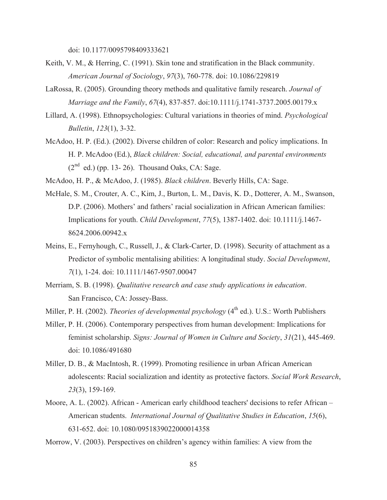doi: 10.1177/0095798409333621

- Keith, V. M., & Herring, C. (1991). Skin tone and stratification in the Black community. *American Journal of Sociology*, *97*(3), 760-778. doi: 10.1086/229819
- LaRossa, R. (2005). Grounding theory methods and qualitative family research. *Journal of Marriage and the Family*, *67*(4), 837-857. doi:10.1111/j.1741-3737.2005.00179.x
- Lillard, A. (1998). Ethnopsychologies: Cultural variations in theories of mind. *Psychological Bulletin*, *123*(1), 3-32.
- McAdoo, H. P. (Ed.). (2002). Diverse children of color: Research and policy implications. In H. P. McAdoo (Ed.), *Black children: Social, educational, and parental environments*   $(2<sup>nd</sup>$  ed.) (pp. 13- 26). Thousand Oaks, CA: Sage.

McAdoo, H. P., & McAdoo, J. (1985). *Black children*. Beverly Hills, CA: Sage.

- McHale, S. M., Crouter, A. C., Kim, J., Burton, L. M., Davis, K. D., Dotterer, A. M., Swanson, D.P. (2006). Mothers' and fathers' racial socialization in African American families: Implications for youth. *Child Development*, *77*(5), 1387-1402. doi: 10.1111/j.1467- 8624.2006.00942.x
- Meins, E., Fernyhough, C., Russell, J., & Clark-Carter, D. (1998). Security of attachment as a Predictor of symbolic mentalising abilities: A longitudinal study. *Social Development*, *7*(1), 1-24. doi: 10.1111/1467-9507.00047
- Merriam, S. B. (1998). *Qualitative research and case study applications in education*. San Francisco, CA: Jossey-Bass.
- Miller, P. H. (2002). *Theories of developmental psychology* (4<sup>th</sup> ed.). U.S.: Worth Publishers
- Miller, P. H. (2006). Contemporary perspectives from human development: Implications for feminist scholarship. *Signs: Journal of Women in Culture and Society*, *31*(21), 445-469. doi: 10.1086/491680
- Miller, D. B., & MacIntosh, R. (1999). Promoting resilience in urban African American adolescents: Racial socialization and identity as protective factors. *Social Work Research*, *23*(3), 159-169.
- Moore, A. L. (2002). African American early childhood teachers' decisions to refer African American students. *International Journal of Qualitative Studies in Education*, *15*(6), 631-652. doi: 10.1080/0951839022000014358

Morrow, V. (2003). Perspectives on children's agency within families: A view from the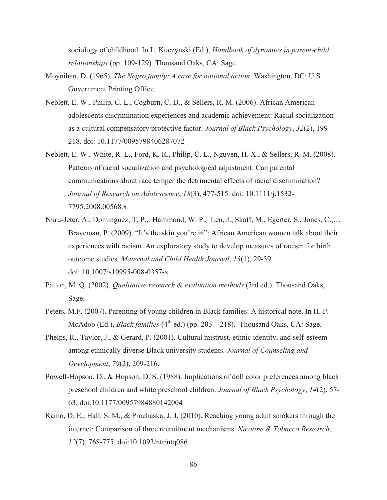sociology of childhood. In L. Kuczynski (Ed.), *Handbook of dynamics in parent-child relationships* (pp. 109-129). Thousand Oaks, CA: Sage.

- Moynihan, D. (1965). *The Negro family: A case for national action*. Washington, DC: U.S. Government Printing Office.
- Neblett, E. W., Philip, C. L., Cogburn, C. D., & Sellers, R. M. (2006). African American adolescents discrimination experiences and academic achievement: Racial socialization as a cultural compensatory protective factor. *Journal of Black Psychology*, *32*(2), 199- 218. doi: 10.1177/0095798406287072
- Neblett, E. W., White, R. L., Ford, K. R., Philip, C. L., Nguyen, H. X., & Sellers, R. M. (2008). Patterns of racial socialization and psychological adjustment: Can parental communications about race temper the detrimental effects of racial discrimination? *Journal of Research on Adolescence*, *18*(3), 477-515. doi: 10.1111/j.1532- 7795.2008.00568.x
- Nuru-Jeter, A., Dominguez, T. P., Hammond, W. P., Leu, J., Skaff, M., Egerter, S., Jones, C.,… Braveman, P. (2009). "It's the skin you're in": African American women talk about their experiences with racism. An exploratory study to develop measures of racism for birth outcome studies. *Maternal and Child Health Journal*, *13*(1), 29-39. doi: 10.1007/s10995-008-0357-x
- Patton, M. Q. (2002). *Qualitative research & evaluation methods* (3rd ed.). Thousand Oaks, Sage.
- Peters, M.F. (2007). Parenting of young children in Black families: A historical note. In H. P. McAdoo (Ed.), *Black families*  $(4^{th}$  ed.) (pp. 203 – 218). Thousand Oaks, CA: Sage.
- Phelps, R., Taylor, J., & Gerard, P. (2001). Cultural mistrust, ethnic identity, and self-esteem among ethnically diverse Black university students. *Journal of Counseling and Development*, *79*(2), 209-216.
- Powell-Hopson, D., & Hopson, D. S. (1988). Implications of doll color preferences among black preschool children and white preschool children. *Journal of Black Psychology*, *14*(2), 57- 63. doi:10.1177/00957984880142004
- Ramo, D. E., Hall. S. M., & Prochaska, J. J. (2010). Reaching young adult smokers through the internet: Comparison of three recruitment mechanisms. *Nicotine & Tobacco Research*, *12*(7), 768-775. doi:10.1093/ntr/ntq086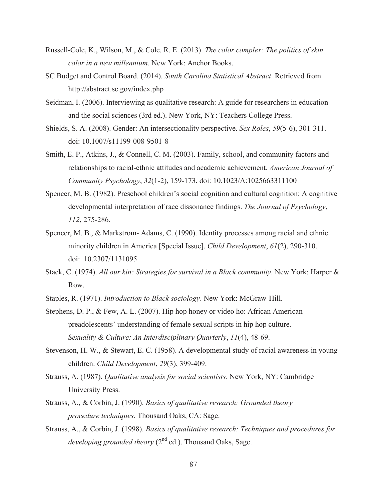- Russell-Cole, K., Wilson, M., & Cole. R. E. (2013). *The color complex: The politics of skin color in a new millennium*. New York: Anchor Books.
- SC Budget and Control Board. (2014). *South Carolina Statistical Abstract*. Retrieved from http://abstract.sc.gov/index.php
- Seidman, I. (2006). Interviewing as qualitative research: A guide for researchers in education and the social sciences (3rd ed.). New York, NY: Teachers College Press.
- Shields, S. A. (2008). Gender: An intersectionality perspective. *Sex Roles*, *59*(5-6), 301-311. doi: 10.1007/s11199-008-9501-8
- Smith, E. P., Atkins, J., & Connell, C. M. (2003). Family, school, and community factors and relationships to racial-ethnic attitudes and academic achievement. *American Journal of Community Psychology*, *32*(1-2), 159-173. doi: 10.1023/A:1025663311100
- Spencer, M. B. (1982). Preschool children's social cognition and cultural cognition: A cognitive developmental interpretation of race dissonance findings. *The Journal of Psychology*, *112*, 275-286.
- Spencer, M. B., & Markstrom- Adams, C. (1990). Identity processes among racial and ethnic minority children in America [Special Issue]. *Child Development*, *61*(2), 290-310. doi: 10.2307/1131095
- Stack, C. (1974). *All our kin: Strategies for survival in a Black community*. New York: Harper & Row.
- Staples, R. (1971). *Introduction to Black sociology*. New York: McGraw-Hill.
- Stephens, D. P., & Few, A. L. (2007). Hip hop honey or video ho: African American preadolescents' understanding of female sexual scripts in hip hop culture. *Sexuality & Culture: An Interdisciplinary Quarterly*, *11*(4), 48-69.
- Stevenson, H. W., & Stewart, E. C. (1958). A developmental study of racial awareness in young children. *Child Development*, *29*(3), 399-409.
- Strauss, A. (1987). *Qualitative analysis for social scientists*. New York, NY: Cambridge University Press.
- Strauss, A., & Corbin, J. (1990). *Basics of qualitative research: Grounded theory procedure techniques*. Thousand Oaks, CA: Sage.
- Strauss, A., & Corbin, J. (1998). *Basics of qualitative research: Techniques and procedures for developing grounded theory* (2<sup>nd</sup> ed.). Thousand Oaks, Sage.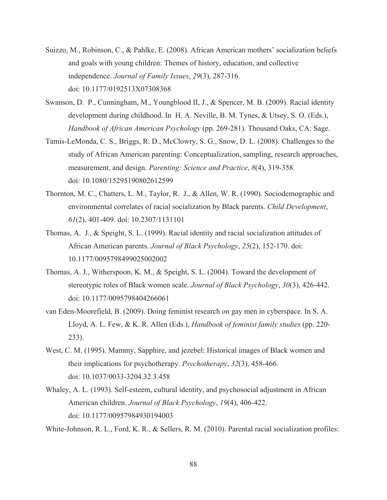- Suizzo, M., Robinson, C., & Pahlke, E. (2008). African American mothers' socialization beliefs and goals with young children: Themes of history, education, and collective independence. *Journal of Family Issues*, *29*(3), 287-316. doi: 10.1177/0192513X07308368
- Swanson, D. P., Cunningham, M., Youngblood II, J., & Spencer, M. B. (2009). Racial identity development during childhood. In H. A. Neville, B. M. Tynes, & Utsey, S. O. (Eds.), *Handbook of African American Psychology* (pp. 269-281). Thousand Oaks, CA: Sage.
- Tamis-LeMonda, C. S., Briggs, R. D., McClowry, S. G., Snow, D. L. (2008). Challenges to the study of African American parenting: Conceptualization, sampling, research approaches, measurement, and design. *Parenting: Science and Practice*, *8*(4), 319-358. doi: 10.1080/15295190802612599
- Thornton, M. C., Chatters, L. M., Taylor, R. J., & Allen, W. R. (1990). Sociodemographic and environmental correlates of racial socialization by Black parents. *Child Development*, *61*(2), 401-409. doi: 10.2307/1131101
- Thomas, A. J., & Speight, S. L. (1999). Racial identity and racial socialization attitudes of African American parents. *Journal of Black Psychology*, *25*(2), 152-170. doi: 10.1177/0095798499025002002
- Thomas, A. J., Witherspoon, K. M., & Speight, S. L. (2004). Toward the development of stereotypic roles of Black women scale. *Journal of Black Psychology*, *30*(3), 426-442. doi: 10.1177/0095798404266061
- van Eden-Moorefield, B. (2009). Doing feminist research on gay men in cyberspace. In S. A. Lloyd, A. L. Few, & K. R. Allen (Eds.), *Handbook of feminist family studies* (pp. 220- 233).
- West, C. M. (1995). Mammy, Sapphire, and jezebel: Historical images of Black women and their implications for psychotherapy. *Psychotherapy*, *32*(3), 458-466. doi: 10.1037/0033-3204.32.3.458
- Whaley, A. L. (1993). Self-esteem, cultural identity, and psychosocial adjustment in African American children. *Journal of Black Psychology*, *19*(4), 406-422. doi: 10.1177/00957984930194003

White-Johnson, R. L., Ford, K. R., & Sellers, R. M. (2010). Parental racial socialization profiles: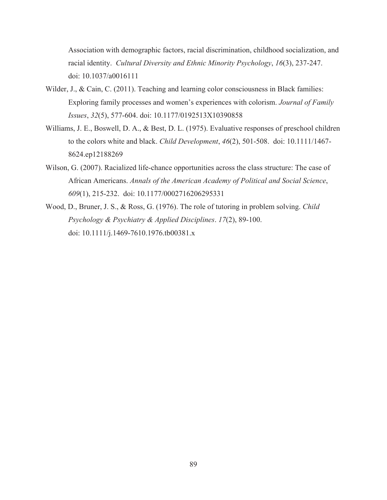Association with demographic factors, racial discrimination, childhood socialization, and racial identity. *Cultural Diversity and Ethnic Minority Psychology*, *16*(3), 237-247. doi: 10.1037/a0016111

- Wilder, J., & Cain, C. (2011). Teaching and learning color consciousness in Black families: Exploring family processes and women's experiences with colorism. *Journal of Family Issues*, *32*(5), 577-604. doi: 10.1177/0192513X10390858
- Williams, J. E., Boswell, D. A., & Best, D. L. (1975). Evaluative responses of preschool children to the colors white and black. *Child Development*, *46*(2), 501-508. doi: 10.1111/1467- 8624.ep12188269
- Wilson, G. (2007). Racialized life-chance opportunities across the class structure: The case of African Americans. *Annals of the American Academy of Political and Social Science*, *609*(1), 215-232. doi: 10.1177/0002716206295331
- Wood, D., Bruner, J. S., & Ross, G. (1976). The role of tutoring in problem solving. *Child Psychology & Psychiatry & Applied Disciplines*. *17*(2), 89-100. doi: 10.1111/j.1469-7610.1976.tb00381.x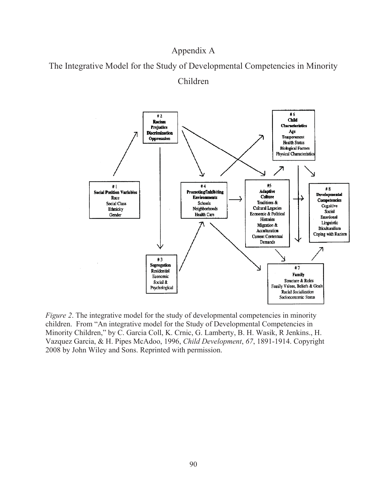### Appendix A





*Figure 2.* The integrative model for the study of developmental competencies in minority children. From "An integrative model for the Study of Developmental Competencies in Minority Children," by C. Garcia Coll, K. Crnic, G. Lamberty, B. H. Wasik, R Jenkins., H. Vazquez Garcia, & H. Pipes McAdoo, 1996, *Child Development*, *67*, 1891-1914. Copyright 2008 by John Wiley and Sons. Reprinted with permission.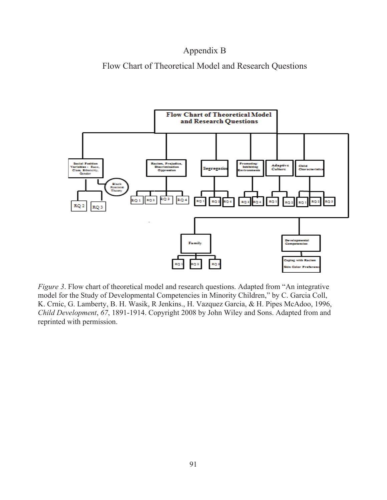### Appendix B

Flow Chart of Theoretical Model and Research Questions



*Figure 3*. Flow chart of theoretical model and research questions. Adapted from "An integrative model for the Study of Developmental Competencies in Minority Children," by C. Garcia Coll, K. Crnic, G. Lamberty, B. H. Wasik, R Jenkins., H. Vazquez Garcia, & H. Pipes McAdoo, 1996, *Child Development*, *67*, 1891-1914. Copyright 2008 by John Wiley and Sons. Adapted from and reprinted with permission.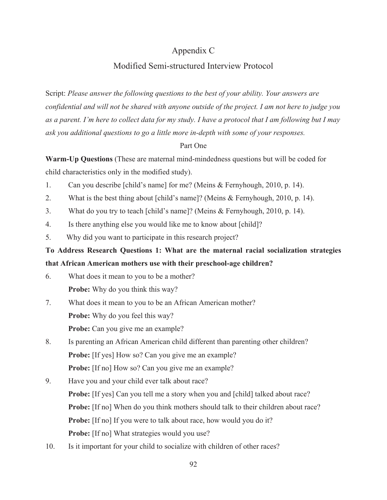### Appendix C

### Modified Semi-structured Interview Protocol

Script: *Please answer the following questions to the best of your ability. Your answers are confidential and will not be shared with anyone outside of the project. I am not here to judge you as a parent. I'm here to collect data for my study. I have a protocol that I am following but I may ask you additional questions to go a little more in-depth with some of your responses.*

### Part One

**Warm-Up Questions** (These are maternal mind-mindedness questions but will be coded for child characteristics only in the modified study).

- 1. Can you describe [child's name] for me? (Meins & Fernyhough, 2010, p. 14).
- 2. What is the best thing about [child's name]? (Meins & Fernyhough, 2010, p. 14).
- 3. What do you try to teach [child's name]? (Meins & Fernyhough, 2010, p. 14).
- 4. Is there anything else you would like me to know about [child]?
- 5. Why did you want to participate in this research project?

### **To Address Research Questions 1: What are the maternal racial socialization strategies that African American mothers use with their preschool-age children?**

- 6. What does it mean to you to be a mother? **Probe:** Why do you think this way?
- 7. What does it mean to you to be an African American mother? **Probe:** Why do you feel this way? **Probe:** Can you give me an example?
- 8. Is parenting an African American child different than parenting other children? **Probe:** [If yes] How so? Can you give me an example? **Probe:** [If no] How so? Can you give me an example?
- 9. Have you and your child ever talk about race? **Probe:** [If yes] Can you tell me a story when you and [child] talked about race? **Probe:** [If no] When do you think mothers should talk to their children about race? **Probe:** [If no] If you were to talk about race, how would you do it? **Probe:** [If no] What strategies would you use?
- 10. Is it important for your child to socialize with children of other races?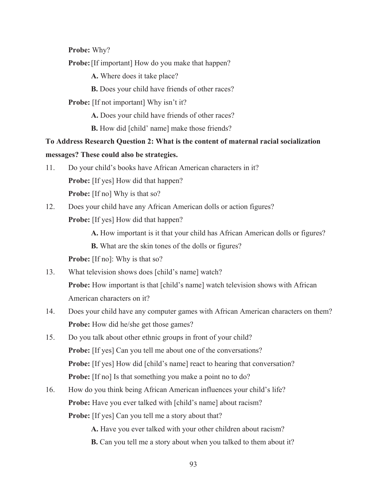**Probe:** Why?

**Probe:** [If important] How do you make that happen?

**A.** Where does it take place?

**B.** Does your child have friends of other races?

**Probe:** [If not important] Why isn't it?

**A.** Does your child have friends of other races?

**B.** How did [child' name] make those friends?

## **To Address Research Question 2: What is the content of maternal racial socialization messages? These could also be strategies.**

11. Do your child's books have African American characters in it? **Probe:** [If yes] How did that happen? **Probe:** [If no] Why is that so?

12. Does your child have any African American dolls or action figures? **Probe:** [If yes] How did that happen?

**A.** How important is it that your child has African American dolls or figures?

**B.** What are the skin tones of the dolls or figures?

**Probe:** [If no]: Why is that so?

- 13. What television shows does [child's name] watch? **Probe:** How important is that [child's name] watch television shows with African American characters on it?
- 14. Does your child have any computer games with African American characters on them? **Probe:** How did he/she get those games?
- 15. Do you talk about other ethnic groups in front of your child? **Probe:** [If yes] Can you tell me about one of the conversations? **Probe:** [If yes] How did [child's name] react to hearing that conversation? **Probe:** [If no] Is that something you make a point no to do?
- 16. How do you think being African American influences your child's life? **Probe:** Have you ever talked with [child's name] about racism? **Probe:** [If yes] Can you tell me a story about that?

**A.** Have you ever talked with your other children about racism?

**B.** Can you tell me a story about when you talked to them about it?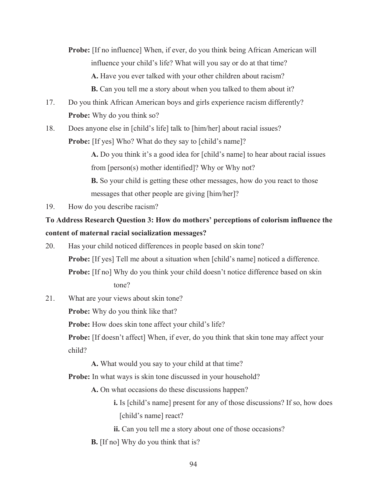**Probe:** [If no influence] When, if ever, do you think being African American will influence your child's life? What will you say or do at that time? **A.** Have you ever talked with your other children about racism? **B.** Can you tell me a story about when you talked to them about it?

- 17. Do you think African American boys and girls experience racism differently? **Probe:** Why do you think so?
- 18. Does anyone else in [child's life] talk to [him/her] about racial issues? **Probe:** [If yes] Who? What do they say to [child's name]?

**A.** Do you think it's a good idea for [child's name] to hear about racial issues from [person(s) mother identified]? Why or Why not?

**B.** So your child is getting these other messages, how do you react to those messages that other people are giving [him/her]?

19. How do you describe racism?

### **To Address Research Question 3: How do mothers' perceptions of colorism influence the content of maternal racial socialization messages?**

20. Has your child noticed differences in people based on skin tone? **Probe:** [If yes] Tell me about a situation when [child's name] noticed a difference. **Probe:** [If no] Why do you think your child doesn't notice difference based on skin tone?

21. What are your views about skin tone?

**Probe:** Why do you think like that?

**Probe:** How does skin tone affect your child's life?

**Probe:** [If doesn't affect] When, if ever, do you think that skin tone may affect your child?

**A.** What would you say to your child at that time?

**Probe:** In what ways is skin tone discussed in your household?

**A.** On what occasions do these discussions happen?

**i.** Is [child's name] present for any of those discussions? If so, how does [child's name] react?

**ii.** Can you tell me a story about one of those occasions?

 **B.** [If no] Why do you think that is?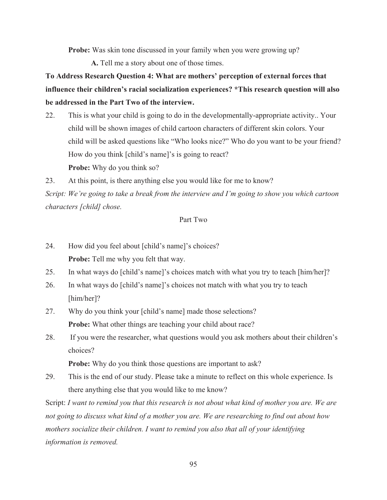**Probe:** Was skin tone discussed in your family when you were growing up?

**A.** Tell me a story about one of those times.

# **To Address Research Question 4: What are mothers' perception of external forces that influence their children's racial socialization experiences? \*This research question will also be addressed in the Part Two of the interview.**

22. This is what your child is going to do in the developmentally-appropriate activity.. Your child will be shown images of child cartoon characters of different skin colors. Your child will be asked questions like "Who looks nice?" Who do you want to be your friend? How do you think [child's name]'s is going to react? **Probe:** Why do you think so?

23. At this point, is there anything else you would like for me to know?

*Script: We're going to take a break from the interview and I'm going to show you which cartoon characters [child] chose.* 

### Part Two

- 24. How did you feel about [child's name]'s choices? **Probe:** Tell me why you felt that way.
- 25. In what ways do [child's name]'s choices match with what you try to teach [him/her]?
- 26. In what ways do [child's name]'s choices not match with what you try to teach [him/her]?
- 27. Why do you think your [child's name] made those selections? **Probe:** What other things are teaching your child about race?
- 28. If you were the researcher, what questions would you ask mothers about their children's choices?

**Probe:** Why do you think those questions are important to ask?

29. This is the end of our study. Please take a minute to reflect on this whole experience. Is there anything else that you would like to me know?

Script: *I want to remind you that this research is not about what kind of mother you are. We are not going to discuss what kind of a mother you are. We are researching to find out about how mothers socialize their children. I want to remind you also that all of your identifying information is removed.*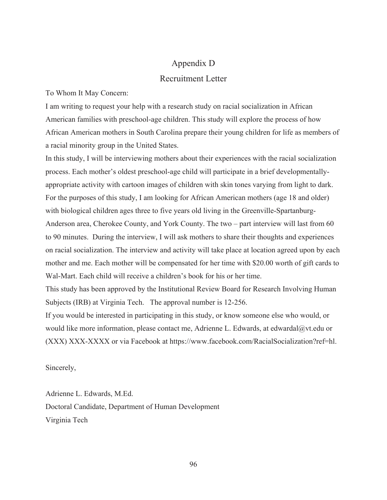### Appendix D

### Recruitment Letter

To Whom It May Concern:

I am writing to request your help with a research study on racial socialization in African American families with preschool-age children. This study will explore the process of how African American mothers in South Carolina prepare their young children for life as members of a racial minority group in the United States.

In this study, I will be interviewing mothers about their experiences with the racial socialization process. Each mother's oldest preschool-age child will participate in a brief developmentallyappropriate activity with cartoon images of children with skin tones varying from light to dark. For the purposes of this study, I am looking for African American mothers (age 18 and older) with biological children ages three to five years old living in the Greenville-Spartanburg-Anderson area, Cherokee County, and York County. The two – part interview will last from 60 to 90 minutes. During the interview, I will ask mothers to share their thoughts and experiences on racial socialization. The interview and activity will take place at location agreed upon by each mother and me. Each mother will be compensated for her time with \$20.00 worth of gift cards to Wal-Mart. Each child will receive a children's book for his or her time.

This study has been approved by the Institutional Review Board for Research Involving Human Subjects (IRB) at Virginia Tech. The approval number is 12-256.

If you would be interested in participating in this study, or know someone else who would, or would like more information, please contact me, Adrienne L. Edwards, at edwardal@vt.edu or (XXX) XXX-XXXX or via Facebook at https://www.facebook.com/RacialSocialization?ref=hl.

Sincerely,

Adrienne L. Edwards, M.Ed. Doctoral Candidate, Department of Human Development Virginia Tech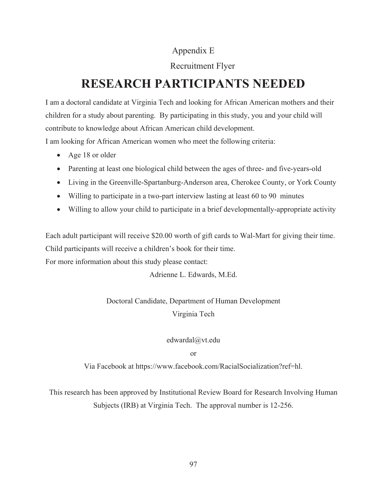### Appendix E

### Recruitment Flyer

# **RESEARCH PARTICIPANTS NEEDED**

I am a doctoral candidate at Virginia Tech and looking for African American mothers and their children for a study about parenting. By participating in this study, you and your child will contribute to knowledge about African American child development.

I am looking for African American women who meet the following criteria:

- Age 18 or older
- Parenting at least one biological child between the ages of three- and five-years-old
- Living in the Greenville-Spartanburg-Anderson area, Cherokee County, or York County
- Willing to participate in a two-part interview lasting at least 60 to 90 minutes
- Willing to allow your child to participate in a brief developmentally-appropriate activity

Each adult participant will receive \$20.00 worth of gift cards to Wal-Mart for giving their time. Child participants will receive a children's book for their time.

For more information about this study please contact:

Adrienne L. Edwards, M.Ed.

# Doctoral Candidate, Department of Human Development Virginia Tech

### edwardal@vt.edu

or

Via Facebook at https://www.facebook.com/RacialSocialization?ref=hl.

This research has been approved by Institutional Review Board for Research Involving Human Subjects (IRB) at Virginia Tech. The approval number is 12-256.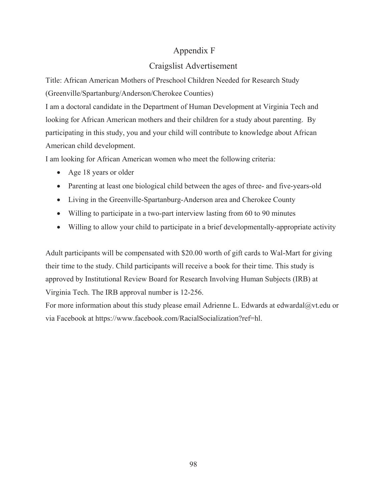# Appendix F

## Craigslist Advertisement

Title: African American Mothers of Preschool Children Needed for Research Study (Greenville/Spartanburg/Anderson/Cherokee Counties)

I am a doctoral candidate in the Department of Human Development at Virginia Tech and looking for African American mothers and their children for a study about parenting. By participating in this study, you and your child will contribute to knowledge about African American child development.

I am looking for African American women who meet the following criteria:

- Age 18 years or older
- Parenting at least one biological child between the ages of three- and five-years-old
- Living in the Greenville-Spartanburg-Anderson area and Cherokee County
- Willing to participate in a two-part interview lasting from 60 to 90 minutes
- Willing to allow your child to participate in a brief developmentally-appropriate activity

Adult participants will be compensated with \$20.00 worth of gift cards to Wal-Mart for giving their time to the study. Child participants will receive a book for their time. This study is approved by Institutional Review Board for Research Involving Human Subjects (IRB) at Virginia Tech. The IRB approval number is 12-256.

For more information about this study please email Adrienne L. Edwards at edwardal@vt.edu or via Facebook at https://www.facebook.com/RacialSocialization?ref=hl.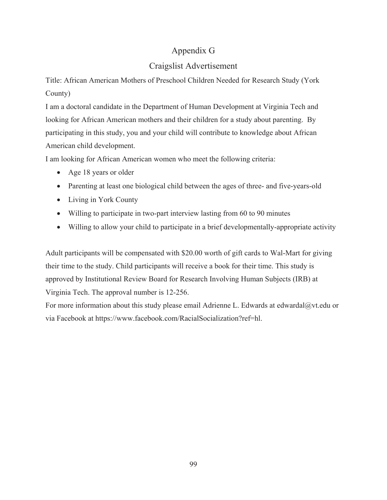# Appendix G

# Craigslist Advertisement

Title: African American Mothers of Preschool Children Needed for Research Study (York County)

I am a doctoral candidate in the Department of Human Development at Virginia Tech and looking for African American mothers and their children for a study about parenting. By participating in this study, you and your child will contribute to knowledge about African American child development.

I am looking for African American women who meet the following criteria:

- Age 18 years or older
- Parenting at least one biological child between the ages of three- and five-years-old
- Living in York County
- Willing to participate in two-part interview lasting from 60 to 90 minutes
- Willing to allow your child to participate in a brief developmentally-appropriate activity

Adult participants will be compensated with \$20.00 worth of gift cards to Wal-Mart for giving their time to the study. Child participants will receive a book for their time. This study is approved by Institutional Review Board for Research Involving Human Subjects (IRB) at Virginia Tech. The approval number is 12-256.

For more information about this study please email Adrienne L. Edwards at edwardal@vt.edu or via Facebook at https://www.facebook.com/RacialSocialization?ref=hl.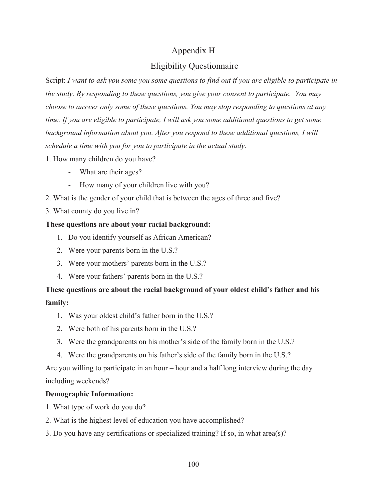# Appendix H

## Eligibility Questionnaire

Script: *I want to ask you some you some questions to find out if you are eligible to participate in the study. By responding to these questions, you give your consent to participate. You may choose to answer only some of these questions. You may stop responding to questions at any time. If you are eligible to participate, I will ask you some additional questions to get some background information about you. After you respond to these additional questions, I will schedule a time with you for you to participate in the actual study.*

- 1. How many children do you have?
	- What are their ages?
	- How many of your children live with you?
- 2. What is the gender of your child that is between the ages of three and five?
- 3. What county do you live in?

### **These questions are about your racial background:**

- 1. Do you identify yourself as African American?
- 2. Were your parents born in the U.S.?
- 3. Were your mothers' parents born in the U.S.?
- 4. Were your fathers' parents born in the U.S.?

# **These questions are about the racial background of your oldest child's father and his family:**

- 1. Was your oldest child's father born in the U.S.?
- 2. Were both of his parents born in the U.S.?
- 3. Were the grandparents on his mother's side of the family born in the U.S.?
- 4. Were the grandparents on his father's side of the family born in the U.S.?

Are you willing to participate in an hour – hour and a half long interview during the day including weekends?

### **Demographic Information:**

- 1. What type of work do you do?
- 2. What is the highest level of education you have accomplished?
- 3. Do you have any certifications or specialized training? If so, in what area(s)?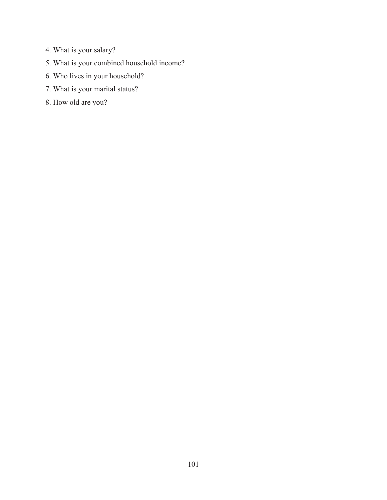- 4. What is your salary?
- 5. What is your combined household income?
- 6. Who lives in your household?
- 7. What is your marital status?
- 8. How old are you?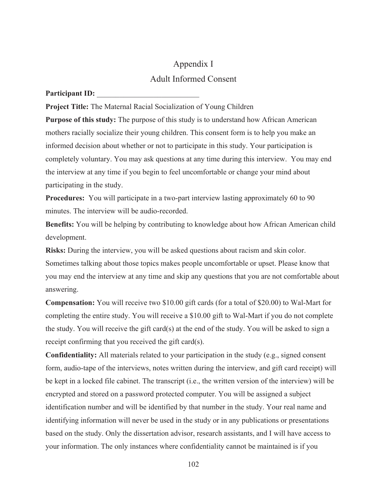## Appendix I

## Adult Informed Consent

#### **Participant ID:**

**Project Title:** The Maternal Racial Socialization of Young Children

**Purpose of this study:** The purpose of this study is to understand how African American mothers racially socialize their young children. This consent form is to help you make an informed decision about whether or not to participate in this study. Your participation is completely voluntary. You may ask questions at any time during this interview. You may end the interview at any time if you begin to feel uncomfortable or change your mind about participating in the study.

**Procedures:** You will participate in a two-part interview lasting approximately 60 to 90 minutes. The interview will be audio-recorded.

**Benefits:** You will be helping by contributing to knowledge about how African American child development.

**Risks:** During the interview, you will be asked questions about racism and skin color. Sometimes talking about those topics makes people uncomfortable or upset. Please know that you may end the interview at any time and skip any questions that you are not comfortable about answering.

**Compensation:** You will receive two \$10.00 gift cards (for a total of \$20.00) to Wal-Mart for completing the entire study. You will receive a \$10.00 gift to Wal-Mart if you do not complete the study. You will receive the gift card(s) at the end of the study. You will be asked to sign a receipt confirming that you received the gift card(s).

**Confidentiality:** All materials related to your participation in the study (e.g., signed consent form, audio-tape of the interviews, notes written during the interview, and gift card receipt) will be kept in a locked file cabinet. The transcript (i.e., the written version of the interview) will be encrypted and stored on a password protected computer. You will be assigned a subject identification number and will be identified by that number in the study. Your real name and identifying information will never be used in the study or in any publications or presentations based on the study. Only the dissertation advisor, research assistants, and I will have access to your information. The only instances where confidentiality cannot be maintained is if you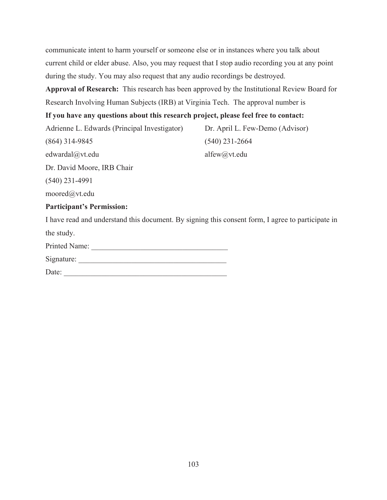communicate intent to harm yourself or someone else or in instances where you talk about current child or elder abuse. Also, you may request that I stop audio recording you at any point during the study. You may also request that any audio recordings be destroyed.

**Approval of Research:** This research has been approved by the Institutional Review Board for Research Involving Human Subjects (IRB) at Virginia Tech. The approval number is

#### **If you have any questions about this research project, please feel free to contact:**

Adrienne L. Edwards (Principal Investigator) Dr. April L. Few-Demo (Advisor) (864) 314-9845 (540) 231-2664 edwardal@vt.edualfew@vt.edu Dr. David Moore, IRB Chair (540) 231-4991 moored@vt.edu

#### **Participant's Permission:**

I have read and understand this document. By signing this consent form, I agree to participate in the study.

Printed Name: \_\_\_\_\_\_\_\_\_\_\_\_\_\_\_\_\_\_\_\_\_\_\_\_\_\_\_\_\_\_\_\_\_\_\_\_

Signature: \_\_\_\_\_\_\_\_\_\_\_\_\_\_\_\_\_\_\_\_\_\_\_\_\_\_\_\_\_\_\_\_\_\_\_\_\_\_\_

Date: \_\_\_\_\_\_\_\_\_\_\_\_\_\_\_\_\_\_\_\_\_\_\_\_\_\_\_\_\_\_\_\_\_\_\_\_\_\_\_\_\_\_\_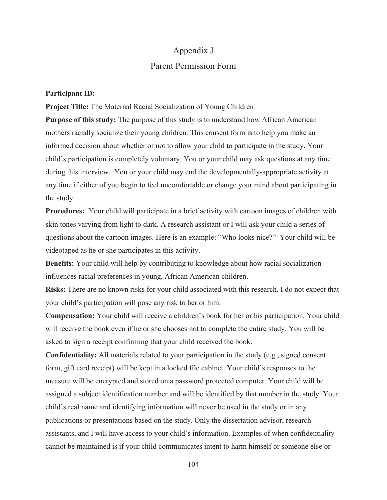# Appendix J Parent Permission Form

#### **Participant ID:**

**Project Title:** The Maternal Racial Socialization of Young Children

**Purpose of this study:** The purpose of this study is to understand how African American mothers racially socialize their young children. This consent form is to help you make an informed decision about whether or not to allow your child to participate in the study. Your child's participation is completely voluntary. You or your child may ask questions at any time during this interview. You or your child may end the developmentally-appropriate activity at any time if either of you begin to feel uncomfortable or change your mind about participating in the study.

**Procedures:** Your child will participate in a brief activity with cartoon images of children with skin tones varying from light to dark. A research assistant or I will ask your child a series of questions about the cartoon images. Here is an example: "Who looks nice?" Your child will be videotaped as he or she participates in this activity.

**Benefits:** Your child will help by contributing to knowledge about how racial socialization influences racial preferences in young, African American children.

**Risks:** There are no known risks for your child associated with this research. I do not expect that your child's participation will pose any risk to her or him.

**Compensation:** Your child will receive a children's book for her or his participation. Your child will receive the book even if he or she chooses not to complete the entire study. You will be asked to sign a receipt confirming that your child received the book.

**Confidentiality:** All materials related to your participation in the study (e.g., signed consent form, gift card receipt) will be kept in a locked file cabinet. Your child's responses to the measure will be encrypted and stored on a password protected computer. Your child will be assigned a subject identification number and will be identified by that number in the study. Your child's real name and identifying information will never be used in the study or in any publications or presentations based on the study. Only the dissertation advisor, research assistants, and I will have access to your child's information. Examples of when confidentiality cannot be maintained is if your child communicates intent to harm himself or someone else or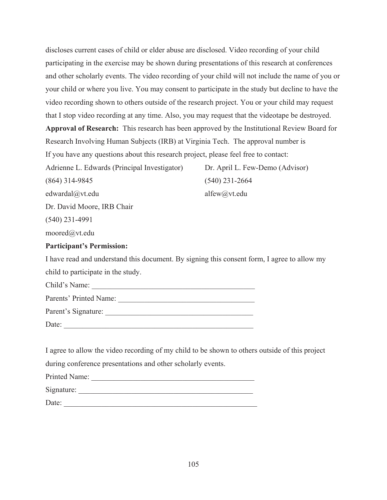discloses current cases of child or elder abuse are disclosed. Video recording of your child participating in the exercise may be shown during presentations of this research at conferences and other scholarly events. The video recording of your child will not include the name of you or your child or where you live. You may consent to participate in the study but decline to have the video recording shown to others outside of the research project. You or your child may request that I stop video recording at any time. Also, you may request that the videotape be destroyed. **Approval of Research:** This research has been approved by the Institutional Review Board for Research Involving Human Subjects (IRB) at Virginia Tech. The approval number is If you have any questions about this research project, please feel free to contact: Adrienne L. Edwards (Principal Investigator) Dr. April L. Few-Demo (Advisor) (864) 314-9845 (540) 231-2664 edwardal@vt.edu alfew@vt.edu Dr. David Moore, IRB Chair (540) 231-4991 moored@vt.edu **Participant's Permission:** I have read and understand this document. By signing this consent form, I agree to allow my

child to participate in the study.

| Child's Name:          |
|------------------------|
| Parents' Printed Name: |
| Parent's Signature:    |
| Date:                  |

I agree to allow the video recording of my child to be shown to others outside of this project during conference presentations and other scholarly events.

Printed Name: Signature: \_\_\_\_\_\_\_\_\_\_\_\_\_\_\_\_\_\_\_\_\_\_\_\_\_\_\_\_\_\_\_\_\_\_\_\_\_\_\_\_\_\_\_\_\_\_

Date: \_\_\_\_\_\_\_\_\_\_\_\_\_\_\_\_\_\_\_\_\_\_\_\_\_\_\_\_\_\_\_\_\_\_\_\_\_\_\_\_\_\_\_\_\_\_\_\_\_\_\_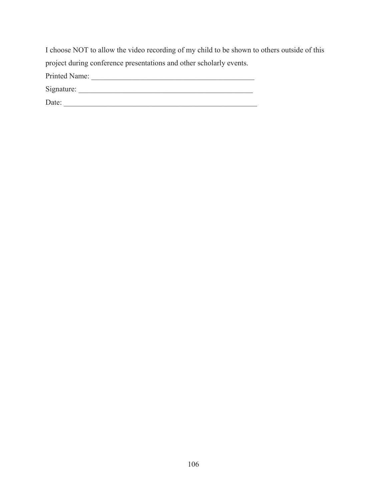I choose NOT to allow the video recording of my child to be shown to others outside of this project during conference presentations and other scholarly events. Printed Name: Signature: \_\_\_\_\_\_\_\_\_\_\_\_\_\_\_\_\_\_\_\_\_\_\_\_\_\_\_\_\_\_\_\_\_\_\_\_\_\_\_\_\_\_\_\_\_\_ Date: \_\_\_\_\_\_\_\_\_\_\_\_\_\_\_\_\_\_\_\_\_\_\_\_\_\_\_\_\_\_\_\_\_\_\_\_\_\_\_\_\_\_\_\_\_\_\_\_\_\_\_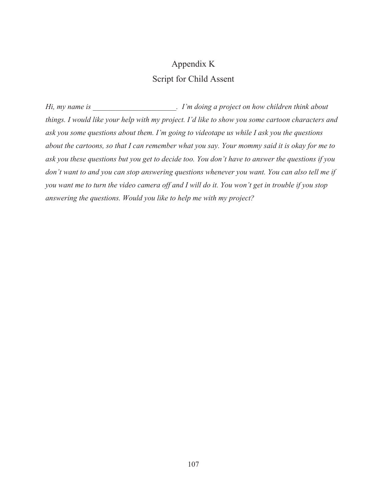# Appendix K Script for Child Assent

*Hi, my name is*  $\cdots$   $\cdots$   $\cdots$   $\cdots$   $\cdots$   $\cdots$   $\cdots$   $\cdots$   $\cdots$   $\cdots$   $\cdots$   $\cdots$   $\cdots$   $\cdots$   $\cdots$   $\cdots$   $\cdots$   $\cdots$   $\cdots$   $\cdots$   $\cdots$   $\cdots$   $\cdots$   $\cdots$   $\cdots$   $\cdots$   $\cdots$   $\cdots$   $\cdots$   $\cdots$   $\cdots$   $\cdots$   $\cdots$   $\cdots$  *things. I would like your help with my project. I'd like to show you some cartoon characters and ask you some questions about them. I'm going to videotape us while I ask you the questions about the cartoons, so that I can remember what you say. Your mommy said it is okay for me to ask you these questions but you get to decide too. You don't have to answer the questions if you don't want to and you can stop answering questions whenever you want. You can also tell me if you want me to turn the video camera off and I will do it. You won't get in trouble if you stop answering the questions. Would you like to help me with my project?*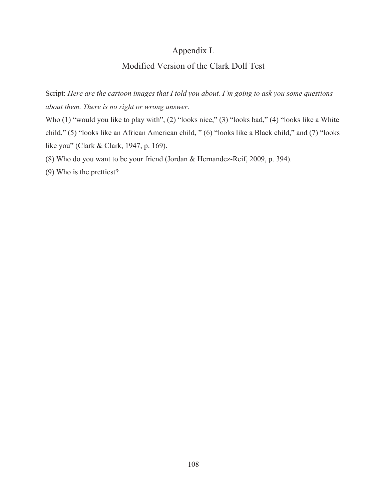## Appendix L

## Modified Version of the Clark Doll Test

Script: *Here are the cartoon images that I told you about. I'm going to ask you some questions about them. There is no right or wrong answer.* 

Who (1) "would you like to play with", (2) "looks nice," (3) "looks bad," (4) "looks like a White child," (5) "looks like an African American child, " (6) "looks like a Black child," and (7) "looks like you" (Clark & Clark, 1947, p. 169).

(8) Who do you want to be your friend (Jordan & Hernandez-Reif, 2009, p. 394).

(9) Who is the prettiest?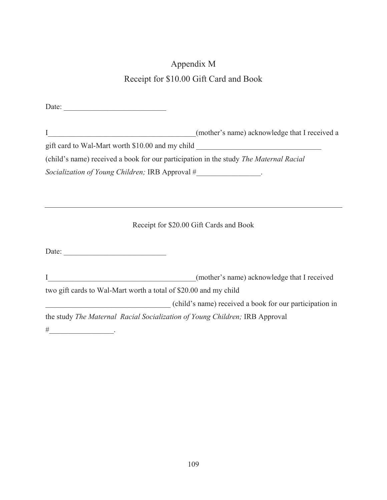# Appendix M Receipt for \$10.00 Gift Card and Book

| Date:                                              |                                                                                       |
|----------------------------------------------------|---------------------------------------------------------------------------------------|
| <u> 2008 - Johann Stein, mars et al. (b. 1982)</u> | (mother's name) acknowledge that I received a                                         |
|                                                    |                                                                                       |
|                                                    | (child's name) received a book for our participation in the study The Maternal Racial |
|                                                    | Socialization of Young Children; IRB Approval #_________________.                     |
|                                                    |                                                                                       |
|                                                    |                                                                                       |
|                                                    | Receipt for \$20.00 Gift Cards and Book                                               |
| Date: $\qquad \qquad$                              |                                                                                       |
|                                                    | (mother's name) acknowledge that I received                                           |

two gift cards to Wal-Mart worth a total of \$20.00 and my child

\_\_\_\_\_\_\_\_\_\_\_\_\_\_\_\_\_\_\_\_\_\_\_\_\_\_\_\_\_\_\_\_\_ (child's name) received a book for our participation in

the study *The Maternal Racial Socialization of Young Children;* IRB Approval

#\_\_\_\_\_\_\_\_\_\_\_\_\_\_\_\_\_.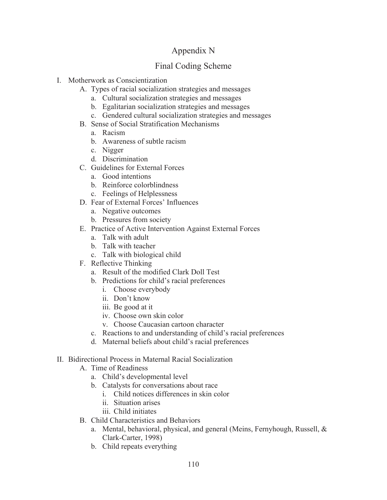## Appendix N

## Final Coding Scheme

- I. Motherwork as Conscientization
	- A. Types of racial socialization strategies and messages
		- a. Cultural socialization strategies and messages
		- b. Egalitarian socialization strategies and messages
		- c. Gendered cultural socialization strategies and messages
	- B. Sense of Social Stratification Mechanisms
		- a. Racism
		- b. Awareness of subtle racism
		- c. Nigger
		- d. Discrimination
	- C. Guidelines for External Forces
		- a. Good intentions
		- b. Reinforce colorblindness
		- c. Feelings of Helplessness
	- D. Fear of External Forces' Influences
		- a. Negative outcomes
		- b. Pressures from society
	- E. Practice of Active Intervention Against External Forces
		- a. Talk with adult
		- b. Talk with teacher
		- c. Talk with biological child
	- F. Reflective Thinking
		- a. Result of the modified Clark Doll Test
		- b. Predictions for child's racial preferences
			- i. Choose everybody
			- ii. Don't know
			- iii. Be good at it
			- iv. Choose own skin color
			- v. Choose Caucasian cartoon character
		- c. Reactions to and understanding of child's racial preferences
		- d. Maternal beliefs about child's racial preferences

### II. Bidirectional Process in Maternal Racial Socialization

- A. Time of Readiness
	- a. Child's developmental level
	- b. Catalysts for conversations about race
		- i. Child notices differences in skin color
		- ii. Situation arises
		- iii. Child initiates
- B. Child Characteristics and Behaviors
	- a. Mental, behavioral, physical, and general (Meins, Fernyhough, Russell, & Clark-Carter, 1998)
	- b. Child repeats everything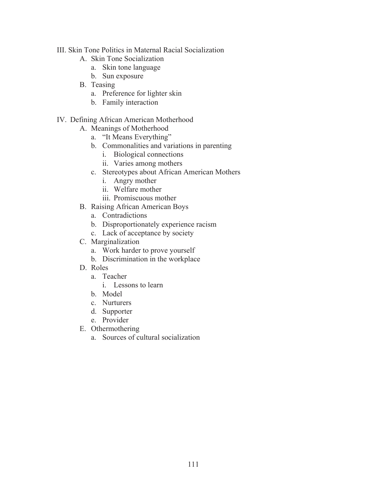- III. Skin Tone Politics in Maternal Racial Socialization
	- A. Skin Tone Socialization
		- a. Skin tone language
		- b. Sun exposure
	- B. Teasing
		- a. Preference for lighter skin
		- b. Family interaction
- IV. Defining African American Motherhood
	- A. Meanings of Motherhood
		- a. "It Means Everything"
		- b. Commonalities and variations in parenting
			- i. Biological connections
			- ii. Varies among mothers
		- c. Stereotypes about African American Mothers
			- i. Angry mother
			- ii. Welfare mother
			- iii. Promiscuous mother
	- B. Raising African American Boys
		- a. Contradictions
		- b. Disproportionately experience racism
		- c. Lack of acceptance by society
	- C. Marginalization
		- a. Work harder to prove yourself
		- b. Discrimination in the workplace
	- D. Roles
		- a. Teacher
			- i. Lessons to learn
		- b. Model
		- c. Nurturers
		- d. Supporter
		- e. Provider
	- E. Othermothering
		- a. Sources of cultural socialization